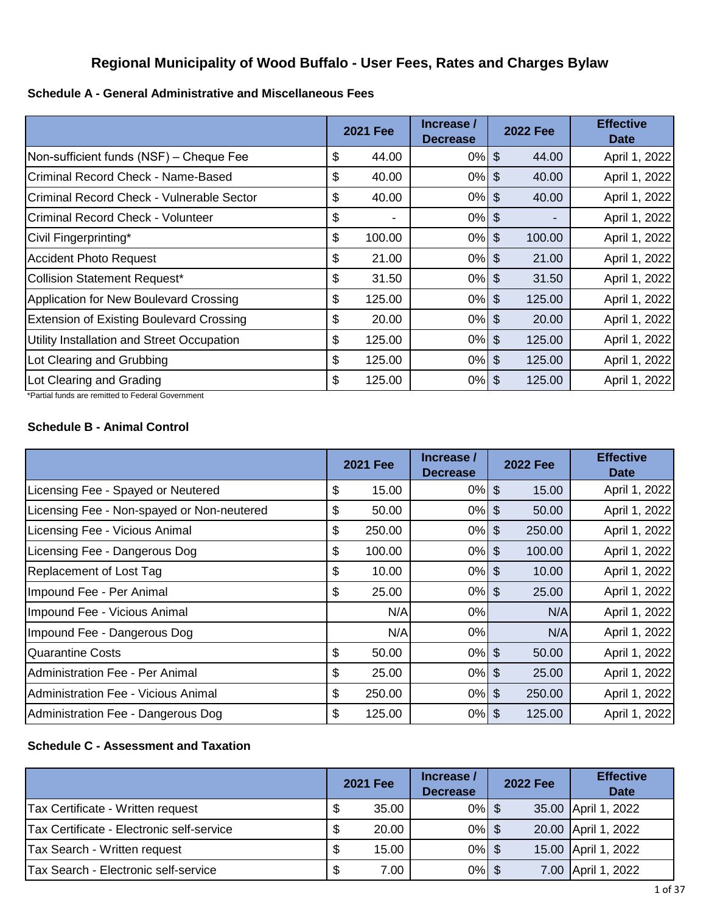# **Regional Municipality of Wood Buffalo - User Fees, Rates and Charges Bylaw**

**Schedule A - General Administrative and Miscellaneous Fees**

|                                                 | <b>2021 Fee</b>      | Increase /<br><b>Decrease</b> | <b>2022 Fee</b> | <b>Effective</b><br><b>Date</b> |
|-------------------------------------------------|----------------------|-------------------------------|-----------------|---------------------------------|
| Non-sufficient funds (NSF) - Cheque Fee         | \$<br>44.00          | $0\%$ \$                      | 44.00           | April 1, 2022                   |
| Criminal Record Check - Name-Based              | \$<br>40.00          | $0\%$                         | \$<br>40.00     | April 1, 2022                   |
| Criminal Record Check - Vulnerable Sector       | \$<br>40.00          | $0\%$ \$                      | 40.00           | April 1, 2022                   |
| Criminal Record Check - Volunteer               | \$<br>$\blacksquare$ | $0\%$ \$                      |                 | April 1, 2022                   |
| Civil Fingerprinting*                           | \$<br>100.00         | $0\%$ \$                      | 100.00          | April 1, 2022                   |
| Accident Photo Request                          | \$<br>21.00          | $0\%$ \$                      | 21.00           | April 1, 2022                   |
| Collision Statement Request*                    | \$<br>31.50          | $0%$ \$                       | 31.50           | April 1, 2022                   |
| Application for New Boulevard Crossing          | \$<br>125.00         | $0\%$ \$                      | 125.00          | April 1, 2022                   |
| <b>Extension of Existing Boulevard Crossing</b> | \$<br>20.00          | $0%$ \$                       | 20.00           | April 1, 2022                   |
| Utility Installation and Street Occupation      | \$<br>125.00         | $0\%$ \$                      | 125.00          | April 1, 2022                   |
| Lot Clearing and Grubbing                       | \$<br>125.00         | $0\%$ \$                      | 125.00          | April 1, 2022                   |
| Lot Clearing and Grading                        | \$<br>125.00         | $0%$ \$                       | 125.00          | April 1, 2022                   |

\*Partial funds are remitted to Federal Government

#### **Schedule B - Animal Control**

|                                            | <b>2021 Fee</b> | Increase /<br><b>Decrease</b> |                | <b>2022 Fee</b> | <b>Effective</b><br><b>Date</b> |
|--------------------------------------------|-----------------|-------------------------------|----------------|-----------------|---------------------------------|
| Licensing Fee - Spayed or Neutered         | \$<br>15.00     | $0\%$ \$                      |                | 15.00           | April 1, 2022                   |
| Licensing Fee - Non-spayed or Non-neutered | \$<br>50.00     | 0%                            | \$             | 50.00           | April 1, 2022                   |
| Licensing Fee - Vicious Animal             | \$<br>250.00    | $0\%$ \$                      |                | 250.00          | April 1, 2022                   |
| Licensing Fee - Dangerous Dog              | \$<br>100.00    | 0%                            | \$             | 100.00          | April 1, 2022                   |
| Replacement of Lost Tag                    | \$<br>10.00     | $0%$ \$                       |                | 10.00           | April 1, 2022                   |
| Impound Fee - Per Animal                   | \$<br>25.00     | $0%$ \$                       |                | 25.00           | April 1, 2022                   |
| Impound Fee - Vicious Animal               | N/A             | 0%                            |                | N/A             | April 1, 2022                   |
| Impound Fee - Dangerous Dog                | N/A             | 0%                            |                | N/A             | April 1, 2022                   |
| Quarantine Costs                           | \$<br>50.00     | 0%                            | $\mathfrak{F}$ | 50.00           | April 1, 2022                   |
| Administration Fee - Per Animal            | \$<br>25.00     | $0\%$ \$                      |                | 25.00           | April 1, 2022                   |
| Administration Fee - Vicious Animal        | \$<br>250.00    | 0%                            | $\mathfrak{L}$ | 250.00          | April 1, 2022                   |
| Administration Fee - Dangerous Dog         | \$<br>125.00    | $0%$ \$                       |                | 125.00          | April 1, 2022                   |

### **Schedule C - Assessment and Taxation**

|                                           |     | <b>2021 Fee</b> | Increase /<br><b>Decrease</b> | <b>2022 Fee</b> | <b>Effective</b><br><b>Date</b> |
|-------------------------------------------|-----|-----------------|-------------------------------|-----------------|---------------------------------|
| Tax Certificate - Written request         | S   | 35.00           | $0\%$ \$                      |                 | 35.00 April 1, 2022             |
| Tax Certificate - Electronic self-service | \$  | 20.00           | $0%$ \$                       |                 | 20.00 April 1, 2022             |
| Tax Search - Written request              | \$. | 15.00           | $0\%$ \$                      |                 | 15.00 April 1, 2022             |
| Tax Search - Electronic self-service      | \$  | 7.00            | $0%$ \$                       |                 | 7.00 April 1, 2022              |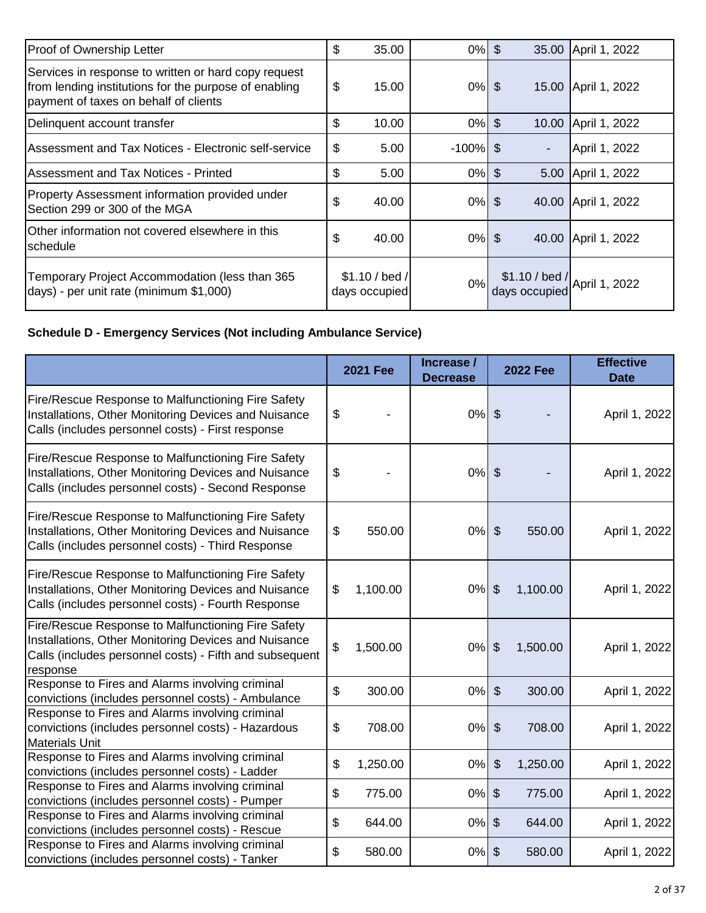| Proof of Ownership Letter                                                                                                                              | \$<br>35.00                    | 0%          | \$<br>35.00                                    | April 1, 2022       |
|--------------------------------------------------------------------------------------------------------------------------------------------------------|--------------------------------|-------------|------------------------------------------------|---------------------|
| Services in response to written or hard copy request<br>from lending institutions for the purpose of enabling<br>payment of taxes on behalf of clients | \$<br>15.00                    | $0%$ \$     |                                                | 15.00 April 1, 2022 |
| Delinquent account transfer                                                                                                                            | \$<br>10.00                    | $0\%$       | $\sqrt[6]{\frac{1}{2}}$<br>10.00               | April 1, 2022       |
| Assessment and Tax Notices - Electronic self-service                                                                                                   | \$<br>5.00                     | $-100\%$ \$ |                                                | April 1, 2022       |
| Assessment and Tax Notices - Printed                                                                                                                   | \$<br>5.00                     | 0%          | \$<br>5.00                                     | April 1, 2022       |
| Property Assessment information provided under<br>Section 299 or 300 of the MGA                                                                        | \$<br>40.00                    | 0%          | -S<br>40.00                                    | April 1, 2022       |
| Other information not covered elsewhere in this<br>schedule                                                                                            | \$<br>40.00                    | $0\%$ \$    |                                                | 40.00 April 1, 2022 |
| Temporary Project Accommodation (less than 365<br>days) - per unit rate (minimum \$1,000)                                                              | \$1.10 / bed/<br>days occupied | 0%          | $$1.10 / bed /$ April 1, 2022<br>days occupied |                     |

# **Schedule D - Emergency Services (Not including Ambulance Service)**

|                                                                                                                                                                                   | <b>2021 Fee</b> | Increase /<br><b>Decrease</b> |                           | <b>2022 Fee</b> | <b>Effective</b><br><b>Date</b> |
|-----------------------------------------------------------------------------------------------------------------------------------------------------------------------------------|-----------------|-------------------------------|---------------------------|-----------------|---------------------------------|
| Fire/Rescue Response to Malfunctioning Fire Safety<br>Installations, Other Monitoring Devices and Nuisance<br>Calls (includes personnel costs) - First response                   | \$              | 0%                            | $\mathfrak{S}$            |                 | April 1, 2022                   |
| Fire/Rescue Response to Malfunctioning Fire Safety<br>Installations, Other Monitoring Devices and Nuisance<br>Calls (includes personnel costs) - Second Response                  | \$              | 0%                            | $\mathfrak{S}$            |                 | April 1, 2022                   |
| Fire/Rescue Response to Malfunctioning Fire Safety<br>Installations, Other Monitoring Devices and Nuisance<br>Calls (includes personnel costs) - Third Response                   | \$<br>550.00    | 0%                            | $\mathcal{L}$             | 550.00          | April 1, 2022                   |
| Fire/Rescue Response to Malfunctioning Fire Safety<br>Installations, Other Monitoring Devices and Nuisance<br>Calls (includes personnel costs) - Fourth Response                  | \$<br>1,100.00  | 0%                            | $\mathfrak{S}$            | 1,100.00        | April 1, 2022                   |
| Fire/Rescue Response to Malfunctioning Fire Safety<br>Installations, Other Monitoring Devices and Nuisance<br>Calls (includes personnel costs) - Fifth and subsequent<br>response | \$<br>1,500.00  | 0%                            | $\mathfrak{S}$            | 1,500.00        | April 1, 2022                   |
| Response to Fires and Alarms involving criminal<br>convictions (includes personnel costs) - Ambulance                                                                             | \$<br>300.00    | 0%                            | $\sqrt[6]{\frac{1}{2}}$   | 300.00          | April 1, 2022                   |
| Response to Fires and Alarms involving criminal<br>convictions (includes personnel costs) - Hazardous<br><b>Materials Unit</b>                                                    | \$<br>708.00    | 0%                            | $\mathcal{L}$             | 708.00          | April 1, 2022                   |
| Response to Fires and Alarms involving criminal<br>convictions (includes personnel costs) - Ladder                                                                                | \$<br>1,250.00  | 0%                            | $\boldsymbol{\mathsf{S}}$ | 1,250.00        | April 1, 2022                   |
| Response to Fires and Alarms involving criminal<br>convictions (includes personnel costs) - Pumper                                                                                | \$<br>775.00    | 0%                            | $\mathfrak{S}$            | 775.00          | April 1, 2022                   |
| Response to Fires and Alarms involving criminal<br>convictions (includes personnel costs) - Rescue                                                                                | \$<br>644.00    | 0%                            | $\boldsymbol{\mathsf{S}}$ | 644.00          | April 1, 2022                   |
| Response to Fires and Alarms involving criminal<br>convictions (includes personnel costs) - Tanker                                                                                | \$<br>580.00    | 0%                            | $\boldsymbol{\mathsf{S}}$ | 580.00          | April 1, 2022                   |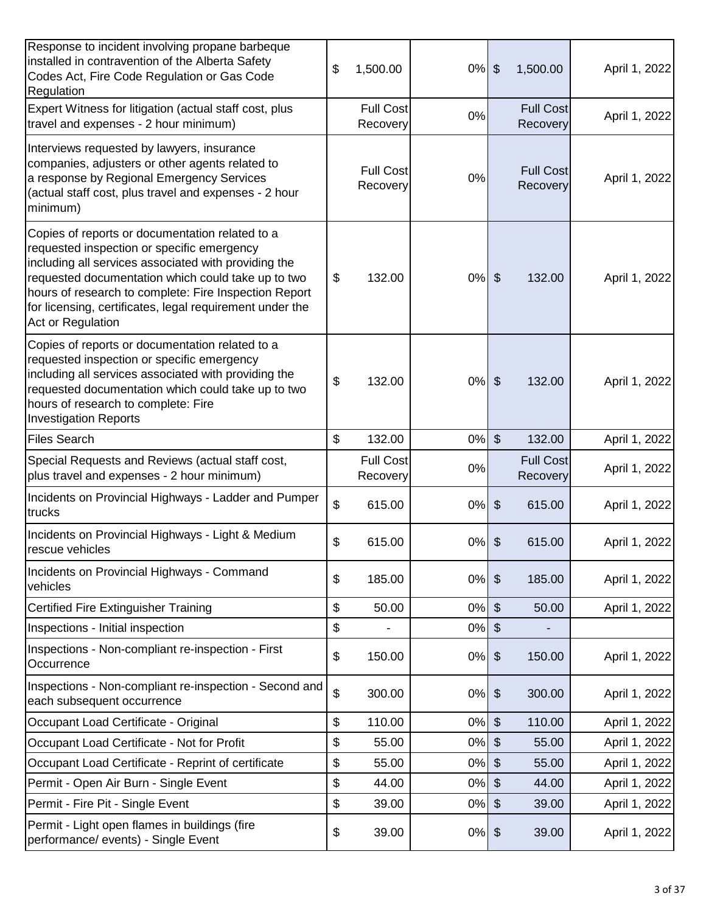| Response to incident involving propane barbeque<br>installed in contravention of the Alberta Safety<br>Codes Act, Fire Code Regulation or Gas Code<br><b>Regulation</b>                                                                                                                                                                               | \$            | 1,500.00                     | $0\%$ | $\boldsymbol{\theta}$        | 1,500.00                     | April 1, 2022 |
|-------------------------------------------------------------------------------------------------------------------------------------------------------------------------------------------------------------------------------------------------------------------------------------------------------------------------------------------------------|---------------|------------------------------|-------|------------------------------|------------------------------|---------------|
| Expert Witness for litigation (actual staff cost, plus<br>travel and expenses - 2 hour minimum)                                                                                                                                                                                                                                                       |               | <b>Full Cost</b><br>Recovery | 0%    |                              | <b>Full Cost</b><br>Recovery | April 1, 2022 |
| Interviews requested by lawyers, insurance<br>companies, adjusters or other agents related to<br>a response by Regional Emergency Services<br>(actual staff cost, plus travel and expenses - 2 hour<br>minimum)                                                                                                                                       |               | <b>Full Cost</b><br>Recovery | 0%    |                              | <b>Full Cost</b><br>Recovery | April 1, 2022 |
| Copies of reports or documentation related to a<br>requested inspection or specific emergency<br>including all services associated with providing the<br>requested documentation which could take up to two<br>hours of research to complete: Fire Inspection Report<br>for licensing, certificates, legal requirement under the<br>Act or Regulation | \$            | 132.00                       | $0\%$ | $\boldsymbol{\mathsf{S}}$    | 132.00                       | April 1, 2022 |
| Copies of reports or documentation related to a<br>requested inspection or specific emergency<br>including all services associated with providing the<br>requested documentation which could take up to two<br>hours of research to complete: Fire<br><b>Investigation Reports</b>                                                                    | $\frac{1}{2}$ | 132.00                       | $0\%$ | $\boldsymbol{\hat{\varphi}}$ | 132.00                       | April 1, 2022 |
| <b>Files Search</b>                                                                                                                                                                                                                                                                                                                                   | \$            | 132.00                       | $0\%$ | $\boldsymbol{\mathsf{S}}$    | 132.00                       | April 1, 2022 |
| Special Requests and Reviews (actual staff cost,<br>plus travel and expenses - 2 hour minimum)                                                                                                                                                                                                                                                        |               | <b>Full Cost</b><br>Recovery | 0%    |                              | <b>Full Cost</b><br>Recovery | April 1, 2022 |
| Incidents on Provincial Highways - Ladder and Pumper<br>trucks                                                                                                                                                                                                                                                                                        | \$            | 615.00                       | $0\%$ | $\frac{1}{2}$                | 615.00                       | April 1, 2022 |
| Incidents on Provincial Highways - Light & Medium<br>rescue vehicles                                                                                                                                                                                                                                                                                  | \$            | 615.00                       | 0%    | \$                           | 615.00                       | April 1, 2022 |
| Incidents on Provincial Highways - Command<br>vehicles                                                                                                                                                                                                                                                                                                | \$            | 185.00                       | $0\%$ | $\boldsymbol{\hat{\varphi}}$ | 185.00                       | April 1, 2022 |
| Certified Fire Extinguisher Training                                                                                                                                                                                                                                                                                                                  | \$            | 50.00                        | 0%    | $\boldsymbol{\mathsf{S}}$    | 50.00                        | April 1, 2022 |
| Inspections - Initial inspection                                                                                                                                                                                                                                                                                                                      | \$            |                              | 0%    | $\boldsymbol{\theta}$        |                              |               |
| Inspections - Non-compliant re-inspection - First<br>Occurrence                                                                                                                                                                                                                                                                                       | \$            | 150.00                       | 0%    | $\boldsymbol{\theta}$        | 150.00                       | April 1, 2022 |
| Inspections - Non-compliant re-inspection - Second and<br>each subsequent occurrence                                                                                                                                                                                                                                                                  | \$            | 300.00                       | 0%    | $\boldsymbol{\theta}$        | 300.00                       | April 1, 2022 |
| Occupant Load Certificate - Original                                                                                                                                                                                                                                                                                                                  | \$            | 110.00                       | 0%    | $\frac{1}{2}$                | 110.00                       | April 1, 2022 |
| Occupant Load Certificate - Not for Profit                                                                                                                                                                                                                                                                                                            | \$            | 55.00                        | 0%    | $\frac{1}{2}$                | 55.00                        | April 1, 2022 |
| Occupant Load Certificate - Reprint of certificate                                                                                                                                                                                                                                                                                                    | \$            | 55.00                        | 0%    | \$                           | 55.00                        | April 1, 2022 |
| Permit - Open Air Burn - Single Event                                                                                                                                                                                                                                                                                                                 | \$            | 44.00                        | $0\%$ | $\boldsymbol{\mathsf{S}}$    | 44.00                        | April 1, 2022 |
| Permit - Fire Pit - Single Event                                                                                                                                                                                                                                                                                                                      | \$            | 39.00                        | 0%    | $\frac{1}{2}$                | 39.00                        | April 1, 2022 |
| Permit - Light open flames in buildings (fire<br>performance/ events) - Single Event                                                                                                                                                                                                                                                                  | \$            | 39.00                        | 0%    | $\boldsymbol{\theta}$        | 39.00                        | April 1, 2022 |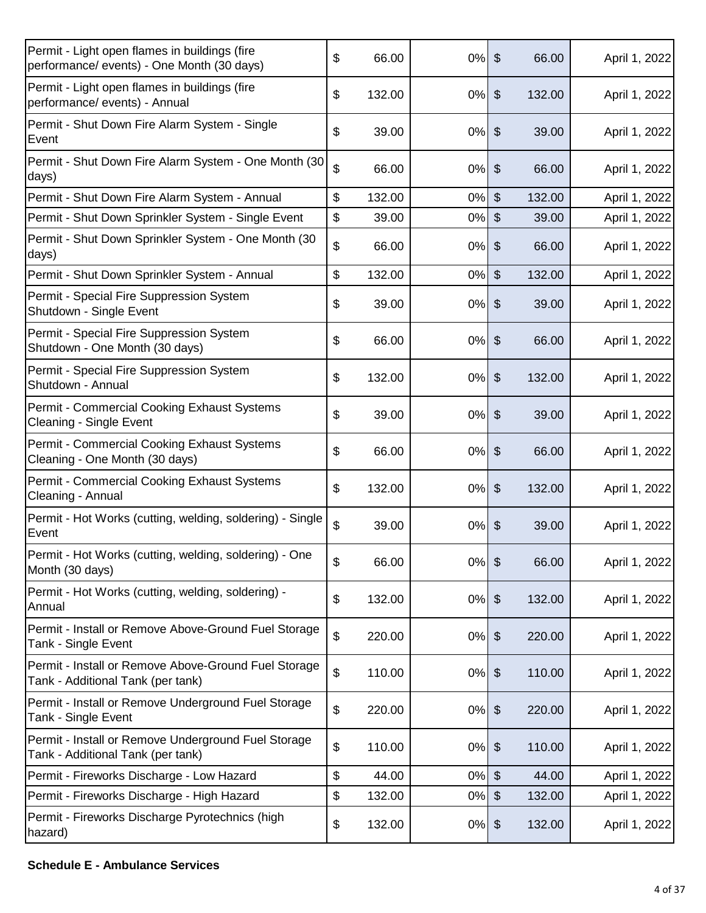| Permit - Light open flames in buildings (fire<br>performance/ events) - One Month (30 days) | \$            | 66.00  | 0%       | $\mathcal{S}$                | 66.00  | April 1, 2022 |
|---------------------------------------------------------------------------------------------|---------------|--------|----------|------------------------------|--------|---------------|
| Permit - Light open flames in buildings (fire<br>performance/ events) - Annual              | \$            | 132.00 | 0%       | $\boldsymbol{\hat{\varphi}}$ | 132.00 | April 1, 2022 |
| Permit - Shut Down Fire Alarm System - Single<br>Event                                      | \$            | 39.00  | 0%       | $\boldsymbol{\mathsf{S}}$    | 39.00  | April 1, 2022 |
| Permit - Shut Down Fire Alarm System - One Month (30<br>days)                               | \$            | 66.00  | 0%       | $\boldsymbol{\mathsf{S}}$    | 66.00  | April 1, 2022 |
| Permit - Shut Down Fire Alarm System - Annual                                               | \$            | 132.00 | 0%       | $\boldsymbol{\mathsf{S}}$    | 132.00 | April 1, 2022 |
| Permit - Shut Down Sprinkler System - Single Event                                          | \$            | 39.00  | 0%       | $\boldsymbol{\mathsf{S}}$    | 39.00  | April 1, 2022 |
| Permit - Shut Down Sprinkler System - One Month (30<br>days)                                | \$            | 66.00  | 0%       | $\boldsymbol{\hat{\varphi}}$ | 66.00  | April 1, 2022 |
| Permit - Shut Down Sprinkler System - Annual                                                | \$            | 132.00 | 0%       | $\boldsymbol{\mathsf{S}}$    | 132.00 | April 1, 2022 |
| Permit - Special Fire Suppression System<br>Shutdown - Single Event                         | \$            | 39.00  | $0\%$    | $\boldsymbol{\hat{\varphi}}$ | 39.00  | April 1, 2022 |
| Permit - Special Fire Suppression System<br>Shutdown - One Month (30 days)                  | \$            | 66.00  | 0%       | $\boldsymbol{\mathsf{\$}}$   | 66.00  | April 1, 2022 |
| Permit - Special Fire Suppression System<br>Shutdown - Annual                               | \$            | 132.00 | 0%       | $\boldsymbol{\hat{\varphi}}$ | 132.00 | April 1, 2022 |
| Permit - Commercial Cooking Exhaust Systems<br>Cleaning - Single Event                      | \$            | 39.00  | 0%       | $\boldsymbol{\hat{\varphi}}$ | 39.00  | April 1, 2022 |
| Permit - Commercial Cooking Exhaust Systems<br>Cleaning - One Month (30 days)               | \$            | 66.00  | 0%       | $\boldsymbol{\mathsf{\$}}$   | 66.00  | April 1, 2022 |
| Permit - Commercial Cooking Exhaust Systems<br>Cleaning - Annual                            | \$            | 132.00 | 0%       | $\boldsymbol{\hat{\varphi}}$ | 132.00 | April 1, 2022 |
| Permit - Hot Works (cutting, welding, soldering) - Single<br>Event                          | \$            | 39.00  | 0%       | $\boldsymbol{\hat{\varphi}}$ | 39.00  | April 1, 2022 |
| Permit - Hot Works (cutting, welding, soldering) - One<br>Month (30 days)                   | \$            | 66.00  | $0%$ \$  |                              | 66.00  | April 1, 2022 |
| Permit - Hot Works (cutting, welding, soldering) -<br>Annual                                | $\frac{1}{2}$ | 132.00 | $0\%$    | $\frac{1}{2}$                | 132.00 | April 1, 2022 |
| Permit - Install or Remove Above-Ground Fuel Storage<br>Tank - Single Event                 | \$            | 220.00 | $0\%$    | $\boldsymbol{\hat{\varphi}}$ | 220.00 | April 1, 2022 |
| Permit - Install or Remove Above-Ground Fuel Storage<br>Tank - Additional Tank (per tank)   | \$            | 110.00 | $0\%$ \$ |                              | 110.00 | April 1, 2022 |
| Permit - Install or Remove Underground Fuel Storage<br>Tank - Single Event                  | \$            | 220.00 | $0\%$    | $\boldsymbol{\theta}$        | 220.00 | April 1, 2022 |
| Permit - Install or Remove Underground Fuel Storage<br>Tank - Additional Tank (per tank)    | \$            | 110.00 | 0%       | $\boldsymbol{\hat{\varphi}}$ | 110.00 | April 1, 2022 |
| Permit - Fireworks Discharge - Low Hazard                                                   | \$            | 44.00  | 0%       | $\boldsymbol{\mathsf{S}}$    | 44.00  | April 1, 2022 |
| Permit - Fireworks Discharge - High Hazard                                                  | \$            | 132.00 | 0%       | $\frac{1}{2}$                | 132.00 | April 1, 2022 |
| Permit - Fireworks Discharge Pyrotechnics (high<br>hazard)                                  | \$            | 132.00 | 0%       | \$                           | 132.00 | April 1, 2022 |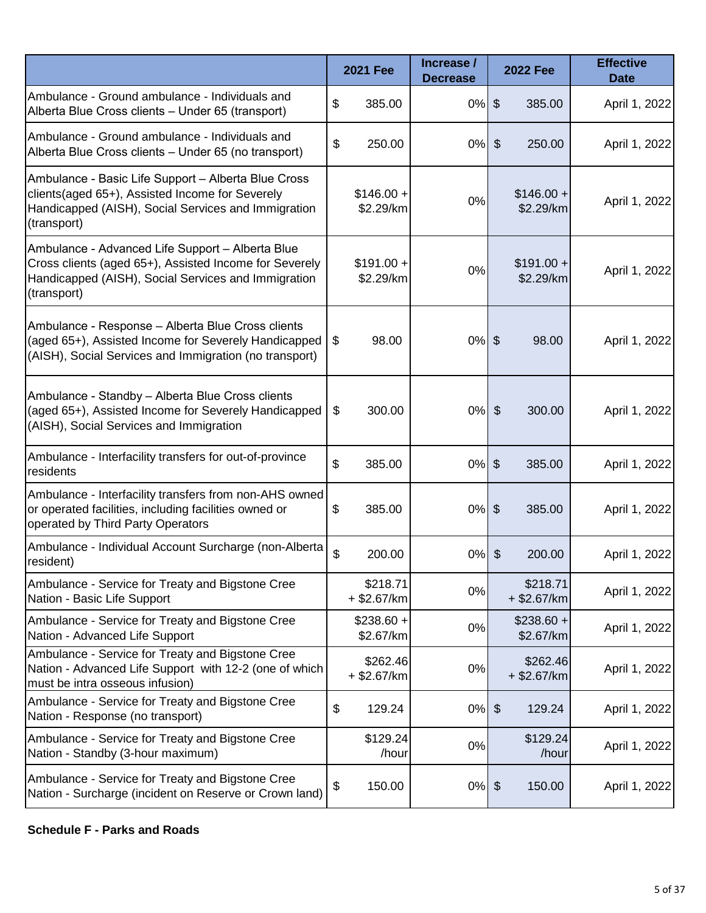|                                                                                                                                                                                  | <b>2021 Fee</b>           | Increase /<br><b>Decrease</b> | <b>2022 Fee</b>                       | <b>Effective</b><br><b>Date</b> |
|----------------------------------------------------------------------------------------------------------------------------------------------------------------------------------|---------------------------|-------------------------------|---------------------------------------|---------------------------------|
| Ambulance - Ground ambulance - Individuals and<br>Alberta Blue Cross clients - Under 65 (transport)                                                                              | \$<br>385.00              | 0%                            | $\frac{1}{2}$<br>385.00               | April 1, 2022                   |
| Ambulance - Ground ambulance - Individuals and<br>Alberta Blue Cross clients - Under 65 (no transport)                                                                           | \$<br>250.00              | $0\%$                         | $\boldsymbol{\mathsf{S}}$<br>250.00   | April 1, 2022                   |
| Ambulance - Basic Life Support - Alberta Blue Cross<br>clients(aged 65+), Assisted Income for Severely<br>Handicapped (AISH), Social Services and Immigration<br>(transport)     | $$146.00 +$<br>\$2.29/km  | 0%                            | $$146.00 +$<br>\$2.29/km              | April 1, 2022                   |
| Ambulance - Advanced Life Support - Alberta Blue<br>Cross clients (aged 65+), Assisted Income for Severely<br>Handicapped (AISH), Social Services and Immigration<br>(transport) | $$191.00 +$<br>\$2.29/km  | 0%                            | $$191.00 +$<br>\$2.29/km              | April 1, 2022                   |
| Ambulance - Response - Alberta Blue Cross clients<br>(aged 65+), Assisted Income for Severely Handicapped<br>(AISH), Social Services and Immigration (no transport)              | \$<br>98.00               | $0%$ \$                       | 98.00                                 | April 1, 2022                   |
| Ambulance - Standby - Alberta Blue Cross clients<br>(aged 65+), Assisted Income for Severely Handicapped<br>(AISH), Social Services and Immigration                              | \$<br>300.00              | $0\%$                         | $\boldsymbol{\mathsf{S}}$<br>300.00   | April 1, 2022                   |
| Ambulance - Interfacility transfers for out-of-province<br>residents                                                                                                             | \$<br>385.00              | $0\%$                         | $\boldsymbol{\theta}$<br>385.00       | April 1, 2022                   |
| Ambulance - Interfacility transfers from non-AHS owned<br>or operated facilities, including facilities owned or<br>operated by Third Party Operators                             | \$<br>385.00              | $0%$ \$                       | 385.00                                | April 1, 2022                   |
| Ambulance - Individual Account Surcharge (non-Alberta<br>resident)                                                                                                               | \$<br>200.00              | 0%                            | $\boldsymbol{\hat{\theta}}$<br>200.00 | April 1, 2022                   |
| Ambulance - Service for Treaty and Bigstone Cree<br>Nation - Basic Life Support                                                                                                  | \$218.71<br>+ \$2.67/km   | 0%                            | \$218.71<br>$+$ \$2.67/km             | April 1, 2022                   |
| Ambulance - Service for Treaty and Bigstone Cree<br>Nation - Advanced Life Support                                                                                               | $$238.60 +$<br>\$2.67/km  | 0%                            | $$238.60 +$<br>\$2.67/km              | April 1, 2022                   |
| Ambulance - Service for Treaty and Bigstone Cree<br>Nation - Advanced Life Support with 12-2 (one of which<br>must be intra osseous infusion)                                    | \$262.46<br>$+$ \$2.67/km | 0%                            | \$262.46<br>$+$ \$2.67/km             | April 1, 2022                   |
| Ambulance - Service for Treaty and Bigstone Cree<br>Nation - Response (no transport)                                                                                             | \$<br>129.24              | $0\%$                         | $\boldsymbol{\hat{\theta}}$<br>129.24 | April 1, 2022                   |
| Ambulance - Service for Treaty and Bigstone Cree<br>Nation - Standby (3-hour maximum)                                                                                            | \$129.24<br>/hour         | 0%                            | \$129.24<br>/hour                     | April 1, 2022                   |
| Ambulance - Service for Treaty and Bigstone Cree<br>Nation - Surcharge (incident on Reserve or Crown land)                                                                       | \$<br>150.00              | $0\%$ \$                      | 150.00                                | April 1, 2022                   |

#### **Schedule F - Parks and Roads**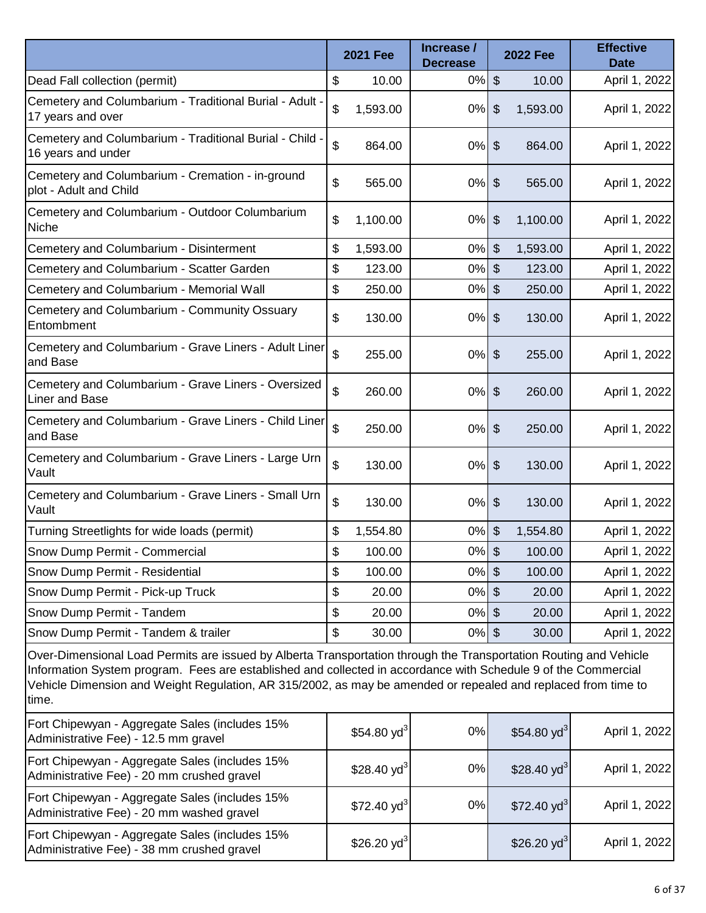|                                                                                                                                                                                                                                                                                                                                                               |    | <b>2021 Fee</b>  | Increase /<br><b>Decrease</b> |                           | <b>2022 Fee</b> | <b>Effective</b><br><b>Date</b> |
|---------------------------------------------------------------------------------------------------------------------------------------------------------------------------------------------------------------------------------------------------------------------------------------------------------------------------------------------------------------|----|------------------|-------------------------------|---------------------------|-----------------|---------------------------------|
| Dead Fall collection (permit)                                                                                                                                                                                                                                                                                                                                 | \$ | 10.00            | 0%                            | $\boldsymbol{\theta}$     | 10.00           | April 1, 2022                   |
| Cemetery and Columbarium - Traditional Burial - Adult -<br>17 years and over                                                                                                                                                                                                                                                                                  | \$ | 1,593.00         | 0%                            | \$                        | 1,593.00        | April 1, 2022                   |
| Cemetery and Columbarium - Traditional Burial - Child ·<br>16 years and under                                                                                                                                                                                                                                                                                 | \$ | 864.00           | $0%$ \$                       |                           | 864.00          | April 1, 2022                   |
| Cemetery and Columbarium - Cremation - in-ground<br>plot - Adult and Child                                                                                                                                                                                                                                                                                    | \$ | 565.00           | $0\%$                         | \$                        | 565.00          | April 1, 2022                   |
| Cemetery and Columbarium - Outdoor Columbarium<br>Niche                                                                                                                                                                                                                                                                                                       | \$ | 1,100.00         | 0%                            | $\boldsymbol{\theta}$     | 1,100.00        | April 1, 2022                   |
| Cemetery and Columbarium - Disinterment                                                                                                                                                                                                                                                                                                                       | \$ | 1,593.00         | 0%                            | \$                        | 1,593.00        | April 1, 2022                   |
| Cemetery and Columbarium - Scatter Garden                                                                                                                                                                                                                                                                                                                     | \$ | 123.00           | 0%                            | \$                        | 123.00          | April 1, 2022                   |
| Cemetery and Columbarium - Memorial Wall                                                                                                                                                                                                                                                                                                                      | \$ | 250.00           | 0%                            | $\boldsymbol{\mathsf{S}}$ | 250.00          | April 1, 2022                   |
| Cemetery and Columbarium - Community Ossuary<br>Entombment                                                                                                                                                                                                                                                                                                    | \$ | 130.00           | $0\%$ \$                      |                           | 130.00          | April 1, 2022                   |
| Cemetery and Columbarium - Grave Liners - Adult Liner<br>and Base                                                                                                                                                                                                                                                                                             | \$ | 255.00           | $0\%$                         | $\frac{1}{2}$             | 255.00          | April 1, 2022                   |
| Cemetery and Columbarium - Grave Liners - Oversized<br><b>Liner and Base</b>                                                                                                                                                                                                                                                                                  | \$ | 260.00           | 0%                            | $\boldsymbol{\theta}$     | 260.00          | April 1, 2022                   |
| Cemetery and Columbarium - Grave Liners - Child Liner<br>and Base                                                                                                                                                                                                                                                                                             | \$ | 250.00           | $0\%$ \$                      |                           | 250.00          | April 1, 2022                   |
| Cemetery and Columbarium - Grave Liners - Large Urn<br>Vault                                                                                                                                                                                                                                                                                                  | \$ | 130.00           | $0\%$                         | $\boldsymbol{\theta}$     | 130.00          | April 1, 2022                   |
| Cemetery and Columbarium - Grave Liners - Small Urn<br>Vault                                                                                                                                                                                                                                                                                                  | \$ | 130.00           | 0%                            | $\boldsymbol{\theta}$     | 130.00          | April 1, 2022                   |
| Turning Streetlights for wide loads (permit)                                                                                                                                                                                                                                                                                                                  | \$ | 1,554.80         | 0%                            | \$                        | 1,554.80        | April 1, 2022                   |
| Snow Dump Permit - Commercial                                                                                                                                                                                                                                                                                                                                 | \$ | 100.00           | $0%$ \$                       |                           | 100.00          | April 1, 2022                   |
| Snow Dump Permit - Residential                                                                                                                                                                                                                                                                                                                                | \$ | 100.00           | $0\%$                         | $\boldsymbol{\mathsf{S}}$ | 100.00          | April 1, 2022                   |
| Snow Dump Permit - Pick-up Truck                                                                                                                                                                                                                                                                                                                              | \$ | 20.00            | $0\%$                         | $\boldsymbol{\mathsf{S}}$ | 20.00           | April 1, 2022                   |
| Snow Dump Permit - Tandem                                                                                                                                                                                                                                                                                                                                     | \$ | 20.00            | 0%                            | $\boldsymbol{\mathsf{S}}$ | 20.00           | April 1, 2022                   |
| Snow Dump Permit - Tandem & trailer                                                                                                                                                                                                                                                                                                                           | \$ | 30.00            | $0\%$                         | $\sqrt[6]{\frac{1}{2}}$   | 30.00           | April 1, 2022                   |
| Over-Dimensional Load Permits are issued by Alberta Transportation through the Transportation Routing and Vehicle<br>Information System program. Fees are established and collected in accordance with Schedule 9 of the Commercial<br>Vehicle Dimension and Weight Regulation, AR 315/2002, as may be amended or repealed and replaced from time to<br>time. |    |                  |                               |                           |                 |                                 |
| Fort Chipewyan - Aggregate Sales (includes 15%                                                                                                                                                                                                                                                                                                                |    | \$54.80 $v1^{3}$ | 0%                            |                           | \$54.80 $vd^3$  | April 1, 2022                   |

| Fort Chipewyan - Aggregate Sales (includes 15%<br>Administrative Fee) - 12.5 mm gravel       | $$54.80 yd^3$           | 0% | \$54.80 yd <sup>3</sup> | April 1, 2022 |
|----------------------------------------------------------------------------------------------|-------------------------|----|-------------------------|---------------|
| Fort Chipewyan - Aggregate Sales (includes 15%<br>Administrative Fee) - 20 mm crushed gravel | \$28.40 yd <sup>3</sup> | 0% | \$28.40 yd <sup>3</sup> | April 1, 2022 |
| Fort Chipewyan - Aggregate Sales (includes 15%<br>Administrative Fee) - 20 mm washed gravel  | $$72.40 yd^3$           | 0% | \$72.40 yd <sup>3</sup> | April 1, 2022 |
| Fort Chipewyan - Aggregate Sales (includes 15%<br>Administrative Fee) - 38 mm crushed gravel | \$26.20 yd <sup>3</sup> |    | \$26.20 yd <sup>3</sup> | April 1, 2022 |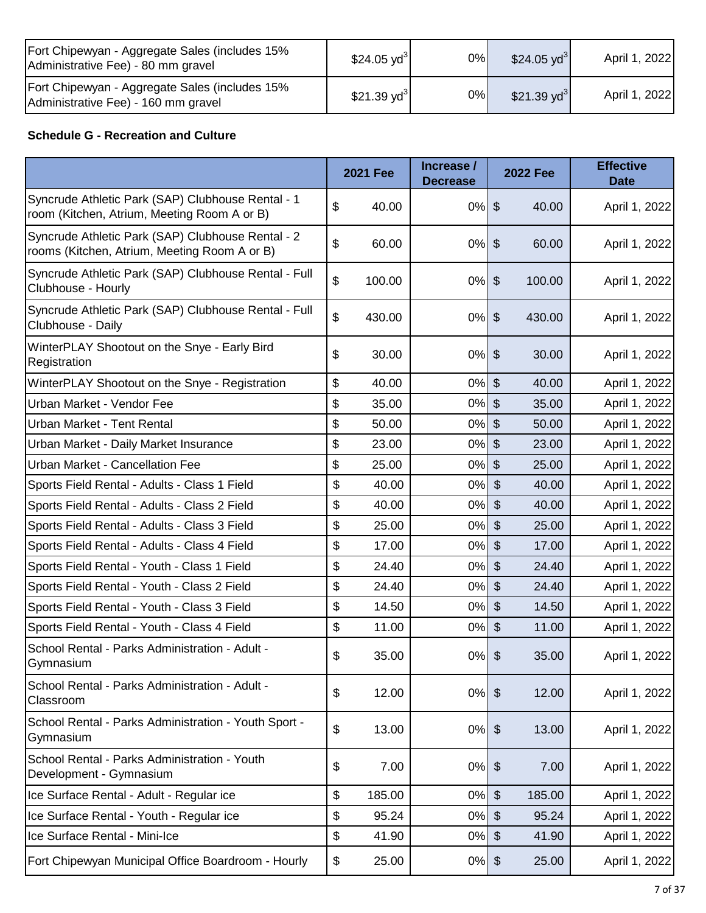| Fort Chipewyan - Aggregate Sales (includes 15%<br>Administrative Fee) - 80 mm gravel  | \$24.05 yd <sup>3</sup>  | 0%    | \$24.05 $yd^3$ | April 1, 2022 |
|---------------------------------------------------------------------------------------|--------------------------|-------|----------------|---------------|
| Fort Chipewyan - Aggregate Sales (includes 15%<br>Administrative Fee) - 160 mm gravel | $$21.39$ yd <sup>3</sup> | $0\%$ | \$21.39 $yd^3$ | April 1, 2022 |

### **Schedule G - Recreation and Culture**

|                                                                                                   | <b>2021 Fee</b> | Increase /<br><b>Decrease</b> | <b>2022 Fee</b>                      | <b>Effective</b><br><b>Date</b> |
|---------------------------------------------------------------------------------------------------|-----------------|-------------------------------|--------------------------------------|---------------------------------|
| Syncrude Athletic Park (SAP) Clubhouse Rental - 1<br>room (Kitchen, Atrium, Meeting Room A or B)  | \$<br>40.00     | $0%$ \$                       | 40.00                                | April 1, 2022                   |
| Syncrude Athletic Park (SAP) Clubhouse Rental - 2<br>rooms (Kitchen, Atrium, Meeting Room A or B) | \$<br>60.00     | 0%                            | $\boldsymbol{\mathsf{S}}$<br>60.00   | April 1, 2022                   |
| Syncrude Athletic Park (SAP) Clubhouse Rental - Full<br>Clubhouse - Hourly                        | \$<br>100.00    | $0\%$                         | $\frac{1}{2}$<br>100.00              | April 1, 2022                   |
| Syncrude Athletic Park (SAP) Clubhouse Rental - Full<br>Clubhouse - Daily                         | \$<br>430.00    | $0\%$                         | $\boldsymbol{\mathsf{S}}$<br>430.00  | April 1, 2022                   |
| WinterPLAY Shootout on the Snye - Early Bird<br>Registration                                      | \$<br>30.00     | $0\%$ \$                      | 30.00                                | April 1, 2022                   |
| WinterPLAY Shootout on the Snye - Registration                                                    | \$<br>40.00     | 0%                            | $\boldsymbol{\mathsf{S}}$<br>40.00   | April 1, 2022                   |
| Urban Market - Vendor Fee                                                                         | \$<br>35.00     | 0%                            | \$<br>35.00                          | April 1, 2022                   |
| Urban Market - Tent Rental                                                                        | \$<br>50.00     | 0%                            | $\mathfrak{S}$<br>50.00              | April 1, 2022                   |
| Urban Market - Daily Market Insurance                                                             | \$<br>23.00     | 0%                            | $\mathfrak{S}$<br>23.00              | April 1, 2022                   |
| Urban Market - Cancellation Fee                                                                   | \$<br>25.00     | 0%                            | $\mathfrak{S}$<br>25.00              | April 1, 2022                   |
| Sports Field Rental - Adults - Class 1 Field                                                      | \$<br>40.00     | 0%                            | $\mathcal{S}$<br>40.00               | April 1, 2022                   |
| Sports Field Rental - Adults - Class 2 Field                                                      | \$<br>40.00     | 0%                            | $\mathcal{S}$<br>40.00               | April 1, 2022                   |
| Sports Field Rental - Adults - Class 3 Field                                                      | \$<br>25.00     | 0%                            | $\boldsymbol{\mathsf{S}}$<br>25.00   | April 1, 2022                   |
| Sports Field Rental - Adults - Class 4 Field                                                      | \$<br>17.00     | 0%                            | $\boldsymbol{\mathsf{S}}$<br>17.00   | April 1, 2022                   |
| Sports Field Rental - Youth - Class 1 Field                                                       | \$<br>24.40     | 0%                            | $\boldsymbol{\mathsf{S}}$<br>24.40   | April 1, 2022                   |
| Sports Field Rental - Youth - Class 2 Field                                                       | \$<br>24.40     | 0%                            | $\sqrt[6]{\frac{1}{2}}$<br>24.40     | April 1, 2022                   |
| Sports Field Rental - Youth - Class 3 Field                                                       | \$<br>14.50     | 0%                            | $\mathcal{S}$<br>14.50               | April 1, 2022                   |
| Sports Field Rental - Youth - Class 4 Field                                                       | \$<br>11.00     | 0%                            | $\frac{1}{2}$<br>11.00               | April 1, 2022                   |
| School Rental - Parks Administration - Adult -<br>Gymnasium                                       | \$<br>35.00     | 0%                            | $\boldsymbol{\mathsf{S}}$<br>35.00   | April 1, 2022                   |
| School Rental - Parks Administration - Adult -<br>Classroom                                       | \$<br>12.00     | 0%                            | 12.00<br>$\boldsymbol{\hat{\theta}}$ | April 1, 2022                   |
| School Rental - Parks Administration - Youth Sport -<br>Gymnasium                                 | \$<br>13.00     | $0\%$                         | $\boldsymbol{\hat{\theta}}$<br>13.00 | April 1, 2022                   |
| School Rental - Parks Administration - Youth<br>Development - Gymnasium                           | \$<br>7.00      | $0%$ \$                       | 7.00                                 | April 1, 2022                   |
| Ice Surface Rental - Adult - Regular ice                                                          | \$<br>185.00    | 0%                            | $\frac{1}{2}$<br>185.00              | April 1, 2022                   |
| Ice Surface Rental - Youth - Regular ice                                                          | \$<br>95.24     | 0%                            | $\frac{1}{2}$<br>95.24               | April 1, 2022                   |
| Ice Surface Rental - Mini-Ice                                                                     | \$<br>41.90     | 0%                            | $\frac{1}{2}$<br>41.90               | April 1, 2022                   |
| Fort Chipewyan Municipal Office Boardroom - Hourly                                                | \$<br>25.00     | 0%                            | 25.00<br>\$                          | April 1, 2022                   |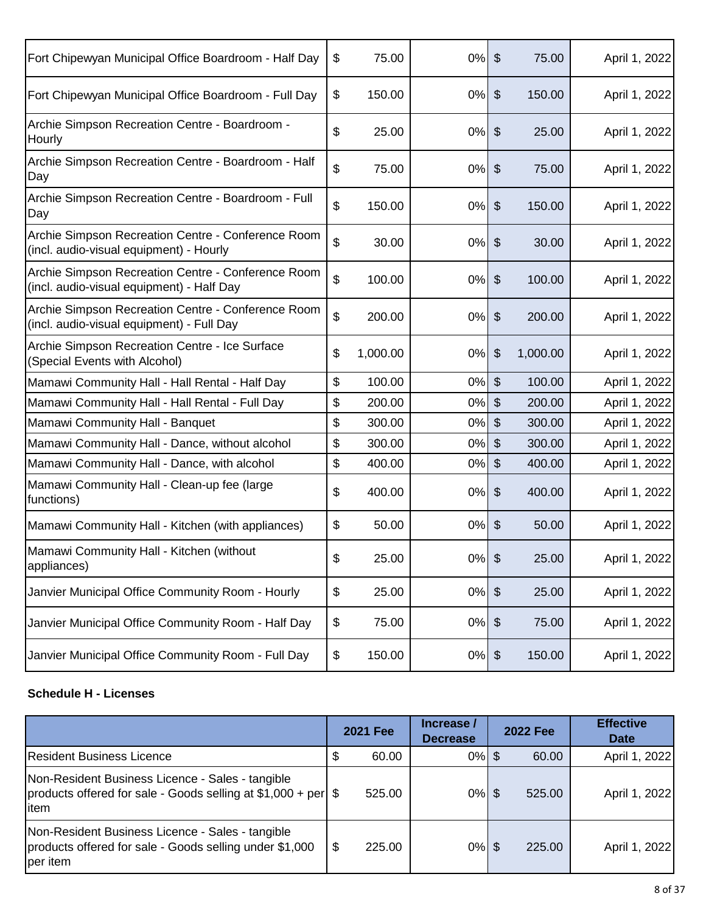| Fort Chipewyan Municipal Office Boardroom - Half Day                                            | \$<br>75.00    | 0%    | $\boldsymbol{\mathsf{S}}$   | 75.00    | April 1, 2022 |
|-------------------------------------------------------------------------------------------------|----------------|-------|-----------------------------|----------|---------------|
| Fort Chipewyan Municipal Office Boardroom - Full Day                                            | \$<br>150.00   | 0%    | $\frac{1}{2}$               | 150.00   | April 1, 2022 |
| Archie Simpson Recreation Centre - Boardroom -<br>Hourly                                        | \$<br>25.00    | 0%    | $\boldsymbol{\mathsf{S}}$   | 25.00    | April 1, 2022 |
| Archie Simpson Recreation Centre - Boardroom - Half<br>Day                                      | \$<br>75.00    | 0%    | $\boldsymbol{\mathsf{S}}$   | 75.00    | April 1, 2022 |
| Archie Simpson Recreation Centre - Boardroom - Full<br>Day                                      | \$<br>150.00   | 0%    | $\boldsymbol{\hat{\theta}}$ | 150.00   | April 1, 2022 |
| Archie Simpson Recreation Centre - Conference Room<br>(incl. audio-visual equipment) - Hourly   | \$<br>30.00    | 0%    | $\boldsymbol{\mathsf{S}}$   | 30.00    | April 1, 2022 |
| Archie Simpson Recreation Centre - Conference Room<br>(incl. audio-visual equipment) - Half Day | \$<br>100.00   | 0%    | $\boldsymbol{\mathsf{S}}$   | 100.00   | April 1, 2022 |
| Archie Simpson Recreation Centre - Conference Room<br>(incl. audio-visual equipment) - Full Day | \$<br>200.00   | 0%    | $\boldsymbol{\hat{\theta}}$ | 200.00   | April 1, 2022 |
| Archie Simpson Recreation Centre - Ice Surface<br>(Special Events with Alcohol)                 | \$<br>1,000.00 | 0%    | \$                          | 1,000.00 | April 1, 2022 |
| Mamawi Community Hall - Hall Rental - Half Day                                                  | \$<br>100.00   | 0%    | $\mathcal{S}$               | 100.00   | April 1, 2022 |
| Mamawi Community Hall - Hall Rental - Full Day                                                  | \$<br>200.00   | 0%    | $\boldsymbol{\mathsf{S}}$   | 200.00   | April 1, 2022 |
| Mamawi Community Hall - Banquet                                                                 | \$<br>300.00   | 0%    | $\mathcal{S}$               | 300.00   | April 1, 2022 |
| Mamawi Community Hall - Dance, without alcohol                                                  | \$<br>300.00   | 0%    | $\boldsymbol{\mathsf{S}}$   | 300.00   | April 1, 2022 |
| Mamawi Community Hall - Dance, with alcohol                                                     | \$<br>400.00   | 0%    | $\boldsymbol{\mathsf{S}}$   | 400.00   | April 1, 2022 |
| Mamawi Community Hall - Clean-up fee (large<br>functions)                                       | \$<br>400.00   | 0%    | $\boldsymbol{\mathsf{S}}$   | 400.00   | April 1, 2022 |
| Mamawi Community Hall - Kitchen (with appliances)                                               | \$<br>50.00    | 0%    | $\boldsymbol{\mathsf{S}}$   | 50.00    | April 1, 2022 |
| Mamawi Community Hall - Kitchen (without<br>appliances)                                         | \$<br>25.00    | $0\%$ | $\boldsymbol{\mathsf{S}}$   | 25.00    | April 1, 2022 |
| Janvier Municipal Office Community Room - Hourly                                                | \$<br>25.00    | 0%    | $\boldsymbol{\mathsf{S}}$   | 25.00    | April 1, 2022 |
| Janvier Municipal Office Community Room - Half Day                                              | \$<br>75.00    | $0\%$ | $\boldsymbol{\theta}$       | 75.00    | April 1, 2022 |
| Janvier Municipal Office Community Room - Full Day                                              | \$<br>150.00   | $0\%$ | $\boldsymbol{\theta}$       | 150.00   | April 1, 2022 |

#### **Schedule H - Licenses**

|                                                                                                                             | <b>2021 Fee</b> | Increase /<br><b>Decrease</b> | <b>2022 Fee</b> |        | <b>Effective</b><br><b>Date</b> |
|-----------------------------------------------------------------------------------------------------------------------------|-----------------|-------------------------------|-----------------|--------|---------------------------------|
| <b>Resident Business Licence</b>                                                                                            | 60.00           | $0\%$ \$                      |                 | 60.00  | April 1, 2022                   |
| Non-Resident Business Licence - Sales - tangible<br>products offered for sale - Goods selling at $$1,000 + per$ \$<br>litem | 525.00          | $0\%$ \$                      |                 | 525.00 | April 1, 2022                   |
| Non-Resident Business Licence - Sales - tangible<br>products offered for sale - Goods selling under \$1,000<br>per item     | \$<br>225.00    | $0\%$ \$                      |                 | 225.00 | April 1, 2022                   |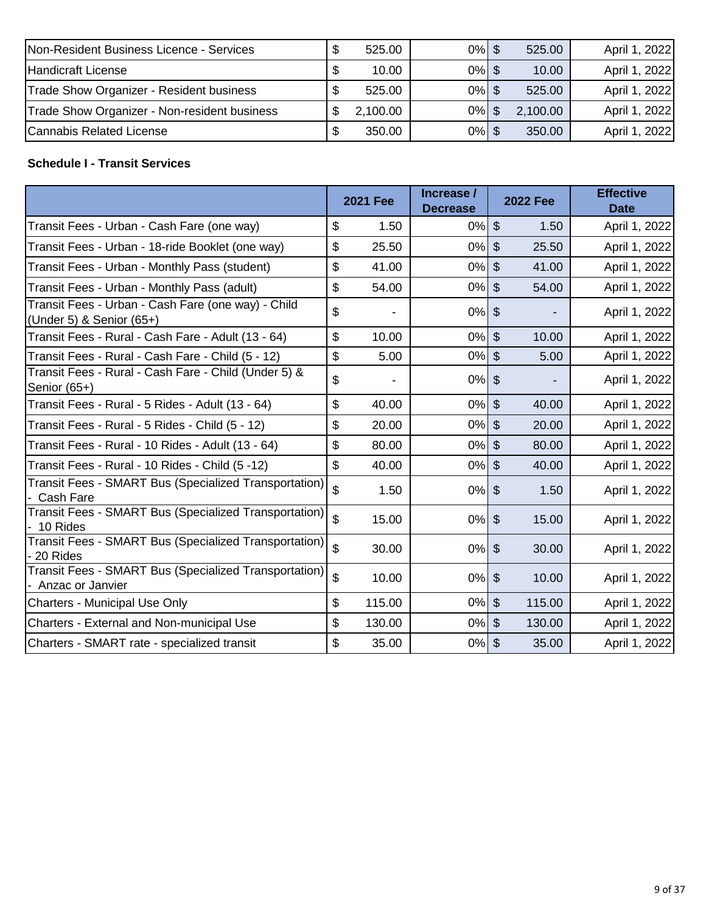| Non-Resident Business Licence - Services     | 525.00   | $0\%$ \$ | 525.00   | April 1, 2022 |
|----------------------------------------------|----------|----------|----------|---------------|
| Handicraft License                           | 10.00    | $0\%$ \$ | 10.00    | April 1, 2022 |
| Trade Show Organizer - Resident business     | 525.00   | $0\%$ \$ | 525.00   | April 1, 2022 |
| Trade Show Organizer - Non-resident business | 2,100.00 | $0\%$    | 2,100.00 | April 1, 2022 |
| Cannabis Related License                     | 350.00   | $0\%$ \$ | 350.00   | April 1, 2022 |

### **Schedule I - Transit Services**

|                                                                                |                    | <b>2021 Fee</b> | Increase /<br><b>Decrease</b> |                | <b>2022 Fee</b> | <b>Effective</b><br><b>Date</b> |
|--------------------------------------------------------------------------------|--------------------|-----------------|-------------------------------|----------------|-----------------|---------------------------------|
| Transit Fees - Urban - Cash Fare (one way)                                     | \$                 | 1.50            | 0%                            | $\mathcal{S}$  | 1.50            | April 1, 2022                   |
| Transit Fees - Urban - 18-ride Booklet (one way)                               | \$                 | 25.50           | $0\%$ \$                      |                | 25.50           | April 1, 2022                   |
| Transit Fees - Urban - Monthly Pass (student)                                  | \$                 | 41.00           | $0\%$ \$                      |                | 41.00           | April 1, 2022                   |
| Transit Fees - Urban - Monthly Pass (adult)                                    | \$                 | 54.00           | $0\%$ \$                      |                | 54.00           | April 1, 2022                   |
| Transit Fees - Urban - Cash Fare (one way) - Child<br>(Under 5) & Senior (65+) | \$                 |                 | $0%$ \$                       |                |                 | April 1, 2022                   |
| Transit Fees - Rural - Cash Fare - Adult (13 - 64)                             | \$                 | 10.00           | $0\%$ \$                      |                | 10.00           | April 1, 2022                   |
| Transit Fees - Rural - Cash Fare - Child (5 - 12)                              | \$                 | 5.00            | $0\%$ \$                      |                | 5.00            | April 1, 2022                   |
| Transit Fees - Rural - Cash Fare - Child (Under 5) &<br>Senior (65+)           | \$                 |                 | $0\%$ \$                      |                |                 | April 1, 2022                   |
| Transit Fees - Rural - 5 Rides - Adult (13 - 64)                               | \$                 | 40.00           | $0\%$                         | $\mathfrak{S}$ | 40.00           | April 1, 2022                   |
| Transit Fees - Rural - 5 Rides - Child (5 - 12)                                | \$                 | 20.00           | $0\%$ \$                      |                | 20.00           | April 1, 2022                   |
| Transit Fees - Rural - 10 Rides - Adult (13 - 64)                              | \$                 | 80.00           | $0\%$ \$                      |                | 80.00           | April 1, 2022                   |
| Transit Fees - Rural - 10 Rides - Child (5 -12)                                | \$                 | 40.00           | $0\%$                         | $\mathfrak{S}$ | 40.00           | April 1, 2022                   |
| Transit Fees - SMART Bus (Specialized Transportation)<br>Cash Fare             | \$                 | 1.50            | $0\%$ \$                      |                | 1.50            | April 1, 2022                   |
| Transit Fees - SMART Bus (Specialized Transportation)<br>10 Rides              | $\mathbf{\hat{z}}$ | 15.00           | $0%$ \$                       |                | 15.00           | April 1, 2022                   |
| Transit Fees - SMART Bus (Specialized Transportation)<br>20 Rides              | \$                 | 30.00           | $0\%$ \$                      |                | 30.00           | April 1, 2022                   |
| Transit Fees - SMART Bus (Specialized Transportation)<br>- Anzac or Janvier    | \$                 | 10.00           | $0%$ \$                       |                | 10.00           | April 1, 2022                   |
| <b>Charters - Municipal Use Only</b>                                           | \$                 | 115.00          | $0\%$ \$                      |                | 115.00          | April 1, 2022                   |
| Charters - External and Non-municipal Use                                      | \$                 | 130.00          | $0\%$                         | $\mathcal{S}$  | 130.00          | April 1, 2022                   |
| Charters - SMART rate - specialized transit                                    | \$                 | 35.00           | $0\%$                         | $\mathfrak{F}$ | 35.00           | April 1, 2022                   |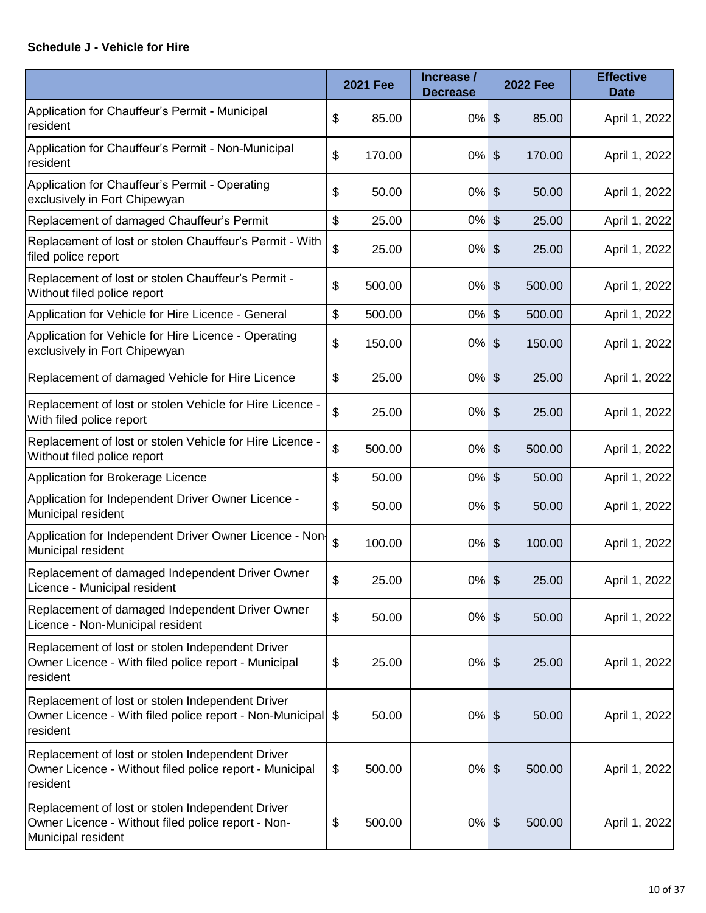#### **Schedule J - Vehicle for Hire**

|                                                                                                                              | <b>2021 Fee</b> | Increase /<br><b>Decrease</b> |                             | <b>2022 Fee</b> | <b>Effective</b><br><b>Date</b> |
|------------------------------------------------------------------------------------------------------------------------------|-----------------|-------------------------------|-----------------------------|-----------------|---------------------------------|
| Application for Chauffeur's Permit - Municipal<br>resident                                                                   | \$<br>85.00     | $0\%$                         | $\boldsymbol{\mathsf{S}}$   | 85.00           | April 1, 2022                   |
| Application for Chauffeur's Permit - Non-Municipal<br>resident                                                               | \$<br>170.00    | 0%                            | $\frac{1}{2}$               | 170.00          | April 1, 2022                   |
| Application for Chauffeur's Permit - Operating<br>exclusively in Fort Chipewyan                                              | \$<br>50.00     | $0\%$                         | \$                          | 50.00           | April 1, 2022                   |
| Replacement of damaged Chauffeur's Permit                                                                                    | \$<br>25.00     | $0\%$                         | $\frac{1}{2}$               | 25.00           | April 1, 2022                   |
| Replacement of lost or stolen Chauffeur's Permit - With<br>filed police report                                               | \$<br>25.00     | $0\%$                         | $\boldsymbol{\theta}$       | 25.00           | April 1, 2022                   |
| Replacement of lost or stolen Chauffeur's Permit -<br>Without filed police report                                            | \$<br>500.00    | 0%                            | \$                          | 500.00          | April 1, 2022                   |
| Application for Vehicle for Hire Licence - General                                                                           | \$<br>500.00    | 0%                            | \$                          | 500.00          | April 1, 2022                   |
| Application for Vehicle for Hire Licence - Operating<br>exclusively in Fort Chipewyan                                        | \$<br>150.00    | 0%                            | \$                          | 150.00          | April 1, 2022                   |
| Replacement of damaged Vehicle for Hire Licence                                                                              | \$<br>25.00     | 0%                            | $\boldsymbol{\mathsf{S}}$   | 25.00           | April 1, 2022                   |
| Replacement of lost or stolen Vehicle for Hire Licence -<br>With filed police report                                         | \$<br>25.00     | 0%                            | \$                          | 25.00           | April 1, 2022                   |
| Replacement of lost or stolen Vehicle for Hire Licence -<br>Without filed police report                                      | \$<br>500.00    | $0\%$                         | $\boldsymbol{\mathsf{S}}$   | 500.00          | April 1, 2022                   |
| Application for Brokerage Licence                                                                                            | \$<br>50.00     | $0\%$                         | $\frac{1}{2}$               | 50.00           | April 1, 2022                   |
| Application for Independent Driver Owner Licence -<br>Municipal resident                                                     | \$<br>50.00     | 0%                            | \$                          | 50.00           | April 1, 2022                   |
| Application for Independent Driver Owner Licence - Non-<br>Municipal resident                                                | \$<br>100.00    | 0%                            | $\boldsymbol{\theta}$       | 100.00          | April 1, 2022                   |
| Replacement of damaged Independent Driver Owner<br>Licence - Municipal resident                                              | \$<br>25.00     | $0%$ \$                       |                             | 25.00           | April 1, 2022                   |
| Replacement of damaged Independent Driver Owner<br>Licence - Non-Municipal resident                                          | \$<br>50.00     | $0\%$                         | $\boldsymbol{\mathsf{S}}$   | 50.00           | April 1, 2022                   |
| Replacement of lost or stolen Independent Driver<br>Owner Licence - With filed police report - Municipal<br>resident         | \$<br>25.00     | $0\%$                         | $\boldsymbol{\hat{\theta}}$ | 25.00           | April 1, 2022                   |
| Replacement of lost or stolen Independent Driver<br>Owner Licence - With filed police report - Non-Municipal<br>resident     | \$<br>50.00     | $0\%$                         | $\boldsymbol{\theta}$       | 50.00           | April 1, 2022                   |
| Replacement of lost or stolen Independent Driver<br>Owner Licence - Without filed police report - Municipal<br>resident      | \$<br>500.00    | $0\%$                         | $\boldsymbol{\mathsf{S}}$   | 500.00          | April 1, 2022                   |
| Replacement of lost or stolen Independent Driver<br>Owner Licence - Without filed police report - Non-<br>Municipal resident | \$<br>500.00    | $0%$ \$                       |                             | 500.00          | April 1, 2022                   |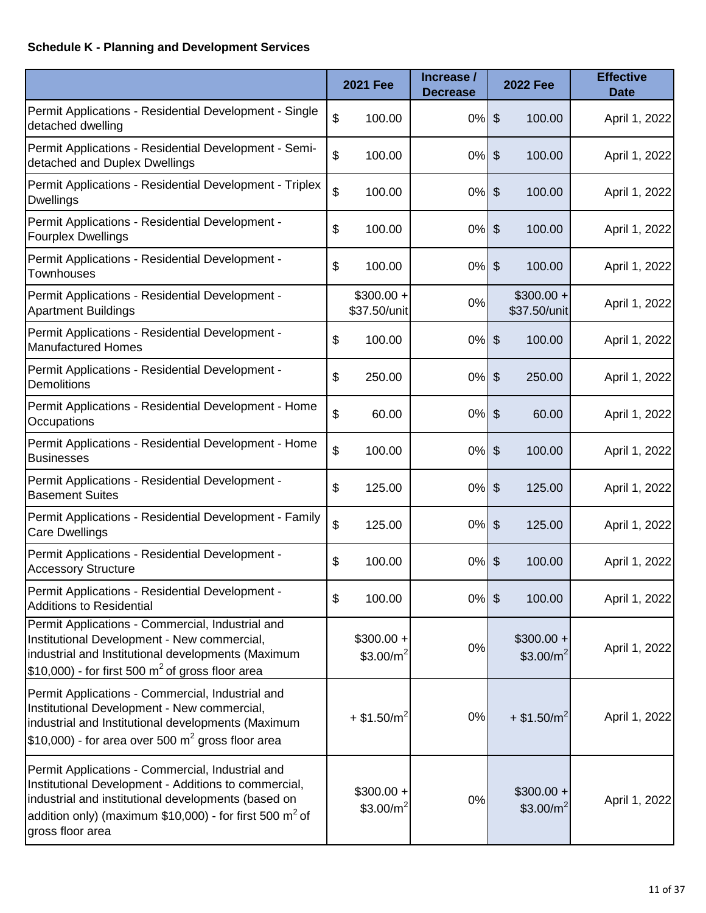# **Schedule K - Planning and Development Services**

|                                                                                                                                                                                                                                                            | <b>2021 Fee</b>              | Increase /<br><b>Decrease</b> |                            | <b>2022 Fee</b>                      | <b>Effective</b><br><b>Date</b> |
|------------------------------------------------------------------------------------------------------------------------------------------------------------------------------------------------------------------------------------------------------------|------------------------------|-------------------------------|----------------------------|--------------------------------------|---------------------------------|
| Permit Applications - Residential Development - Single<br>detached dwelling                                                                                                                                                                                | \$<br>100.00                 | 0%                            | $\boldsymbol{\theta}$      | 100.00                               | April 1, 2022                   |
| Permit Applications - Residential Development - Semi-<br>detached and Duplex Dwellings                                                                                                                                                                     | \$<br>100.00                 | 0%                            | \$                         | 100.00                               | April 1, 2022                   |
| Permit Applications - Residential Development - Triplex<br><b>Dwellings</b>                                                                                                                                                                                | \$<br>100.00                 | $0\%$                         | $\boldsymbol{\theta}$      | 100.00                               | April 1, 2022                   |
| Permit Applications - Residential Development -<br><b>Fourplex Dwellings</b>                                                                                                                                                                               | \$<br>100.00                 | 0%                            | $\boldsymbol{\mathsf{S}}$  | 100.00                               | April 1, 2022                   |
| Permit Applications - Residential Development -<br><b>Townhouses</b>                                                                                                                                                                                       | \$<br>100.00                 | $0\%$                         | $\boldsymbol{\theta}$      | 100.00                               | April 1, 2022                   |
| Permit Applications - Residential Development -<br><b>Apartment Buildings</b>                                                                                                                                                                              | $$300.00 +$<br>\$37.50/unit  | 0%                            |                            | $$300.00 +$<br>\$37.50/unit          | April 1, 2022                   |
| Permit Applications - Residential Development -<br><b>Manufactured Homes</b>                                                                                                                                                                               | \$<br>100.00                 | $0\%$                         | $\boldsymbol{\mathsf{S}}$  | 100.00                               | April 1, 2022                   |
| Permit Applications - Residential Development -<br><b>Demolitions</b>                                                                                                                                                                                      | \$<br>250.00                 | 0%                            | $\boldsymbol{\theta}$      | 250.00                               | April 1, 2022                   |
| Permit Applications - Residential Development - Home<br>Occupations                                                                                                                                                                                        | \$<br>60.00                  | $0\%$                         | $\boldsymbol{\mathsf{S}}$  | 60.00                                | April 1, 2022                   |
| Permit Applications - Residential Development - Home<br><b>Businesses</b>                                                                                                                                                                                  | \$<br>100.00                 | 0%                            | $\boldsymbol{\mathsf{S}}$  | 100.00                               | April 1, 2022                   |
| Permit Applications - Residential Development -<br><b>Basement Suites</b>                                                                                                                                                                                  | \$<br>125.00                 | $0\%$                         | $\boldsymbol{\theta}$      | 125.00                               | April 1, 2022                   |
| Permit Applications - Residential Development - Family<br>Care Dwellings                                                                                                                                                                                   | \$<br>125.00                 | 0%                            | $\boldsymbol{\theta}$      | 125.00                               | April 1, 2022                   |
| Permit Applications - Residential Development -<br><b>Accessory Structure</b>                                                                                                                                                                              | \$<br>100.00                 | 0%                            | $\boldsymbol{\mathsf{\$}}$ | 100.00                               | April 1, 2022                   |
| Permit Applications - Residential Development -<br><b>Additions to Residential</b>                                                                                                                                                                         | \$<br>100.00                 | $0\%$ \$                      |                            | 100.00                               | April 1, 2022                   |
| Permit Applications - Commercial, Industrial and<br>Institutional Development - New commercial,<br>industrial and Institutional developments (Maximum<br>\$10,000) - for first 500 $m^2$ of gross floor area                                               | $$300.00 +$<br>\$3.00/ $m^2$ | 0%                            |                            | $$300.00 +$<br>\$3.00/m <sup>2</sup> | April 1, 2022                   |
| Permit Applications - Commercial, Industrial and<br>Institutional Development - New commercial,<br>industrial and Institutional developments (Maximum<br>\$10,000) - for area over 500 $m^2$ gross floor area                                              | $+$ \$1.50/m <sup>2</sup>    | 0%                            |                            | $+$ \$1.50/m <sup>2</sup>            | April 1, 2022                   |
| Permit Applications - Commercial, Industrial and<br>Institutional Development - Additions to commercial,<br>industrial and institutional developments (based on<br>addition only) (maximum \$10,000) - for first 500 m <sup>2</sup> of<br>gross floor area | $$300.00 +$<br>\$3.00/ $m^2$ | 0%                            |                            | $$300.00 +$<br>\$3.00/m <sup>2</sup> | April 1, 2022                   |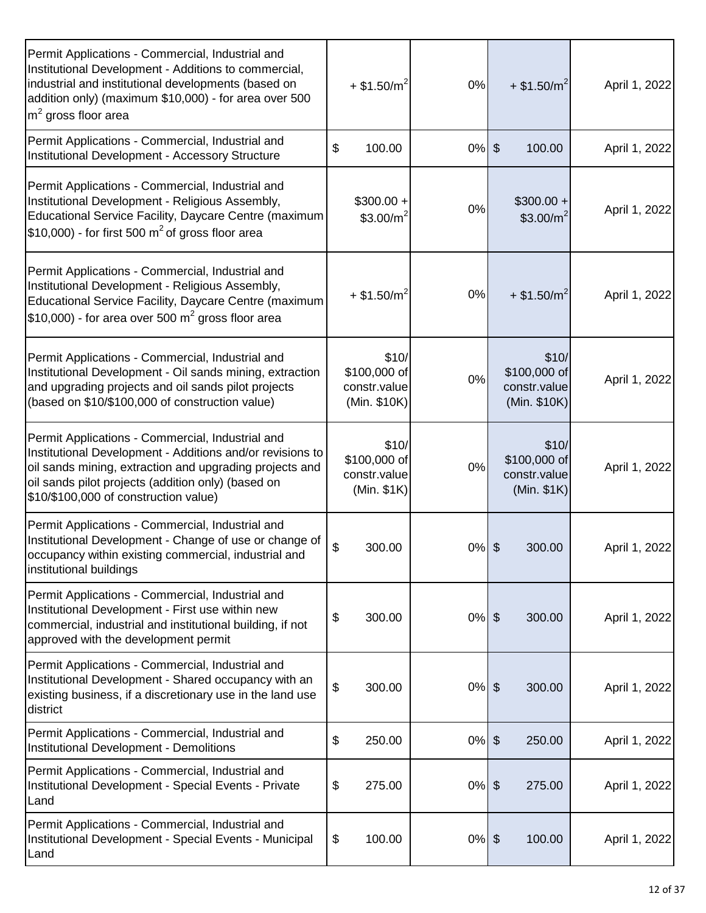| Permit Applications - Commercial, Industrial and<br>Institutional Development - Additions to commercial,<br>industrial and institutional developments (based on<br>addition only) (maximum \$10,000) - for area over 500<br>$m2$ gross floor area                       | $+$ \$1.50/m <sup>2</sup>                             | 0%       | $+$ \$1.50/m <sup>2</sup>                             | April 1, 2022 |
|-------------------------------------------------------------------------------------------------------------------------------------------------------------------------------------------------------------------------------------------------------------------------|-------------------------------------------------------|----------|-------------------------------------------------------|---------------|
| Permit Applications - Commercial, Industrial and<br>Institutional Development - Accessory Structure                                                                                                                                                                     | \$<br>100.00                                          | 0%       | $\frac{1}{2}$<br>100.00                               | April 1, 2022 |
| Permit Applications - Commercial, Industrial and<br>Institutional Development - Religious Assembly,<br>Educational Service Facility, Daycare Centre (maximum<br>\$10,000) - for first 500 $m^2$ of gross floor area                                                     | $$300.00 +$<br>\$3.00/m <sup>2</sup>                  | 0%       | $$300.00 +$<br>\$3.00/m <sup>2</sup>                  | April 1, 2022 |
| Permit Applications - Commercial, Industrial and<br>Institutional Development - Religious Assembly,<br>Educational Service Facility, Daycare Centre (maximum<br>$$10,000$ ) - for area over 500 m <sup>2</sup> gross floor area                                         | $+$ \$1.50/m <sup>2</sup>                             | 0%       | $+$ \$1.50/m <sup>2</sup>                             | April 1, 2022 |
| Permit Applications - Commercial, Industrial and<br>Institutional Development - Oil sands mining, extraction<br>and upgrading projects and oil sands pilot projects<br>(based on \$10/\$100,000 of construction value)                                                  | \$10/<br>\$100,000 of<br>constr.value<br>(Min. \$10K) | $0\%$    | \$10/<br>\$100,000 of<br>constr.value<br>(Min. \$10K) | April 1, 2022 |
| Permit Applications - Commercial, Industrial and<br>Institutional Development - Additions and/or revisions to<br>oil sands mining, extraction and upgrading projects and<br>oil sands pilot projects (addition only) (based on<br>\$10/\$100,000 of construction value) | \$10/<br>\$100,000 of<br>constr.value<br>(Min. \$1K)  | 0%       | \$10/<br>\$100,000 of<br>constr.value<br>(Min. \$1K)  | April 1, 2022 |
| Permit Applications - Commercial, Industrial and<br>Institutional Development - Change of use or change of<br>occupancy within existing commercial, industrial and<br>institutional buildings                                                                           | \$<br>300.00                                          | $0%$ \$  | 300.00                                                | April 1, 2022 |
| Permit Applications - Commercial, Industrial and<br>Institutional Development - First use within new<br>commercial, industrial and institutional building, if not<br>approved with the development permit                                                               | \$<br>300.00                                          | $0\%$ \$ | 300.00                                                | April 1, 2022 |
| Permit Applications - Commercial, Industrial and<br>Institutional Development - Shared occupancy with an<br>existing business, if a discretionary use in the land use<br>district                                                                                       | \$<br>300.00                                          | $0%$ \$  | 300.00                                                | April 1, 2022 |
| Permit Applications - Commercial, Industrial and<br><b>Institutional Development - Demolitions</b>                                                                                                                                                                      | \$<br>250.00                                          | $0\%$ \$ | 250.00                                                | April 1, 2022 |
| Permit Applications - Commercial, Industrial and<br>Institutional Development - Special Events - Private<br>Land                                                                                                                                                        | \$<br>275.00                                          | $0%$ \$  | 275.00                                                | April 1, 2022 |
| Permit Applications - Commercial, Industrial and<br>Institutional Development - Special Events - Municipal<br>Land                                                                                                                                                      | \$<br>100.00                                          | $0\%$ \$ | 100.00                                                | April 1, 2022 |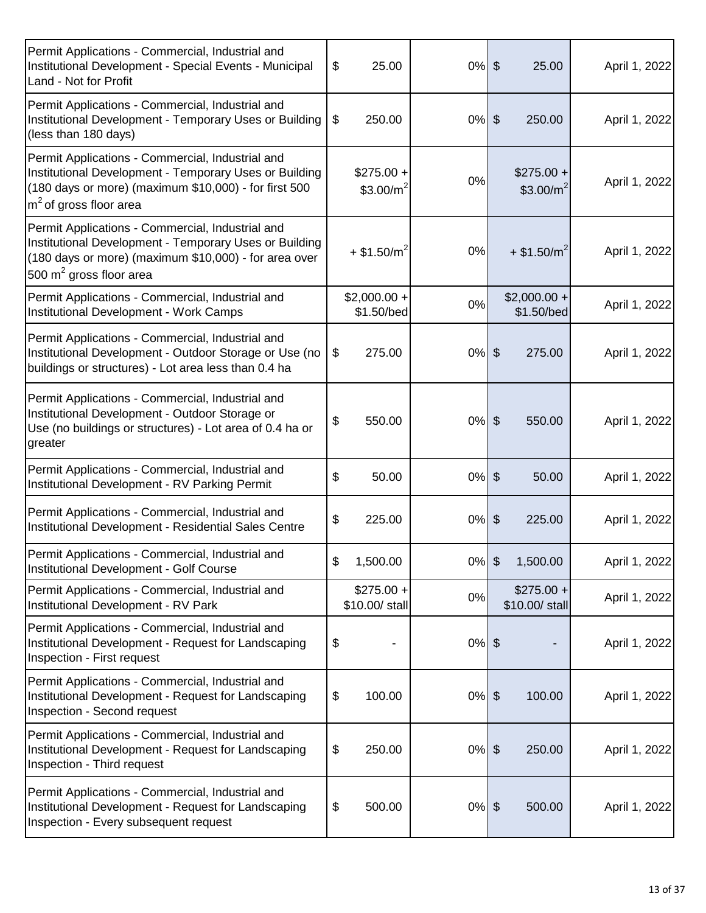| Permit Applications - Commercial, Industrial and<br>Institutional Development - Special Events - Municipal<br>Land - Not for Profit                                                              | \$<br>25.00                   | $0%$ \$  | 25.00                                | April 1, 2022 |
|--------------------------------------------------------------------------------------------------------------------------------------------------------------------------------------------------|-------------------------------|----------|--------------------------------------|---------------|
| Permit Applications - Commercial, Industrial and<br>Institutional Development - Temporary Uses or Building<br>(less than 180 days)                                                               | \$<br>250.00                  | $0%$ \$  | 250.00                               | April 1, 2022 |
| Permit Applications - Commercial, Industrial and<br>Institutional Development - Temporary Uses or Building<br>(180 days or more) (maximum \$10,000) - for first 500<br>$m2$ of gross floor area  | $$275.00 +$<br>\$3.00/ $m2$   | 0%       | $$275.00 +$<br>\$3.00/m <sup>2</sup> | April 1, 2022 |
| Permit Applications - Commercial, Industrial and<br>Institutional Development - Temporary Uses or Building<br>(180 days or more) (maximum \$10,000) - for area over<br>500 $m2$ gross floor area | $+$ \$1.50/m <sup>2</sup>     | 0%       | $+$ \$1.50/m <sup>2</sup>            | April 1, 2022 |
| Permit Applications - Commercial, Industrial and<br>Institutional Development - Work Camps                                                                                                       | $$2,000.00 +$<br>\$1.50/bed   | 0%       | $$2,000.00 +$<br>\$1.50/bed          | April 1, 2022 |
| Permit Applications - Commercial, Industrial and<br>Institutional Development - Outdoor Storage or Use (no<br>buildings or structures) - Lot area less than 0.4 ha                               | $\$\$<br>275.00               | $0%$ \$  | 275.00                               | April 1, 2022 |
| Permit Applications - Commercial, Industrial and<br>Institutional Development - Outdoor Storage or<br>Use (no buildings or structures) - Lot area of 0.4 ha or<br>greater                        | \$<br>550.00                  | $0%$ \$  | 550.00                               | April 1, 2022 |
| Permit Applications - Commercial, Industrial and<br>Institutional Development - RV Parking Permit                                                                                                | \$<br>50.00                   | $0%$ \$  | 50.00                                | April 1, 2022 |
| Permit Applications - Commercial, Industrial and<br>Institutional Development - Residential Sales Centre                                                                                         | \$<br>225.00                  | $0\%$    | $\frac{1}{2}$<br>225.00              | April 1, 2022 |
| Permit Applications - Commercial, Industrial and<br>Institutional Development - Golf Course                                                                                                      | \$<br>1,500.00                | $0\%$ \$ | 1,500.00                             | April 1, 2022 |
| Permit Applications - Commercial, Industrial and<br>Institutional Development - RV Park                                                                                                          | $$275.00 +$<br>\$10.00/ stall | 0%       | $$275.00 +$<br>\$10.00/ stall        | April 1, 2022 |
| Permit Applications - Commercial, Industrial and<br>Institutional Development - Request for Landscaping<br>Inspection - First request                                                            | \$                            | $0%$ \$  |                                      | April 1, 2022 |
| Permit Applications - Commercial, Industrial and<br>Institutional Development - Request for Landscaping<br>Inspection - Second request                                                           | \$<br>100.00                  | $0%$ \$  | 100.00                               | April 1, 2022 |
| Permit Applications - Commercial, Industrial and<br>Institutional Development - Request for Landscaping<br>Inspection - Third request                                                            | \$<br>250.00                  | $0%$ \$  | 250.00                               | April 1, 2022 |
| Permit Applications - Commercial, Industrial and<br>Institutional Development - Request for Landscaping<br>Inspection - Every subsequent request                                                 | \$<br>500.00                  | $0%$ \$  | 500.00                               | April 1, 2022 |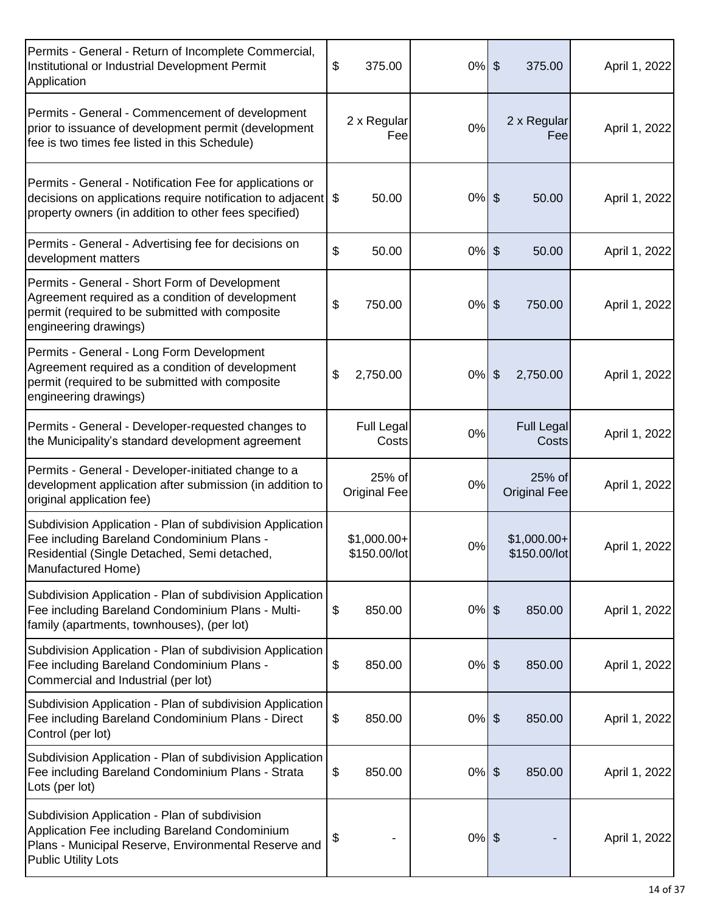| Permits - General - Return of Incomplete Commercial,<br>Institutional or Industrial Development Permit<br>Application                                                                 | \$<br>375.00                  | $0%$ \$  | 375.00                        | April 1, 2022 |
|---------------------------------------------------------------------------------------------------------------------------------------------------------------------------------------|-------------------------------|----------|-------------------------------|---------------|
| Permits - General - Commencement of development<br>prior to issuance of development permit (development<br>fee is two times fee listed in this Schedule)                              | 2 x Regular<br>Fee            | 0%       | 2 x Regular<br>Fee            | April 1, 2022 |
| Permits - General - Notification Fee for applications or<br>decisions on applications require notification to adjacent \$<br>property owners (in addition to other fees specified)    | 50.00                         | $0%$ \$  | 50.00                         | April 1, 2022 |
| Permits - General - Advertising fee for decisions on<br>development matters                                                                                                           | \$<br>50.00                   | $0\%$    | \$<br>50.00                   | April 1, 2022 |
| Permits - General - Short Form of Development<br>Agreement required as a condition of development<br>permit (required to be submitted with composite<br>engineering drawings)         | \$<br>750.00                  | $0\%$ \$ | 750.00                        | April 1, 2022 |
| Permits - General - Long Form Development<br>Agreement required as a condition of development<br>permit (required to be submitted with composite<br>engineering drawings)             | \$<br>2,750.00                | $0%$ \$  | 2,750.00                      | April 1, 2022 |
| Permits - General - Developer-requested changes to<br>the Municipality's standard development agreement                                                                               | <b>Full Legal</b><br>Costs    | 0%       | <b>Full Legal</b><br>Costs    | April 1, 2022 |
| Permits - General - Developer-initiated change to a<br>development application after submission (in addition to<br>original application fee)                                          | 25% of<br><b>Original Fee</b> | 0%       | 25% of<br><b>Original Fee</b> | April 1, 2022 |
| Subdivision Application - Plan of subdivision Application<br>Fee including Bareland Condominium Plans -<br>Residential (Single Detached, Semi detached,<br>Manufactured Home)         | $$1,000.00+$<br>\$150.00/lot  | $0\%$    | $$1,000.00+$<br>\$150.00/lot  | April 1, 2022 |
| Subdivision Application - Plan of subdivision Application<br>Fee including Bareland Condominium Plans - Multi-<br>family (apartments, townhouses), (per lot)                          | \$<br>850.00                  | $0%$ \$  | 850.00                        | April 1, 2022 |
| Subdivision Application - Plan of subdivision Application<br>Fee including Bareland Condominium Plans -<br>Commercial and Industrial (per lot)                                        | \$<br>850.00                  | $0%$ \$  | 850.00                        | April 1, 2022 |
| Subdivision Application - Plan of subdivision Application<br>Fee including Bareland Condominium Plans - Direct<br>Control (per lot)                                                   | \$<br>850.00                  | $0%$ \$  | 850.00                        | April 1, 2022 |
| Subdivision Application - Plan of subdivision Application<br>Fee including Bareland Condominium Plans - Strata<br>Lots (per lot)                                                      | \$<br>850.00                  | $0%$ \$  | 850.00                        | April 1, 2022 |
| Subdivision Application - Plan of subdivision<br>Application Fee including Bareland Condominium<br>Plans - Municipal Reserve, Environmental Reserve and<br><b>Public Utility Lots</b> | \$                            | $0%$ \$  |                               | April 1, 2022 |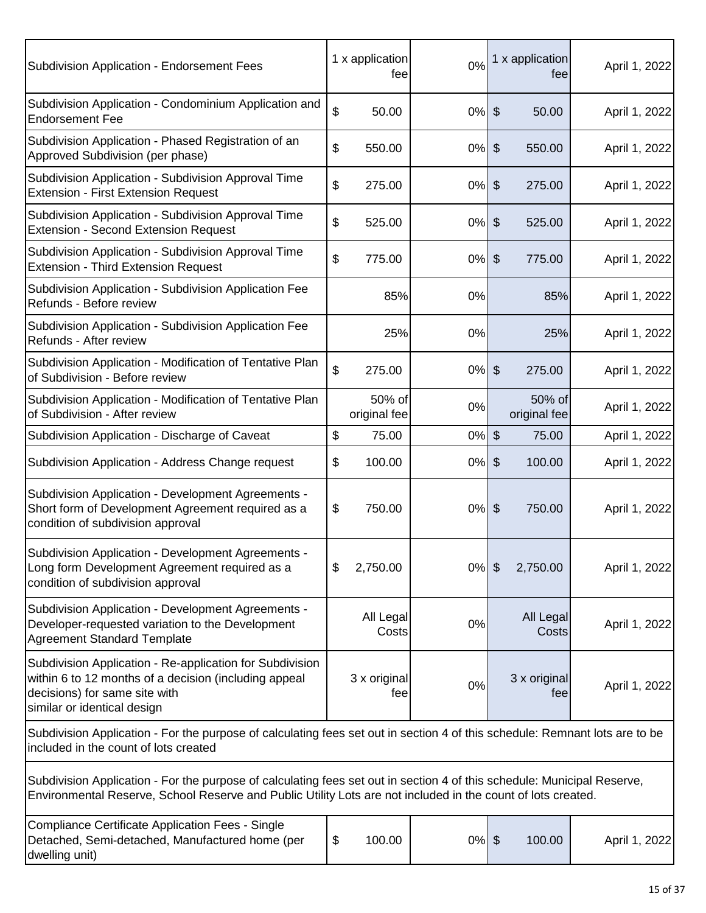| Subdivision Application - Endorsement Fees                                                                                                                                                                                              | 1 x application<br>fee | 0%       | 1 x application<br>tee                | April 1, 2022 |
|-----------------------------------------------------------------------------------------------------------------------------------------------------------------------------------------------------------------------------------------|------------------------|----------|---------------------------------------|---------------|
| Subdivision Application - Condominium Application and<br><b>Endorsement Fee</b>                                                                                                                                                         | \$<br>50.00            | $0%$ \$  | 50.00                                 | April 1, 2022 |
| Subdivision Application - Phased Registration of an<br>Approved Subdivision (per phase)                                                                                                                                                 | \$<br>550.00           | 0%       | $\boldsymbol{\hat{\theta}}$<br>550.00 | April 1, 2022 |
| Subdivision Application - Subdivision Approval Time<br><b>Extension - First Extension Request</b>                                                                                                                                       | \$<br>275.00           | $0%$ \$  | 275.00                                | April 1, 2022 |
| Subdivision Application - Subdivision Approval Time<br><b>Extension - Second Extension Request</b>                                                                                                                                      | \$<br>525.00           | $0\%$    | $\sqrt[6]{\frac{1}{2}}$<br>525.00     | April 1, 2022 |
| Subdivision Application - Subdivision Approval Time<br><b>Extension - Third Extension Request</b>                                                                                                                                       | \$<br>775.00           | 0%       | $\sqrt[6]{\frac{1}{2}}$<br>775.00     | April 1, 2022 |
| Subdivision Application - Subdivision Application Fee<br>Refunds - Before review                                                                                                                                                        | 85%                    | 0%       | 85%                                   | April 1, 2022 |
| Subdivision Application - Subdivision Application Fee<br>Refunds - After review                                                                                                                                                         | 25%                    | 0%       | 25%                                   | April 1, 2022 |
| Subdivision Application - Modification of Tentative Plan<br>of Subdivision - Before review                                                                                                                                              | \$<br>275.00           | 0%       | $\sqrt[6]{\frac{1}{2}}$<br>275.00     | April 1, 2022 |
| Subdivision Application - Modification of Tentative Plan<br>of Subdivision - After review                                                                                                                                               | 50% of<br>original fee | 0%       | 50% of<br>original fee                | April 1, 2022 |
| Subdivision Application - Discharge of Caveat                                                                                                                                                                                           | \$<br>75.00            | 0%       | $\sqrt[6]{3}$<br>75.00                | April 1, 2022 |
| Subdivision Application - Address Change request                                                                                                                                                                                        | \$<br>100.00           | $0\%$    | $\sqrt[6]{\frac{1}{2}}$<br>100.00     | April 1, 2022 |
| Subdivision Application - Development Agreements -<br>Short form of Development Agreement required as a<br>condition of subdivision approval                                                                                            | \$<br>750.00           | $0%$ \$  | 750.00                                | April 1, 2022 |
| Subdivision Application - Development Agreements -<br>Long form Development Agreement required as a<br>condition of subdivision approval                                                                                                | \$<br>2,750.00         | $0\%$    | $\sqrt[6]{\frac{1}{2}}$<br>2,750.00   | April 1, 2022 |
| Subdivision Application - Development Agreements -<br>Developer-requested variation to the Development<br><b>Agreement Standard Template</b>                                                                                            | All Legal<br>Costs     | 0%       | All Legal<br>Costs                    | April 1, 2022 |
| Subdivision Application - Re-application for Subdivision<br>within 6 to 12 months of a decision (including appeal<br>decisions) for same site with<br>similar or identical design                                                       | 3 x original<br>fee    | 0%       | 3 x original<br>fee                   | April 1, 2022 |
| Subdivision Application - For the purpose of calculating fees set out in section 4 of this schedule: Remnant lots are to be<br>included in the count of lots created                                                                    |                        |          |                                       |               |
| Subdivision Application - For the purpose of calculating fees set out in section 4 of this schedule: Municipal Reserve,<br>Environmental Reserve, School Reserve and Public Utility Lots are not included in the count of lots created. |                        |          |                                       |               |
| Compliance Certificate Application Fees - Single<br>Detached, Semi-detached, Manufactured home (per<br>dwelling unit)                                                                                                                   | \$<br>100.00           | $0\%$ \$ | 100.00                                | April 1, 2022 |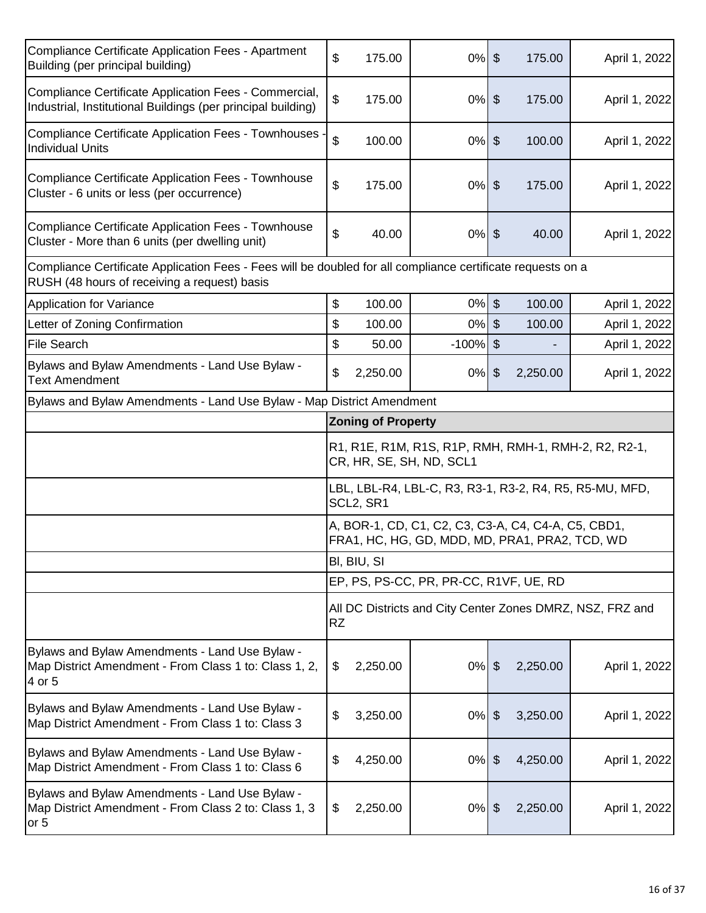| <b>Compliance Certificate Application Fees - Apartment</b><br>Building (per principal building)                                                             | \$<br>175.00                                                                                          | $0%$ \$     | 175.00                    | April 1, 2022                                             |  |  |  |
|-------------------------------------------------------------------------------------------------------------------------------------------------------------|-------------------------------------------------------------------------------------------------------|-------------|---------------------------|-----------------------------------------------------------|--|--|--|
| Compliance Certificate Application Fees - Commercial,<br>Industrial, Institutional Buildings (per principal building)                                       | \$<br>175.00                                                                                          | $0\%$ \$    | 175.00                    | April 1, 2022                                             |  |  |  |
| Compliance Certificate Application Fees - Townhouses<br><b>Individual Units</b>                                                                             | $\mathfrak{S}$<br>100.00                                                                              | $0\%$ \$    | 100.00                    | April 1, 2022                                             |  |  |  |
| <b>Compliance Certificate Application Fees - Townhouse</b><br>Cluster - 6 units or less (per occurrence)                                                    | \$<br>175.00                                                                                          | $0\%$ \$    | 175.00                    | April 1, 2022                                             |  |  |  |
| <b>Compliance Certificate Application Fees - Townhouse</b><br>Cluster - More than 6 units (per dwelling unit)                                               | \$<br>40.00                                                                                           | $0%$ \$     | 40.00                     | April 1, 2022                                             |  |  |  |
| Compliance Certificate Application Fees - Fees will be doubled for all compliance certificate requests on a<br>RUSH (48 hours of receiving a request) basis |                                                                                                       |             |                           |                                                           |  |  |  |
| Application for Variance                                                                                                                                    | 100.00<br>\$                                                                                          | $0%$ \$     | 100.00                    | April 1, 2022                                             |  |  |  |
| Letter of Zoning Confirmation                                                                                                                               | \$<br>100.00                                                                                          | $0\%$ \$    | 100.00                    | April 1, 2022                                             |  |  |  |
| <b>File Search</b>                                                                                                                                          | \$<br>50.00                                                                                           | $-100\%$ \$ |                           | April 1, 2022                                             |  |  |  |
| Bylaws and Bylaw Amendments - Land Use Bylaw -<br><b>Text Amendment</b>                                                                                     | \$<br>2,250.00                                                                                        | $0\%$ \$    | 2,250.00                  | April 1, 2022                                             |  |  |  |
| Bylaws and Bylaw Amendments - Land Use Bylaw - Map District Amendment                                                                                       |                                                                                                       |             |                           |                                                           |  |  |  |
|                                                                                                                                                             | <b>Zoning of Property</b>                                                                             |             |                           |                                                           |  |  |  |
|                                                                                                                                                             | R1, R1E, R1M, R1S, R1P, RMH, RMH-1, RMH-2, R2, R2-1,<br>CR, HR, SE, SH, ND, SCL1                      |             |                           |                                                           |  |  |  |
|                                                                                                                                                             | LBL, LBL-R4, LBL-C, R3, R3-1, R3-2, R4, R5, R5-MU, MFD,<br>SCL2, SR1                                  |             |                           |                                                           |  |  |  |
|                                                                                                                                                             |                                                                                                       |             |                           |                                                           |  |  |  |
|                                                                                                                                                             | A, BOR-1, CD, C1, C2, C3, C3-A, C4, C4-A, C5, CBD1,<br>FRA1, HC, HG, GD, MDD, MD, PRA1, PRA2, TCD, WD |             |                           |                                                           |  |  |  |
|                                                                                                                                                             | BI, BIU, SI                                                                                           |             |                           |                                                           |  |  |  |
|                                                                                                                                                             | EP, PS, PS-CC, PR, PR-CC, R1VF, UE, RD                                                                |             |                           |                                                           |  |  |  |
|                                                                                                                                                             | <b>RZ</b>                                                                                             |             |                           | All DC Districts and City Center Zones DMRZ, NSZ, FRZ and |  |  |  |
| Bylaws and Bylaw Amendments - Land Use Bylaw -<br>Map District Amendment - From Class 1 to: Class 1, 2,<br>4 or 5                                           | \$<br>2,250.00                                                                                        | 0%          | $\frac{1}{2}$<br>2,250.00 |                                                           |  |  |  |
| Bylaws and Bylaw Amendments - Land Use Bylaw -<br>Map District Amendment - From Class 1 to: Class 3                                                         | \$<br>3,250.00                                                                                        | 0%          | $\frac{1}{2}$<br>3,250.00 | April 1, 2022<br>April 1, 2022                            |  |  |  |
| Bylaws and Bylaw Amendments - Land Use Bylaw -<br>Map District Amendment - From Class 1 to: Class 6                                                         | \$<br>4,250.00                                                                                        | $0\%$ \$    | 4,250.00                  | April 1, 2022                                             |  |  |  |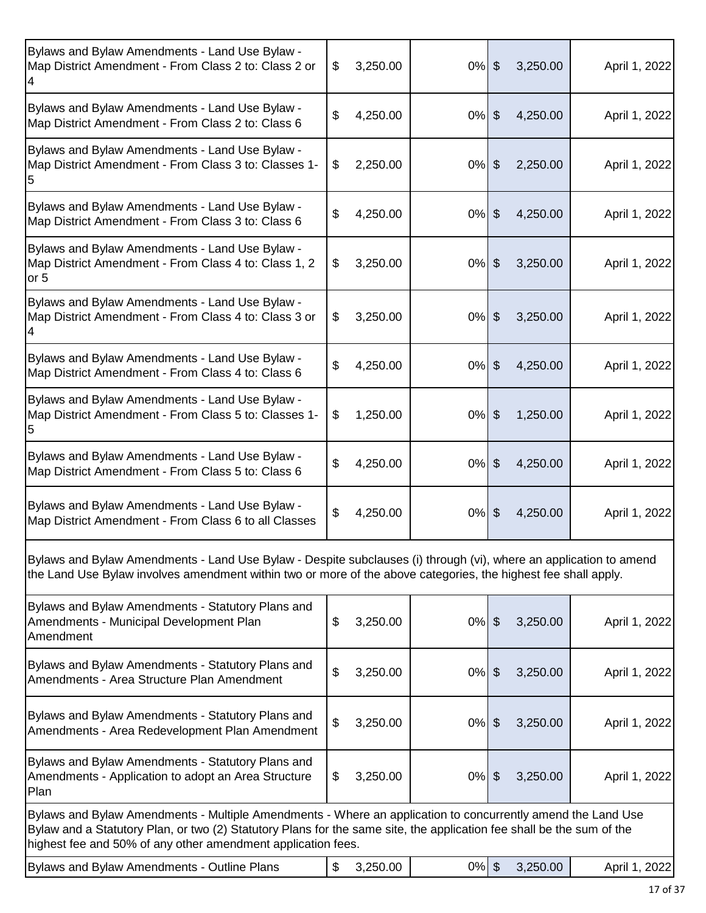| Bylaws and Bylaw Amendments - Land Use Bylaw -<br>Map District Amendment - From Class 2 to: Class 2 or<br>4                                                                                                                                                                                          | 3,250.00<br>\$ | $0%$ \$  | 3,250.00                              | April 1, 2022 |
|------------------------------------------------------------------------------------------------------------------------------------------------------------------------------------------------------------------------------------------------------------------------------------------------------|----------------|----------|---------------------------------------|---------------|
| Bylaws and Bylaw Amendments - Land Use Bylaw -<br>Map District Amendment - From Class 2 to: Class 6                                                                                                                                                                                                  | \$<br>4,250.00 | $0%$ \$  | 4,250.00                              | April 1, 2022 |
| Bylaws and Bylaw Amendments - Land Use Bylaw -<br>Map District Amendment - From Class 3 to: Classes 1-                                                                                                                                                                                               | 2,250.00<br>\$ | $0\%$    | \$<br>2,250.00                        | April 1, 2022 |
| Bylaws and Bylaw Amendments - Land Use Bylaw -<br>Map District Amendment - From Class 3 to: Class 6                                                                                                                                                                                                  | \$<br>4,250.00 | $0\%$ \$ | 4,250.00                              | April 1, 2022 |
| Bylaws and Bylaw Amendments - Land Use Bylaw -<br>Map District Amendment - From Class 4 to: Class 1, 2<br>or 5                                                                                                                                                                                       | \$<br>3,250.00 | 0%       | $\frac{1}{2}$<br>3,250.00             | April 1, 2022 |
| Bylaws and Bylaw Amendments - Land Use Bylaw -<br>Map District Amendment - From Class 4 to: Class 3 or                                                                                                                                                                                               | 3,250.00<br>\$ | $0\%$    | $\frac{1}{2}$<br>3,250.00             | April 1, 2022 |
| Bylaws and Bylaw Amendments - Land Use Bylaw -<br>Map District Amendment - From Class 4 to: Class 6                                                                                                                                                                                                  | 4,250.00<br>\$ | $0\%$    | $\boldsymbol{\mathsf{S}}$<br>4,250.00 | April 1, 2022 |
| Bylaws and Bylaw Amendments - Land Use Bylaw -<br>Map District Amendment - From Class 5 to: Classes 1-                                                                                                                                                                                               | 1,250.00<br>\$ | $0%$ \$  | 1,250.00                              | April 1, 2022 |
| Bylaws and Bylaw Amendments - Land Use Bylaw -<br>Map District Amendment - From Class 5 to: Class 6                                                                                                                                                                                                  | \$<br>4,250.00 | 0%       | $\frac{1}{2}$<br>4,250.00             | April 1, 2022 |
| Bylaws and Bylaw Amendments - Land Use Bylaw -<br>Map District Amendment - From Class 6 to all Classes                                                                                                                                                                                               | \$<br>4,250.00 | $0\%$ \$ | 4,250.00                              | April 1, 2022 |
| Bylaws and Bylaw Amendments - Land Use Bylaw - Despite subclauses (i) through (vi), where an application to amend<br>the Land Use Bylaw involves amendment within two or more of the above categories, the highest fee shall apply.                                                                  |                |          |                                       |               |
| Bylaws and Bylaw Amendments - Statutory Plans and<br>Amendments - Municipal Development Plan<br>Amendment                                                                                                                                                                                            | \$<br>3,250.00 | $0\%$    | $\boldsymbol{\theta}$<br>3,250.00     | April 1, 2022 |
| Bylaws and Bylaw Amendments - Statutory Plans and<br>Amendments - Area Structure Plan Amendment                                                                                                                                                                                                      | \$<br>3,250.00 | 0%       | \$<br>3,250.00                        | April 1, 2022 |
| Bylaws and Bylaw Amendments - Statutory Plans and<br>Amendments - Area Redevelopment Plan Amendment                                                                                                                                                                                                  | \$<br>3,250.00 | $0\%$    | $\boldsymbol{\theta}$<br>3,250.00     | April 1, 2022 |
| Bylaws and Bylaw Amendments - Statutory Plans and<br>Amendments - Application to adopt an Area Structure<br>Plan                                                                                                                                                                                     | \$<br>3,250.00 | $0\%$    | \$<br>3,250.00                        | April 1, 2022 |
| Bylaws and Bylaw Amendments - Multiple Amendments - Where an application to concurrently amend the Land Use<br>Bylaw and a Statutory Plan, or two (2) Statutory Plans for the same site, the application fee shall be the sum of the<br>highest fee and 50% of any other amendment application fees. |                |          |                                       |               |
| Bylaws and Bylaw Amendments - Outline Plans                                                                                                                                                                                                                                                          | 3,250.00<br>\$ | $0\%$    | $\boldsymbol{\theta}$<br>3,250.00     | April 1, 2022 |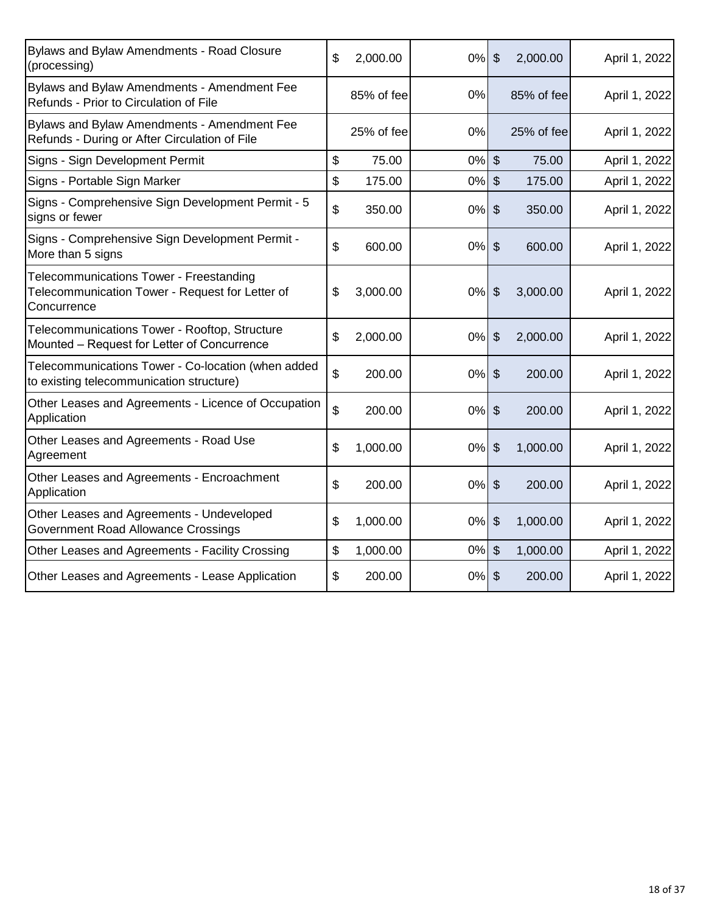| Bylaws and Bylaw Amendments - Road Closure<br>(processing)                                                | \$<br>2,000.00 | 0%    | $\boldsymbol{\mathsf{S}}$ | 2,000.00   | April 1, 2022 |
|-----------------------------------------------------------------------------------------------------------|----------------|-------|---------------------------|------------|---------------|
| Bylaws and Bylaw Amendments - Amendment Fee<br>Refunds - Prior to Circulation of File                     | 85% of fee     | 0%    |                           | 85% of fee | April 1, 2022 |
| Bylaws and Bylaw Amendments - Amendment Fee<br>Refunds - During or After Circulation of File              | 25% of fee     | 0%    |                           | 25% of fee | April 1, 2022 |
| Signs - Sign Development Permit                                                                           | \$<br>75.00    | 0%    | $\boldsymbol{\mathsf{S}}$ | 75.00      | April 1, 2022 |
| Signs - Portable Sign Marker                                                                              | \$<br>175.00   | 0%    | \$                        | 175.00     | April 1, 2022 |
| Signs - Comprehensive Sign Development Permit - 5<br>signs or fewer                                       | \$<br>350.00   | 0%    | $\frac{1}{2}$             | 350.00     | April 1, 2022 |
| Signs - Comprehensive Sign Development Permit -<br>More than 5 signs                                      | \$<br>600.00   | 0%    | $\frac{1}{2}$             | 600.00     | April 1, 2022 |
| Telecommunications Tower - Freestanding<br>Telecommunication Tower - Request for Letter of<br>Concurrence | \$<br>3,000.00 | 0%    | \$                        | 3,000.00   | April 1, 2022 |
| Telecommunications Tower - Rooftop, Structure<br>Mounted - Request for Letter of Concurrence              | \$<br>2,000.00 | 0%    | \$                        | 2,000.00   | April 1, 2022 |
| Telecommunications Tower - Co-location (when added<br>to existing telecommunication structure)            | \$<br>200.00   | $0\%$ | \$                        | 200.00     | April 1, 2022 |
| Other Leases and Agreements - Licence of Occupation<br>Application                                        | \$<br>200.00   | 0%    | \$                        | 200.00     | April 1, 2022 |
| Other Leases and Agreements - Road Use<br>Agreement                                                       | \$<br>1,000.00 | 0%    | $\mathfrak{S}$            | 1,000.00   | April 1, 2022 |
| Other Leases and Agreements - Encroachment<br>Application                                                 | \$<br>200.00   | 0%    | $\sqrt{2}$                | 200.00     | April 1, 2022 |
| Other Leases and Agreements - Undeveloped<br>Government Road Allowance Crossings                          | \$<br>1,000.00 | 0%    | \$                        | 1,000.00   | April 1, 2022 |
| Other Leases and Agreements - Facility Crossing                                                           | \$<br>1,000.00 | $0\%$ | $\mathcal{S}$             | 1,000.00   | April 1, 2022 |
| Other Leases and Agreements - Lease Application                                                           | \$<br>200.00   | $0\%$ | $\boldsymbol{\mathsf{S}}$ | 200.00     | April 1, 2022 |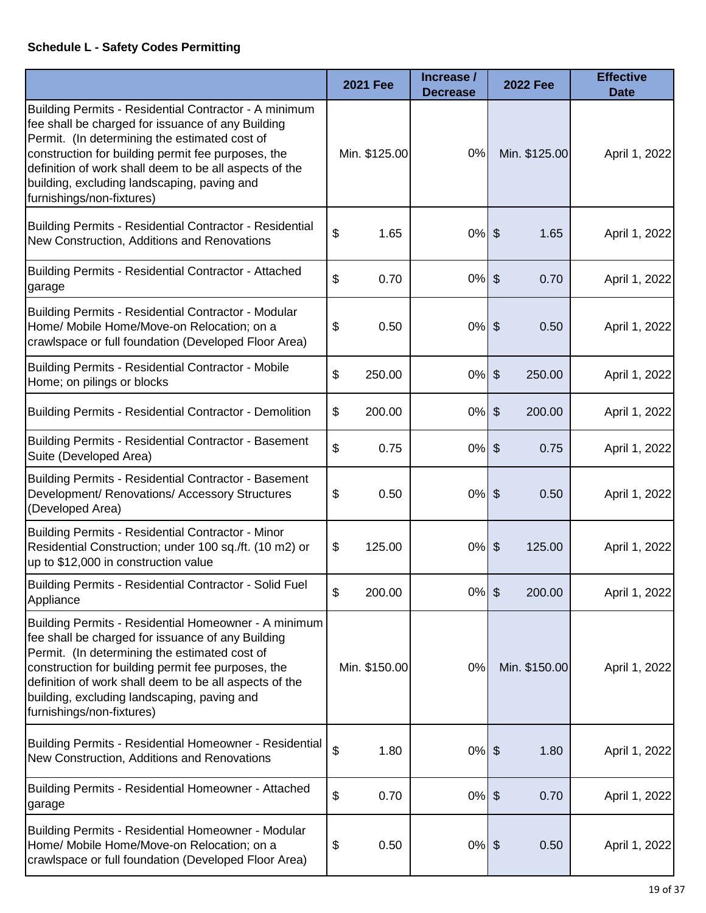# **Schedule L - Safety Codes Permitting**

|                                                                                                                                                                                                                                                                                                                                                         | <b>2021 Fee</b> | Increase /<br><b>Decrease</b> | <b>2022 Fee</b>                      | <b>Effective</b><br><b>Date</b> |
|---------------------------------------------------------------------------------------------------------------------------------------------------------------------------------------------------------------------------------------------------------------------------------------------------------------------------------------------------------|-----------------|-------------------------------|--------------------------------------|---------------------------------|
| Building Permits - Residential Contractor - A minimum<br>fee shall be charged for issuance of any Building<br>Permit. (In determining the estimated cost of<br>construction for building permit fee purposes, the<br>definition of work shall deem to be all aspects of the<br>building, excluding landscaping, paving and<br>furnishings/non-fixtures) | Min. \$125.00   | 0%                            | Min. \$125.00                        | April 1, 2022                   |
| Building Permits - Residential Contractor - Residential<br>New Construction, Additions and Renovations                                                                                                                                                                                                                                                  | \$<br>1.65      | $0%$ \$                       | 1.65                                 | April 1, 2022                   |
| Building Permits - Residential Contractor - Attached<br>garage                                                                                                                                                                                                                                                                                          | \$<br>0.70      | 0%                            | $\boldsymbol{\hat{\varphi}}$<br>0.70 | April 1, 2022                   |
| <b>Building Permits - Residential Contractor - Modular</b><br>Home/ Mobile Home/Move-on Relocation; on a<br>crawlspace or full foundation (Developed Floor Area)                                                                                                                                                                                        | \$<br>0.50      | $0%$ \$                       | 0.50                                 | April 1, 2022                   |
| <b>Building Permits - Residential Contractor - Mobile</b><br>Home; on pilings or blocks                                                                                                                                                                                                                                                                 | \$<br>250.00    | $0\%$ \$                      | 250.00                               | April 1, 2022                   |
| <b>Building Permits - Residential Contractor - Demolition</b>                                                                                                                                                                                                                                                                                           | \$<br>200.00    | 0%                            | $\frac{1}{2}$<br>200.00              | April 1, 2022                   |
| Building Permits - Residential Contractor - Basement<br>Suite (Developed Area)                                                                                                                                                                                                                                                                          | \$<br>0.75      | $0%$ \$                       | 0.75                                 | April 1, 2022                   |
| <b>Building Permits - Residential Contractor - Basement</b><br>Development/ Renovations/ Accessory Structures<br>(Developed Area)                                                                                                                                                                                                                       | \$<br>0.50      | $0%$ \$                       | 0.50                                 | April 1, 2022                   |
| <b>Building Permits - Residential Contractor - Minor</b><br>Residential Construction; under 100 sq./ft. (10 m2) or<br>up to \$12,000 in construction value                                                                                                                                                                                              | \$<br>125.00    | $0\%$ \$                      | 125.00                               | April 1, 2022                   |
| Building Permits - Residential Contractor - Solid Fuel<br>Appliance                                                                                                                                                                                                                                                                                     | \$<br>200.00    | $0%$ \$                       | 200.00                               | April 1, 2022                   |
| Building Permits - Residential Homeowner - A minimum<br>fee shall be charged for issuance of any Building<br>Permit. (In determining the estimated cost of<br>construction for building permit fee purposes, the<br>definition of work shall deem to be all aspects of the<br>building, excluding landscaping, paving and<br>furnishings/non-fixtures)  | Min. \$150.00   | 0%                            | Min. \$150.00                        | April 1, 2022                   |
| Building Permits - Residential Homeowner - Residential<br>New Construction, Additions and Renovations                                                                                                                                                                                                                                                   | \$<br>1.80      | $0%$ \$                       | 1.80                                 | April 1, 2022                   |
| <b>Building Permits - Residential Homeowner - Attached</b><br>garage                                                                                                                                                                                                                                                                                    | \$<br>0.70      | $0%$ \$                       | 0.70                                 | April 1, 2022                   |
| <b>Building Permits - Residential Homeowner - Modular</b><br>Home/ Mobile Home/Move-on Relocation; on a<br>crawlspace or full foundation (Developed Floor Area)                                                                                                                                                                                         | \$<br>0.50      | $0%$ \$                       | 0.50                                 | April 1, 2022                   |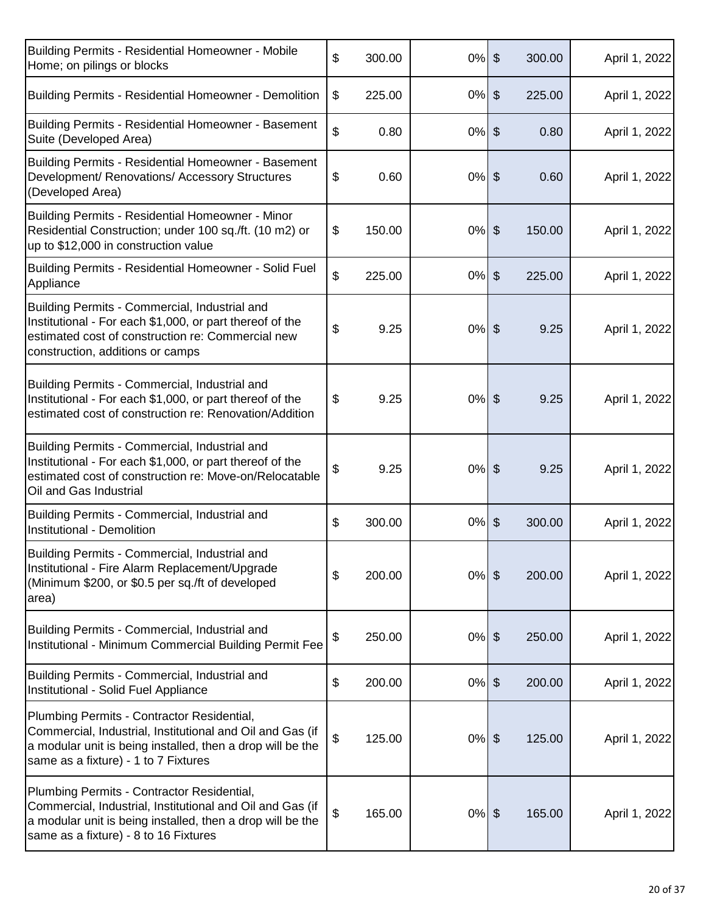| Building Permits - Residential Homeowner - Mobile<br>Home; on pilings or blocks                                                                                                                                | \$<br>300.00 | $0\%$ \$ |               | 300.00 | April 1, 2022 |
|----------------------------------------------------------------------------------------------------------------------------------------------------------------------------------------------------------------|--------------|----------|---------------|--------|---------------|
| Building Permits - Residential Homeowner - Demolition                                                                                                                                                          | \$<br>225.00 | $0\%$ \$ |               | 225.00 | April 1, 2022 |
| Building Permits - Residential Homeowner - Basement<br>Suite (Developed Area)                                                                                                                                  | \$<br>0.80   | $0%$ \$  |               | 0.80   | April 1, 2022 |
| Building Permits - Residential Homeowner - Basement<br>Development/ Renovations/ Accessory Structures<br>(Developed Area)                                                                                      | \$<br>0.60   | $0%$ \$  |               | 0.60   | April 1, 2022 |
| Building Permits - Residential Homeowner - Minor<br>Residential Construction; under 100 sq./ft. (10 m2) or<br>up to \$12,000 in construction value                                                             | \$<br>150.00 | $0%$ \$  |               | 150.00 | April 1, 2022 |
| Building Permits - Residential Homeowner - Solid Fuel<br>Appliance                                                                                                                                             | \$<br>225.00 | $0\%$ \$ |               | 225.00 | April 1, 2022 |
| Building Permits - Commercial, Industrial and<br>Institutional - For each \$1,000, or part thereof of the<br>estimated cost of construction re: Commercial new<br>construction, additions or camps             | \$<br>9.25   | $0%$ \$  |               | 9.25   | April 1, 2022 |
| Building Permits - Commercial, Industrial and<br>Institutional - For each \$1,000, or part thereof of the<br>estimated cost of construction re: Renovation/Addition                                            | \$<br>9.25   | $0%$ \$  |               | 9.25   | April 1, 2022 |
| Building Permits - Commercial, Industrial and<br>Institutional - For each \$1,000, or part thereof of the<br>estimated cost of construction re: Move-on/Relocatable<br>Oil and Gas Industrial                  | \$<br>9.25   | $0\%$ \$ |               | 9.25   | April 1, 2022 |
| Building Permits - Commercial, Industrial and<br>Institutional - Demolition                                                                                                                                    | \$<br>300.00 | 0%       | $\frac{1}{2}$ | 300.00 | April 1, 2022 |
| Building Permits - Commercial, Industrial and<br>Institutional - Fire Alarm Replacement/Upgrade<br>(Minimum \$200, or \$0.5 per sq./ft of developed<br>area)                                                   | \$<br>200.00 | $0\%$ \$ |               | 200.00 | April 1, 2022 |
| Building Permits - Commercial, Industrial and<br>Institutional - Minimum Commercial Building Permit Fee                                                                                                        | \$<br>250.00 | $0%$ \$  |               | 250.00 | April 1, 2022 |
| Building Permits - Commercial, Industrial and<br>Institutional - Solid Fuel Appliance                                                                                                                          | \$<br>200.00 | $0\%$ \$ |               | 200.00 | April 1, 2022 |
| Plumbing Permits - Contractor Residential,<br>Commercial, Industrial, Institutional and Oil and Gas (if<br>a modular unit is being installed, then a drop will be the<br>same as a fixture) - 1 to 7 Fixtures  | \$<br>125.00 | $0%$ \$  |               | 125.00 | April 1, 2022 |
| Plumbing Permits - Contractor Residential,<br>Commercial, Industrial, Institutional and Oil and Gas (if<br>a modular unit is being installed, then a drop will be the<br>same as a fixture) - 8 to 16 Fixtures | \$<br>165.00 | $0%$ \$  |               | 165.00 | April 1, 2022 |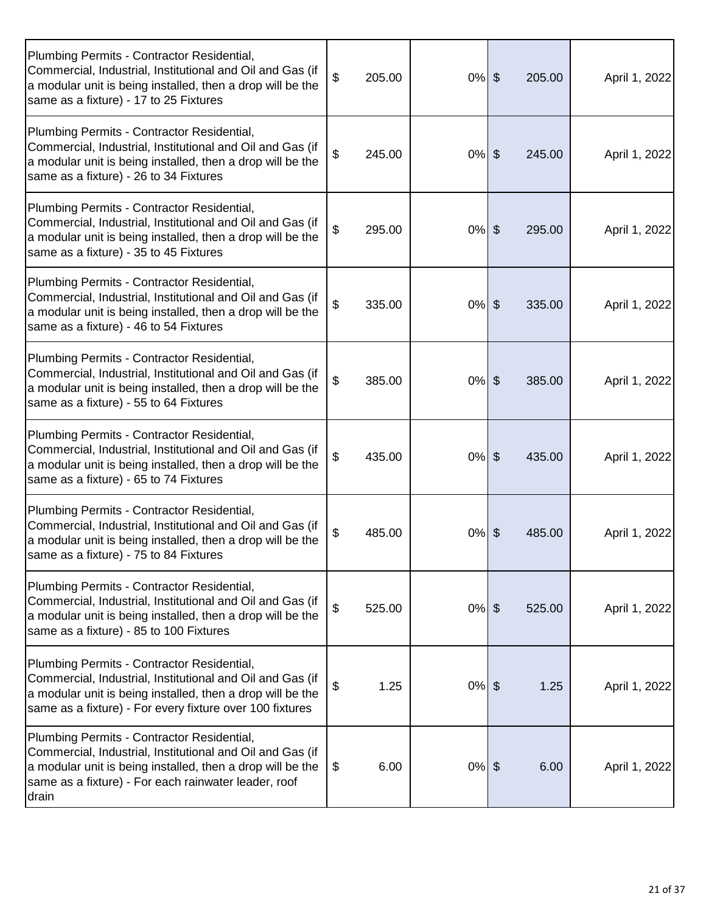| Plumbing Permits - Contractor Residential,<br>Commercial, Industrial, Institutional and Oil and Gas (if<br>a modular unit is being installed, then a drop will be the<br>same as a fixture) - 17 to 25 Fixtures                        | \$             | 205.00 | $0%$ \$ | 205.00 | April 1, 2022 |
|----------------------------------------------------------------------------------------------------------------------------------------------------------------------------------------------------------------------------------------|----------------|--------|---------|--------|---------------|
| Plumbing Permits - Contractor Residential,<br>Commercial, Industrial, Institutional and Oil and Gas (if<br>a modular unit is being installed, then a drop will be the<br>same as a fixture) - 26 to 34 Fixtures                        | \$             | 245.00 | $0%$ \$ | 245.00 | April 1, 2022 |
| Plumbing Permits - Contractor Residential,<br>Commercial, Industrial, Institutional and Oil and Gas (if<br>a modular unit is being installed, then a drop will be the<br>same as a fixture) - 35 to 45 Fixtures                        | \$             | 295.00 | $0%$ \$ | 295.00 | April 1, 2022 |
| Plumbing Permits - Contractor Residential,<br>Commercial, Industrial, Institutional and Oil and Gas (if<br>a modular unit is being installed, then a drop will be the<br>same as a fixture) - 46 to 54 Fixtures                        | \$             | 335.00 | $0%$ \$ | 335.00 | April 1, 2022 |
| Plumbing Permits - Contractor Residential,<br>Commercial, Industrial, Institutional and Oil and Gas (if<br>a modular unit is being installed, then a drop will be the<br>same as a fixture) - 55 to 64 Fixtures                        | \$             | 385.00 | $0%$ \$ | 385.00 | April 1, 2022 |
| Plumbing Permits - Contractor Residential,<br>Commercial, Industrial, Institutional and Oil and Gas (if<br>a modular unit is being installed, then a drop will be the<br>same as a fixture) - 65 to 74 Fixtures                        | \$             | 435.00 | $0%$ \$ | 435.00 | April 1, 2022 |
| Plumbing Permits - Contractor Residential,<br>Commercial, Industrial, Institutional and Oil and Gas (if<br>a modular unit is being installed, then a drop will be the<br>same as a fixture) - 75 to 84 Fixtures                        | \$             | 485.00 | $0%$ \$ | 485.00 | April 1, 2022 |
| Plumbing Permits - Contractor Residential,<br>Commercial, Industrial, Institutional and Oil and Gas (if<br>a modular unit is being installed, then a drop will be the<br>same as a fixture) - 85 to 100 Fixtures                       | $\mathfrak{S}$ | 525.00 | $0%$ \$ | 525.00 | April 1, 2022 |
| Plumbing Permits - Contractor Residential,<br>Commercial, Industrial, Institutional and Oil and Gas (if<br>a modular unit is being installed, then a drop will be the<br>same as a fixture) - For every fixture over 100 fixtures      | \$             | 1.25   | $0%$ \$ | 1.25   | April 1, 2022 |
| Plumbing Permits - Contractor Residential,<br>Commercial, Industrial, Institutional and Oil and Gas (if<br>a modular unit is being installed, then a drop will be the<br>same as a fixture) - For each rainwater leader, roof<br>drain | \$             | 6.00   | $0%$ \$ | 6.00   | April 1, 2022 |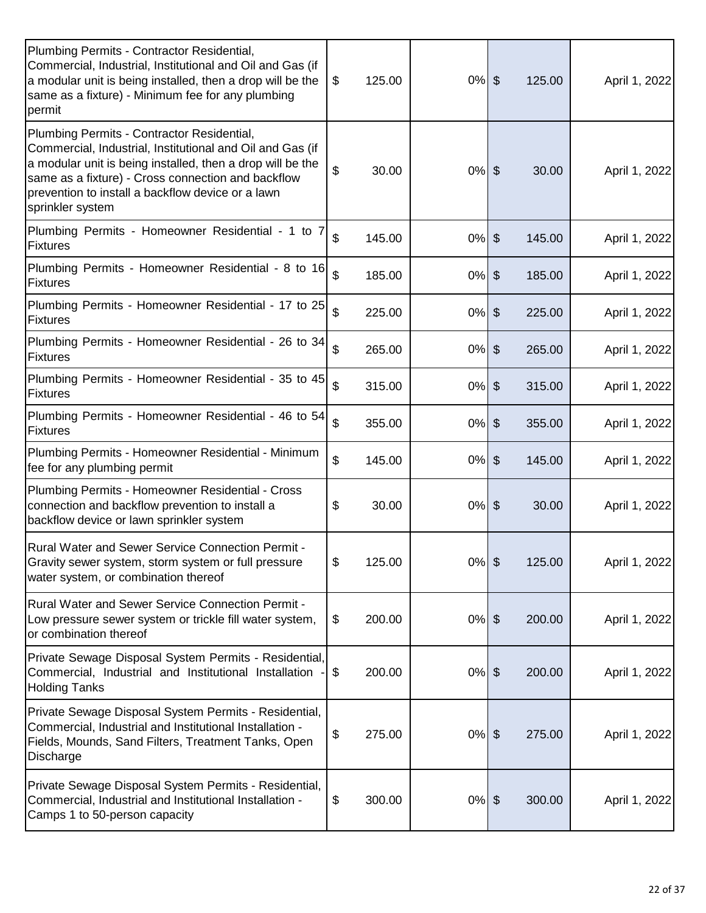| Plumbing Permits - Contractor Residential,<br>Commercial, Industrial, Institutional and Oil and Gas (if<br>a modular unit is being installed, then a drop will be the<br>same as a fixture) - Minimum fee for any plumbing<br>permit                                                                 | 125.00<br>\$ | $0\%$ \$ | 125.00                  | April 1, 2022 |
|------------------------------------------------------------------------------------------------------------------------------------------------------------------------------------------------------------------------------------------------------------------------------------------------------|--------------|----------|-------------------------|---------------|
| Plumbing Permits - Contractor Residential,<br>Commercial, Industrial, Institutional and Oil and Gas (if<br>a modular unit is being installed, then a drop will be the<br>same as a fixture) - Cross connection and backflow<br>prevention to install a backflow device or a lawn<br>sprinkler system | \$<br>30.00  | $0\%$ \$ | 30.00                   | April 1, 2022 |
| Plumbing Permits - Homeowner Residential - 1 to 7<br>Fixtures                                                                                                                                                                                                                                        | \$<br>145.00 | $0%$ \$  | 145.00                  | April 1, 2022 |
| Plumbing Permits - Homeowner Residential - 8 to 16<br>Fixtures                                                                                                                                                                                                                                       | \$<br>185.00 | $0%$ \$  | 185.00                  | April 1, 2022 |
| Plumbing Permits - Homeowner Residential - 17 to 25<br><b>Fixtures</b>                                                                                                                                                                                                                               | \$<br>225.00 | $0\%$    | $\frac{1}{2}$<br>225.00 | April 1, 2022 |
| Plumbing Permits - Homeowner Residential - 26 to 34<br>Fixtures                                                                                                                                                                                                                                      | \$<br>265.00 | $0%$ \$  | 265.00                  | April 1, 2022 |
| Plumbing Permits - Homeowner Residential - 35 to 45<br>Fixtures                                                                                                                                                                                                                                      | \$<br>315.00 | $0%$ \$  | 315.00                  | April 1, 2022 |
| Plumbing Permits - Homeowner Residential - 46 to 54<br><b>Fixtures</b>                                                                                                                                                                                                                               | \$<br>355.00 | $0\%$ \$ | 355.00                  | April 1, 2022 |
| Plumbing Permits - Homeowner Residential - Minimum<br>fee for any plumbing permit                                                                                                                                                                                                                    | \$<br>145.00 | $0%$ \$  | 145.00                  | April 1, 2022 |
| Plumbing Permits - Homeowner Residential - Cross<br>connection and backflow prevention to install a<br>backflow device or lawn sprinkler system                                                                                                                                                      | \$<br>30.00  | $0%$ \$  | 30.00                   | April 1, 2022 |
| <b>Rural Water and Sewer Service Connection Permit -</b><br>Gravity sewer system, storm system or full pressure<br>water system, or combination thereof                                                                                                                                              | \$<br>125.00 | $0%$ \$  | 125.00                  | April 1, 2022 |
| <b>Rural Water and Sewer Service Connection Permit -</b><br>Low pressure sewer system or trickle fill water system,<br>or combination thereof                                                                                                                                                        | \$<br>200.00 | $0%$ \$  | 200.00                  | April 1, 2022 |
| Private Sewage Disposal System Permits - Residential,<br>Commercial, Industrial and Institutional Installation -<br><b>Holding Tanks</b>                                                                                                                                                             | \$<br>200.00 | $0%$ \$  | 200.00                  | April 1, 2022 |
| Private Sewage Disposal System Permits - Residential,<br>Commercial, Industrial and Institutional Installation -<br>Fields, Mounds, Sand Filters, Treatment Tanks, Open<br>Discharge                                                                                                                 | \$<br>275.00 | $0%$ \$  | 275.00                  | April 1, 2022 |
| Private Sewage Disposal System Permits - Residential,<br>Commercial, Industrial and Institutional Installation -<br>Camps 1 to 50-person capacity                                                                                                                                                    | \$<br>300.00 | $0\%$ \$ | 300.00                  | April 1, 2022 |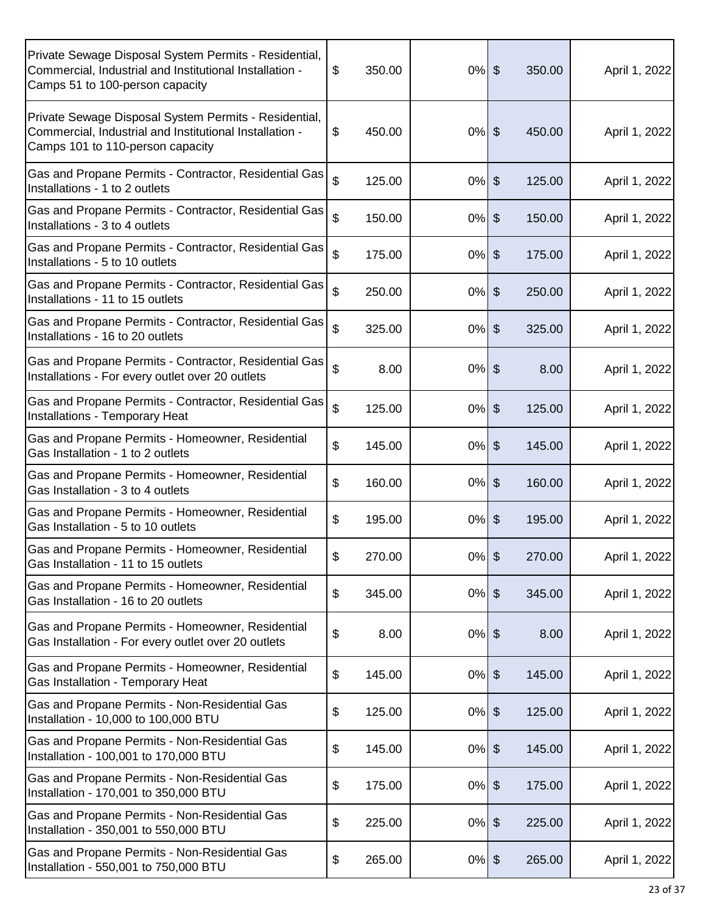| Private Sewage Disposal System Permits - Residential,<br>Commercial, Industrial and Institutional Installation -<br>Camps 51 to 100-person capacity  | \$<br>350.00    | $0%$ \$  | 350.00 | April 1, 2022 |
|------------------------------------------------------------------------------------------------------------------------------------------------------|-----------------|----------|--------|---------------|
| Private Sewage Disposal System Permits - Residential,<br>Commercial, Industrial and Institutional Installation -<br>Camps 101 to 110-person capacity | $\$\$<br>450.00 | $0%$ \$  | 450.00 | April 1, 2022 |
| Gas and Propane Permits - Contractor, Residential Gas<br>Installations - 1 to 2 outlets                                                              | \$<br>125.00    | $0%$ \$  | 125.00 | April 1, 2022 |
| Gas and Propane Permits - Contractor, Residential Gas<br>Installations - 3 to 4 outlets                                                              | \$<br>150.00    | $0\%$ \$ | 150.00 | April 1, 2022 |
| Gas and Propane Permits - Contractor, Residential Gas<br>Installations - 5 to 10 outlets                                                             | \$<br>175.00    | $0%$ \$  | 175.00 | April 1, 2022 |
| Gas and Propane Permits - Contractor, Residential Gas<br>Installations - 11 to 15 outlets                                                            | \$<br>250.00    | $0%$ \$  | 250.00 | April 1, 2022 |
| Gas and Propane Permits - Contractor, Residential Gas<br>Installations - 16 to 20 outlets                                                            | \$<br>325.00    | $0%$ \$  | 325.00 | April 1, 2022 |
| Gas and Propane Permits - Contractor, Residential Gas<br>Installations - For every outlet over 20 outlets                                            | \$<br>8.00      | $0%$ \$  | 8.00   | April 1, 2022 |
| Gas and Propane Permits - Contractor, Residential Gas<br>Installations - Temporary Heat                                                              | \$<br>125.00    | $0%$ \$  | 125.00 | April 1, 2022 |
| Gas and Propane Permits - Homeowner, Residential<br>Gas Installation - 1 to 2 outlets                                                                | \$<br>145.00    | $0%$ \$  | 145.00 | April 1, 2022 |
| Gas and Propane Permits - Homeowner, Residential<br>Gas Installation - 3 to 4 outlets                                                                | \$<br>160.00    | $0%$ \$  | 160.00 | April 1, 2022 |
| Gas and Propane Permits - Homeowner, Residential<br>Gas Installation - 5 to 10 outlets                                                               | \$<br>195.00    | $0%$ \$  | 195.00 | April 1, 2022 |
| Gas and Propane Permits - Homeowner, Residential<br>Gas Installation - 11 to 15 outlets                                                              | \$<br>270.00    | $0\%$ \$ | 270.00 | April 1, 2022 |
| Gas and Propane Permits - Homeowner, Residential<br>Gas Installation - 16 to 20 outlets                                                              | \$<br>345.00    | $0\%$ \$ | 345.00 | April 1, 2022 |
| Gas and Propane Permits - Homeowner, Residential<br>Gas Installation - For every outlet over 20 outlets                                              | \$<br>8.00      | $0%$ \$  | 8.00   | April 1, 2022 |
| Gas and Propane Permits - Homeowner, Residential<br>Gas Installation - Temporary Heat                                                                | \$<br>145.00    | $0\%$ \$ | 145.00 | April 1, 2022 |
| Gas and Propane Permits - Non-Residential Gas<br>Installation - 10,000 to 100,000 BTU                                                                | \$<br>125.00    | $0\%$ \$ | 125.00 | April 1, 2022 |
| Gas and Propane Permits - Non-Residential Gas<br>Installation - 100,001 to 170,000 BTU                                                               | \$<br>145.00    | $0%$ \$  | 145.00 | April 1, 2022 |
| Gas and Propane Permits - Non-Residential Gas<br>Installation - 170,001 to 350,000 BTU                                                               | \$<br>175.00    | $0%$ \$  | 175.00 | April 1, 2022 |
| Gas and Propane Permits - Non-Residential Gas<br>Installation - 350,001 to 550,000 BTU                                                               | \$<br>225.00    | $0\%$ \$ | 225.00 | April 1, 2022 |
| Gas and Propane Permits - Non-Residential Gas<br>Installation - 550,001 to 750,000 BTU                                                               | \$<br>265.00    | $0%$ \$  | 265.00 | April 1, 2022 |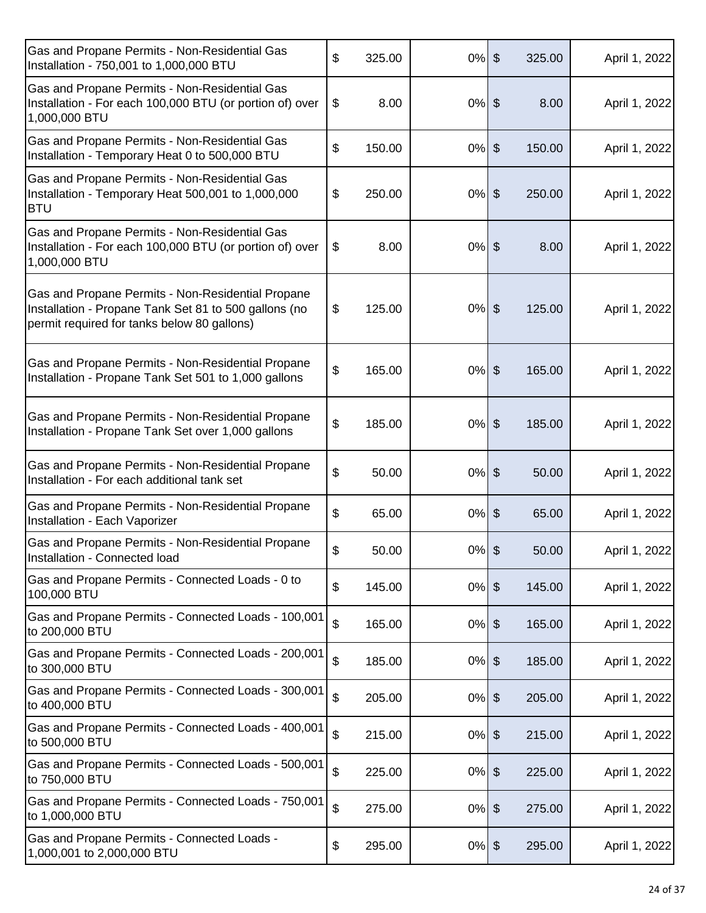| Gas and Propane Permits - Non-Residential Gas<br>Installation - 750,001 to 1,000,000 BTU                                                                  | \$<br>325.00 | $0%$ \$  |                       | 325.00 | April 1, 2022 |
|-----------------------------------------------------------------------------------------------------------------------------------------------------------|--------------|----------|-----------------------|--------|---------------|
| Gas and Propane Permits - Non-Residential Gas<br>Installation - For each 100,000 BTU (or portion of) over<br>1,000,000 BTU                                | \$<br>8.00   | $0%$ \$  |                       | 8.00   | April 1, 2022 |
| Gas and Propane Permits - Non-Residential Gas<br>Installation - Temporary Heat 0 to 500,000 BTU                                                           | \$<br>150.00 | $0\%$    | $\boldsymbol{\theta}$ | 150.00 | April 1, 2022 |
| Gas and Propane Permits - Non-Residential Gas<br>Installation - Temporary Heat 500,001 to 1,000,000<br><b>BTU</b>                                         | \$<br>250.00 | $0%$ \$  |                       | 250.00 | April 1, 2022 |
| Gas and Propane Permits - Non-Residential Gas<br>Installation - For each 100,000 BTU (or portion of) over<br>1,000,000 BTU                                | \$<br>8.00   | $0%$ \$  |                       | 8.00   | April 1, 2022 |
| Gas and Propane Permits - Non-Residential Propane<br>Installation - Propane Tank Set 81 to 500 gallons (no<br>permit required for tanks below 80 gallons) | \$<br>125.00 | $0%$ \$  |                       | 125.00 | April 1, 2022 |
| Gas and Propane Permits - Non-Residential Propane<br>Installation - Propane Tank Set 501 to 1,000 gallons                                                 | \$<br>165.00 | $0%$ \$  |                       | 165.00 | April 1, 2022 |
| Gas and Propane Permits - Non-Residential Propane<br>Installation - Propane Tank Set over 1,000 gallons                                                   | \$<br>185.00 | $0%$ \$  |                       | 185.00 | April 1, 2022 |
| Gas and Propane Permits - Non-Residential Propane<br>Installation - For each additional tank set                                                          | \$<br>50.00  | $0%$ \$  |                       | 50.00  | April 1, 2022 |
| Gas and Propane Permits - Non-Residential Propane<br>Installation - Each Vaporizer                                                                        | \$<br>65.00  | $0%$ \$  |                       | 65.00  | April 1, 2022 |
| Gas and Propane Permits - Non-Residential Propane<br>Installation - Connected load                                                                        | \$<br>50.00  | $0%$ \$  |                       | 50.00  | April 1, 2022 |
| Gas and Propane Permits - Connected Loads - 0 to<br>100,000 BTU                                                                                           | \$<br>145.00 | $0%$ \$  |                       | 145.00 | April 1, 2022 |
| Gas and Propane Permits - Connected Loads - 100,001<br>to 200,000 BTU                                                                                     | \$<br>165.00 | $0\%$ \$ |                       | 165.00 | April 1, 2022 |
| Gas and Propane Permits - Connected Loads - 200,001<br>to 300,000 BTU                                                                                     | \$<br>185.00 | $0%$ \$  |                       | 185.00 | April 1, 2022 |
| Gas and Propane Permits - Connected Loads - 300,001<br>to 400,000 BTU                                                                                     | \$<br>205.00 | $0%$ \$  |                       | 205.00 | April 1, 2022 |
| Gas and Propane Permits - Connected Loads - 400,001<br>to 500,000 BTU                                                                                     | \$<br>215.00 | $0%$ \$  |                       | 215.00 | April 1, 2022 |
| Gas and Propane Permits - Connected Loads - 500,001<br>to 750,000 BTU                                                                                     | \$<br>225.00 | $0%$ \$  |                       | 225.00 | April 1, 2022 |
| Gas and Propane Permits - Connected Loads - 750,001<br>to 1,000,000 BTU                                                                                   | \$<br>275.00 | $0%$ \$  |                       | 275.00 | April 1, 2022 |
| Gas and Propane Permits - Connected Loads -<br>1,000,001 to 2,000,000 BTU                                                                                 | \$<br>295.00 | $0%$ \$  |                       | 295.00 | April 1, 2022 |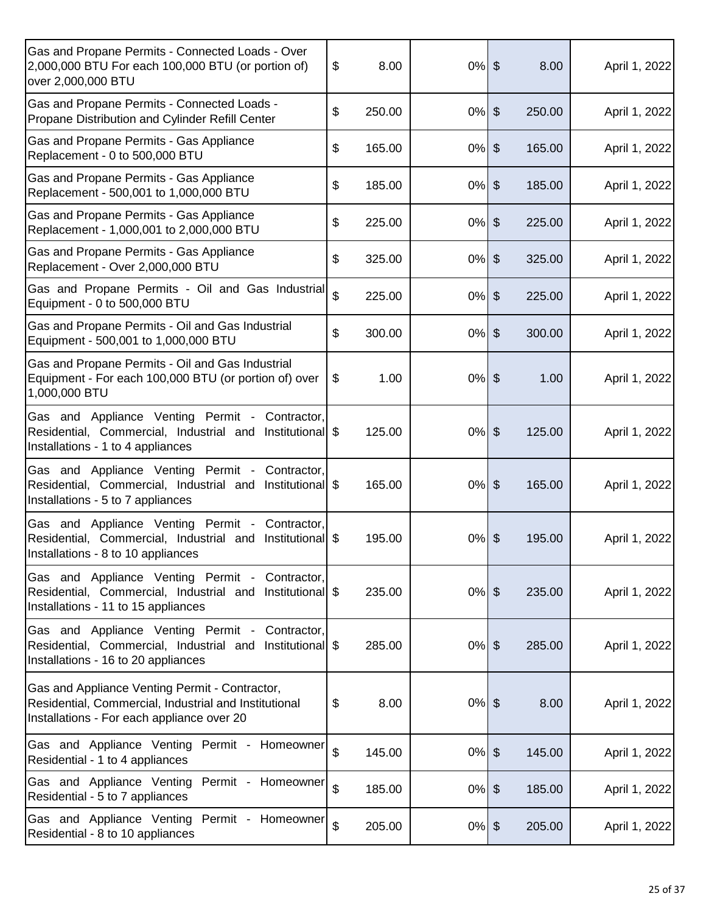| Gas and Propane Permits - Connected Loads - Over<br>2,000,000 BTU For each 100,000 BTU (or portion of)<br>over 2,000,000 BTU                           | \$<br>8.00   | $0%$ \$  | 8.00                            | April 1, 2022 |
|--------------------------------------------------------------------------------------------------------------------------------------------------------|--------------|----------|---------------------------------|---------------|
| Gas and Propane Permits - Connected Loads -<br>Propane Distribution and Cylinder Refill Center                                                         | \$<br>250.00 | $0%$ \$  | 250.00                          | April 1, 2022 |
| Gas and Propane Permits - Gas Appliance<br>Replacement - 0 to 500,000 BTU                                                                              | \$<br>165.00 | 0%       | $\frac{1}{2}$<br>165.00         | April 1, 2022 |
| Gas and Propane Permits - Gas Appliance<br>Replacement - 500,001 to 1,000,000 BTU                                                                      | \$<br>185.00 | $0\%$    | $\boldsymbol{\theta}$<br>185.00 | April 1, 2022 |
| Gas and Propane Permits - Gas Appliance<br>Replacement - 1,000,001 to 2,000,000 BTU                                                                    | \$<br>225.00 | $0%$ \$  | 225.00                          | April 1, 2022 |
| Gas and Propane Permits - Gas Appliance<br>Replacement - Over 2,000,000 BTU                                                                            | \$<br>325.00 | $0\%$ \$ | 325.00                          | April 1, 2022 |
| Gas and Propane Permits - Oil and Gas Industrial<br>Equipment - 0 to 500,000 BTU                                                                       | \$<br>225.00 | $0\%$    | \$<br>225.00                    | April 1, 2022 |
| Gas and Propane Permits - Oil and Gas Industrial<br>Equipment - 500,001 to 1,000,000 BTU                                                               | \$<br>300.00 | $0\%$    | $\frac{1}{2}$<br>300.00         | April 1, 2022 |
| Gas and Propane Permits - Oil and Gas Industrial<br>Equipment - For each 100,000 BTU (or portion of) over<br>1,000,000 BTU                             | \$<br>1.00   | $0%$ \$  | 1.00                            | April 1, 2022 |
| Gas and Appliance Venting Permit - Contractor,<br>Residential, Commercial, Industrial and Institutional \$<br>Installations - 1 to 4 appliances        | 125.00       | $0%$ \$  | 125.00                          | April 1, 2022 |
| Gas and Appliance Venting Permit -<br>Contractor,<br>Residential, Commercial, Industrial and Institutional \$<br>Installations - 5 to 7 appliances     | 165.00       | $0\%$ \$ | 165.00                          | April 1, 2022 |
| Gas and Appliance Venting Permit -<br>Contractor,<br>Residential, Commercial, Industrial and<br>Institutional \$<br>Installations - 8 to 10 appliances | 195.00       | 0%       | \$<br>195.00                    | April 1, 2022 |
| Gas and Appliance Venting Permit - Contractor,<br>Residential, Commercial, Industrial and Institutional \$<br>Installations - 11 to 15 appliances      | 235.00       | $0%$ \$  | 235.00                          | April 1, 2022 |
| Gas and Appliance Venting Permit - Contractor,<br>Residential, Commercial, Industrial and Institutional \$<br>Installations - 16 to 20 appliances      | 285.00       | $0%$ \$  | 285.00                          | April 1, 2022 |
| Gas and Appliance Venting Permit - Contractor,<br>Residential, Commercial, Industrial and Institutional<br>Installations - For each appliance over 20  | \$<br>8.00   | $0\%$ \$ | 8.00                            | April 1, 2022 |
| Gas and Appliance Venting Permit - Homeowner<br>Residential - 1 to 4 appliances                                                                        | \$<br>145.00 | $0\%$ \$ | 145.00                          | April 1, 2022 |
| Gas and Appliance Venting Permit - Homeowner<br>Residential - 5 to 7 appliances                                                                        | \$<br>185.00 | $0\%$ \$ | 185.00                          | April 1, 2022 |
| Gas and Appliance Venting Permit - Homeowner<br>Residential - 8 to 10 appliances                                                                       | \$<br>205.00 | $0\%$ \$ | 205.00                          | April 1, 2022 |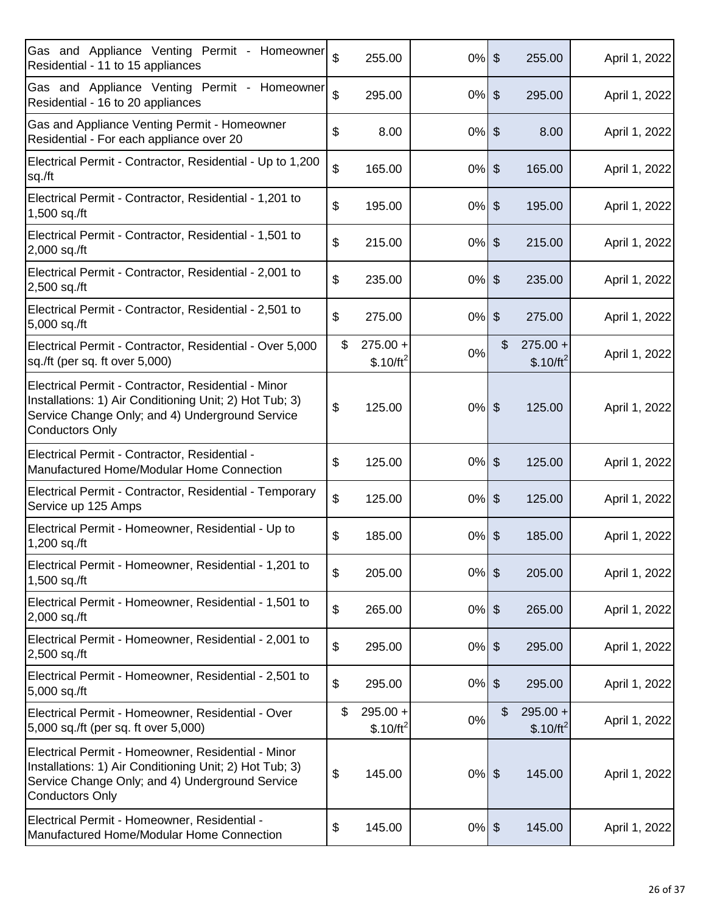| Gas and Appliance Venting Permit - Homeowner<br>Residential - 11 to 15 appliances                                                                                                           | \$                        | 255.00                    | $0\%$ \$ | 255.00                          | April 1, 2022 |
|---------------------------------------------------------------------------------------------------------------------------------------------------------------------------------------------|---------------------------|---------------------------|----------|---------------------------------|---------------|
| Gas and Appliance Venting Permit - Homeowner<br>Residential - 16 to 20 appliances                                                                                                           | \$                        | 295.00                    | $0\%$ \$ | 295.00                          | April 1, 2022 |
| Gas and Appliance Venting Permit - Homeowner<br>Residential - For each appliance over 20                                                                                                    | \$                        | 8.00                      | $0%$ \$  | 8.00                            | April 1, 2022 |
| Electrical Permit - Contractor, Residential - Up to 1,200<br>sq./ft                                                                                                                         | \$                        | 165.00                    | $0\%$ \$ | 165.00                          | April 1, 2022 |
| Electrical Permit - Contractor, Residential - 1,201 to<br>1,500 sq./ft                                                                                                                      | \$                        | 195.00                    | $0%$ \$  | 195.00                          | April 1, 2022 |
| Electrical Permit - Contractor, Residential - 1,501 to<br>2,000 sq./ft                                                                                                                      | \$                        | 215.00                    | $0%$ \$  | 215.00                          | April 1, 2022 |
| Electrical Permit - Contractor, Residential - 2,001 to<br>2,500 sq./ft                                                                                                                      | \$                        | 235.00                    | $0%$ \$  | 235.00                          | April 1, 2022 |
| Electrical Permit - Contractor, Residential - 2,501 to<br>5,000 sq./ft                                                                                                                      | \$                        | 275.00                    | $0\%$ \$ | 275.00                          | April 1, 2022 |
| Electrical Permit - Contractor, Residential - Over 5,000<br>sq./ft (per sq. ft over 5,000)                                                                                                  | \$                        | $275.00 +$<br>$$.10/ft^2$ | 0%       | \$<br>$275.00 +$<br>$$.10/ft^2$ | April 1, 2022 |
| Electrical Permit - Contractor, Residential - Minor<br>Installations: 1) Air Conditioning Unit; 2) Hot Tub; 3)<br>Service Change Only; and 4) Underground Service<br><b>Conductors Only</b> | \$                        | 125.00                    | $0%$ \$  | 125.00                          | April 1, 2022 |
| Electrical Permit - Contractor, Residential -<br>Manufactured Home/Modular Home Connection                                                                                                  | \$                        | 125.00                    | $0%$ \$  | 125.00                          | April 1, 2022 |
| Electrical Permit - Contractor, Residential - Temporary<br>Service up 125 Amps                                                                                                              | \$                        | 125.00                    | $0%$ \$  | 125.00                          | April 1, 2022 |
| Electrical Permit - Homeowner, Residential - Up to<br>1,200 sq./ft                                                                                                                          | \$                        | 185.00                    | $0%$ \$  | 185.00                          | April 1, 2022 |
| Electrical Permit - Homeowner, Residential - 1,201 to<br>1,500 sq./ft                                                                                                                       | \$                        | 205.00                    | $0%$ \$  | 205.00                          | April 1, 2022 |
| Electrical Permit - Homeowner, Residential - 1,501 to<br>2,000 sq./ft                                                                                                                       | \$                        | 265.00                    | $0\%$ \$ | 265.00                          | April 1, 2022 |
| Electrical Permit - Homeowner, Residential - 2,001 to<br>2,500 sq./ft                                                                                                                       | \$                        | 295.00                    | $0\%$ \$ | 295.00                          | April 1, 2022 |
| Electrical Permit - Homeowner, Residential - 2,501 to<br>5,000 sq./ft                                                                                                                       | \$                        | 295.00                    | $0%$ \$  | 295.00                          | April 1, 2022 |
| Electrical Permit - Homeowner, Residential - Over<br>5,000 sq./ft (per sq. ft over 5,000)                                                                                                   | \$                        | $295.00 +$<br>$$.10/ft^2$ | 0%       | \$<br>$295.00 +$<br>$$.10/ft^2$ | April 1, 2022 |
| Electrical Permit - Homeowner, Residential - Minor<br>Installations: 1) Air Conditioning Unit; 2) Hot Tub; 3)<br>Service Change Only; and 4) Underground Service<br><b>Conductors Only</b>  | $\boldsymbol{\mathsf{S}}$ | 145.00                    | $0%$ \$  | 145.00                          | April 1, 2022 |
| Electrical Permit - Homeowner, Residential -<br>Manufactured Home/Modular Home Connection                                                                                                   | \$                        | 145.00                    | $0\%$ \$ | 145.00                          | April 1, 2022 |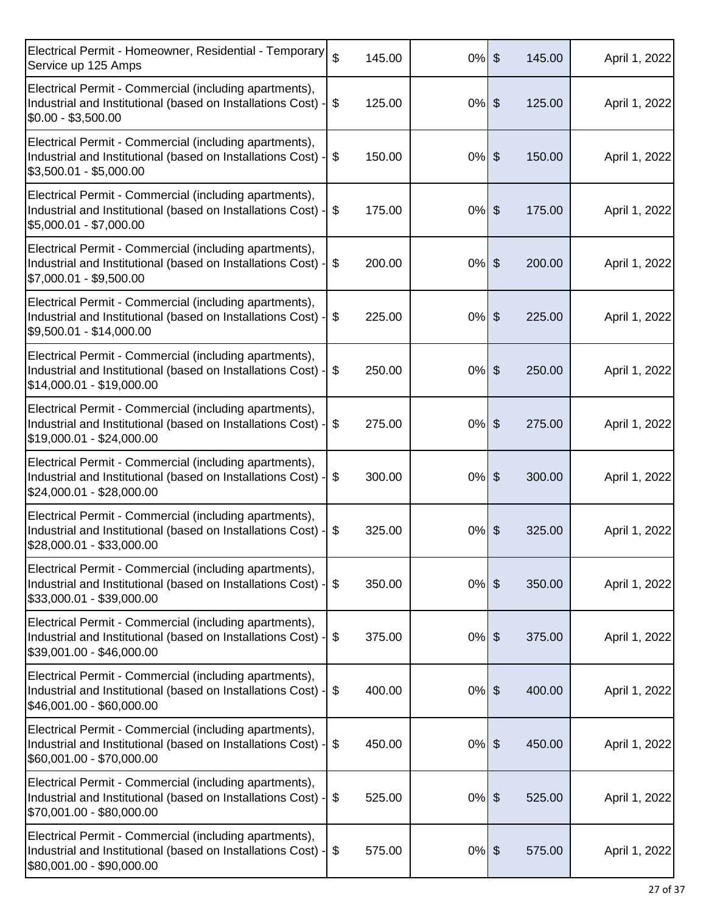| Electrical Permit - Homeowner, Residential - Temporary<br>Service up 125 Amps                                                                       | $\mathfrak{S}$ | 145.00 | $0\%$ \$ | 145.00 | April 1, 2022 |
|-----------------------------------------------------------------------------------------------------------------------------------------------------|----------------|--------|----------|--------|---------------|
| Electrical Permit - Commercial (including apartments),<br>Industrial and Institutional (based on Installations Cost)<br>$$0.00 - $3,500.00$         | \$             | 125.00 | $0%$ \$  | 125.00 | April 1, 2022 |
| Electrical Permit - Commercial (including apartments),<br>Industrial and Institutional (based on Installations Cost) -<br>\$3,500.01 - \$5,000.00   | \$             | 150.00 | $0%$ \$  | 150.00 | April 1, 2022 |
| Electrical Permit - Commercial (including apartments),<br>Industrial and Institutional (based on Installations Cost) -<br>\$5,000.01 - \$7,000.00   | \$             | 175.00 | $0%$ \$  | 175.00 | April 1, 2022 |
| Electrical Permit - Commercial (including apartments),<br>Industrial and Institutional (based on Installations Cost)<br>\$7,000.01 - \$9,500.00     | \$             | 200.00 | $0%$ \$  | 200.00 | April 1, 2022 |
| Electrical Permit - Commercial (including apartments),<br>Industrial and Institutional (based on Installations Cost) -<br>\$9,500.01 - \$14,000.00  | $\$\$          | 225.00 | $0%$ \$  | 225.00 | April 1, 2022 |
| Electrical Permit - Commercial (including apartments),<br>Industrial and Institutional (based on Installations Cost) -<br>\$14,000.01 - \$19,000.00 | \$             | 250.00 | $0%$ \$  | 250.00 | April 1, 2022 |
| Electrical Permit - Commercial (including apartments),<br>Industrial and Institutional (based on Installations Cost) -<br>\$19,000.01 - \$24,000.00 | \$             | 275.00 | $0%$ \$  | 275.00 | April 1, 2022 |
| Electrical Permit - Commercial (including apartments),<br>Industrial and Institutional (based on Installations Cost)<br>\$24,000.01 - \$28,000.00   | \$             | 300.00 | $0%$ \$  | 300.00 | April 1, 2022 |
| Electrical Permit - Commercial (including apartments),<br>Industrial and Institutional (based on Installations Cost)<br>\$28,000.01 - \$33,000.00   | \$             | 325.00 | $0%$ \$  | 325.00 | April 1, 2022 |
| Electrical Permit - Commercial (including apartments),<br>Industrial and Institutional (based on Installations Cost) -<br>\$33,000.01 - \$39,000.00 | \$             | 350.00 | $0%$ \$  | 350.00 | April 1, 2022 |
| Electrical Permit - Commercial (including apartments),<br>Industrial and Institutional (based on Installations Cost) -<br>\$39,001.00 - \$46,000.00 | \$             | 375.00 | $0%$ \$  | 375.00 | April 1, 2022 |
| Electrical Permit - Commercial (including apartments),<br>Industrial and Institutional (based on Installations Cost)<br>\$46,001.00 - \$60,000.00   | \$             | 400.00 | $0%$ \$  | 400.00 | April 1, 2022 |
| Electrical Permit - Commercial (including apartments),<br>Industrial and Institutional (based on Installations Cost) -<br>\$60,001.00 - \$70,000.00 | \$             | 450.00 | $0%$ \$  | 450.00 | April 1, 2022 |
| Electrical Permit - Commercial (including apartments),<br>Industrial and Institutional (based on Installations Cost) -<br>\$70,001.00 - \$80,000.00 | \$             | 525.00 | $0%$ \$  | 525.00 | April 1, 2022 |
| Electrical Permit - Commercial (including apartments),<br>Industrial and Institutional (based on Installations Cost) -<br>\$80,001.00 - \$90,000.00 | \$             | 575.00 | $0%$ \$  | 575.00 | April 1, 2022 |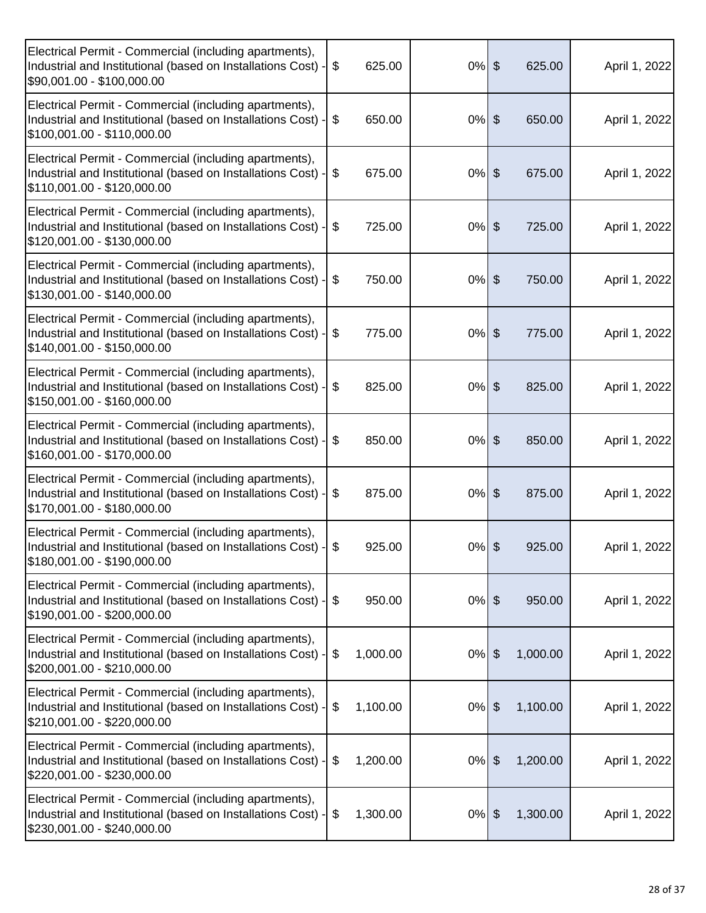| Electrical Permit - Commercial (including apartments),<br>Industrial and Institutional (based on Installations Cost) -<br>\$90,001.00 - \$100,000.00  | \$    | 625.00   | $0%$ \$ |               | 625.00   | April 1, 2022 |
|-------------------------------------------------------------------------------------------------------------------------------------------------------|-------|----------|---------|---------------|----------|---------------|
| Electrical Permit - Commercial (including apartments),<br>Industrial and Institutional (based on Installations Cost) -<br>\$100,001.00 - \$110,000.00 | \$    | 650.00   | $0%$ \$ |               | 650.00   | April 1, 2022 |
| Electrical Permit - Commercial (including apartments),<br>Industrial and Institutional (based on Installations Cost)<br>\$110,001.00 - \$120,000.00   | \$    | 675.00   | $0%$ \$ |               | 675.00   | April 1, 2022 |
| Electrical Permit - Commercial (including apartments),<br>Industrial and Institutional (based on Installations Cost) -<br>\$120,001.00 - \$130,000.00 | \$    | 725.00   | $0%$ \$ |               | 725.00   | April 1, 2022 |
| Electrical Permit - Commercial (including apartments),<br>Industrial and Institutional (based on Installations Cost) -<br>\$130,001.00 - \$140,000.00 | \$    | 750.00   | $0%$ \$ |               | 750.00   | April 1, 2022 |
| Electrical Permit - Commercial (including apartments),<br>Industrial and Institutional (based on Installations Cost) -<br>\$140,001.00 - \$150,000.00 | $\$\$ | 775.00   | $0%$ \$ |               | 775.00   | April 1, 2022 |
| Electrical Permit - Commercial (including apartments),<br>Industrial and Institutional (based on Installations Cost)<br>\$150,001.00 - \$160,000.00   | \$    | 825.00   | $0%$ \$ |               | 825.00   | April 1, 2022 |
| Electrical Permit - Commercial (including apartments),<br>Industrial and Institutional (based on Installations Cost) -<br>\$160,001.00 - \$170,000.00 | \$    | 850.00   | $0%$ \$ |               | 850.00   | April 1, 2022 |
| Electrical Permit - Commercial (including apartments),<br>Industrial and Institutional (based on Installations Cost) -<br>\$170,001.00 - \$180,000.00 | \$    | 875.00   | $0%$ \$ |               | 875.00   | April 1, 2022 |
| Electrical Permit - Commercial (including apartments),<br>Industrial and Institutional (based on Installations Cost) -<br>\$180,001.00 - \$190,000.00 | \$    | 925.00   | $0%$ \$ |               | 925.00   | April 1, 2022 |
| Electrical Permit - Commercial (including apartments),<br>Industrial and Institutional (based on Installations Cost) -<br>\$190,001.00 - \$200,000.00 | \$    | 950.00   | $0%$ \$ |               | 950.00   | April 1, 2022 |
| Electrical Permit - Commercial (including apartments),<br>Industrial and Institutional (based on Installations Cost) -<br>\$200,001.00 - \$210,000.00 | \$    | 1,000.00 | $0%$ \$ |               | 1,000.00 | April 1, 2022 |
| Electrical Permit - Commercial (including apartments),<br>Industrial and Institutional (based on Installations Cost) -<br>\$210,001.00 - \$220,000.00 | \$    | 1,100.00 | $0\%$   | $\frac{1}{2}$ | 1,100.00 | April 1, 2022 |
| Electrical Permit - Commercial (including apartments),<br>Industrial and Institutional (based on Installations Cost) ·<br>\$220,001.00 - \$230,000.00 | \$    | 1,200.00 | $0\%$   | $\frac{1}{2}$ | 1,200.00 | April 1, 2022 |
| Electrical Permit - Commercial (including apartments),<br>Industrial and Institutional (based on Installations Cost) -<br>\$230,001.00 - \$240,000.00 | \$    | 1,300.00 | $0%$ \$ |               | 1,300.00 | April 1, 2022 |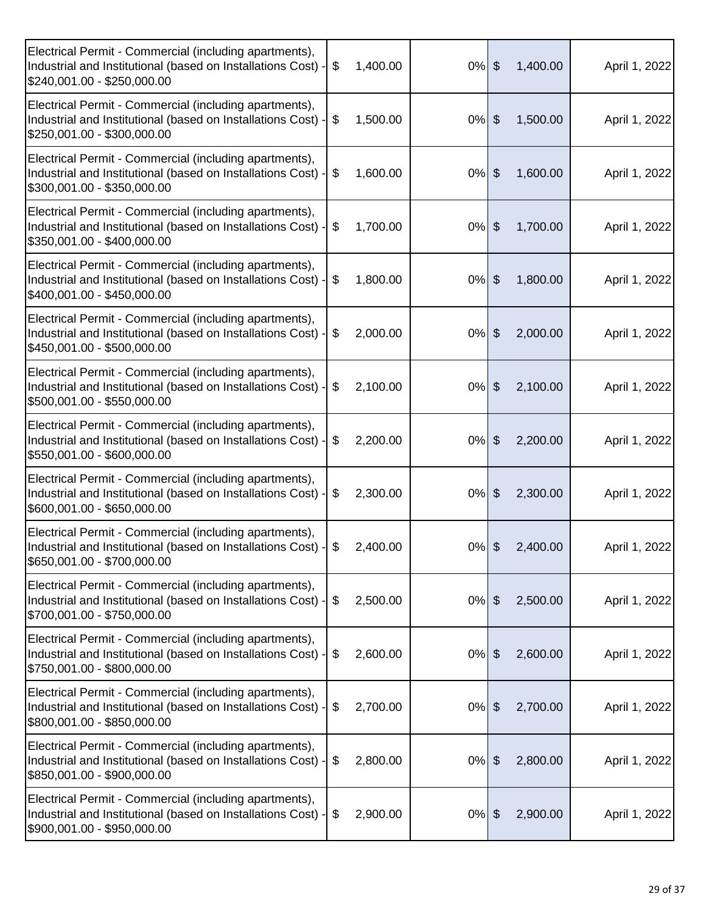| Electrical Permit - Commercial (including apartments),<br>Industrial and Institutional (based on Installations Cost) -<br>\$240,001.00 - \$250,000.00 | 1,400.00<br>\$ | $0%$ \$  | 1,400.00                          | April 1, 2022 |
|-------------------------------------------------------------------------------------------------------------------------------------------------------|----------------|----------|-----------------------------------|---------------|
| Electrical Permit - Commercial (including apartments),<br>Industrial and Institutional (based on Installations Cost) -<br>\$250,001.00 - \$300,000.00 | \$<br>1,500.00 | $0\%$    | \$<br>1,500.00                    | April 1, 2022 |
| Electrical Permit - Commercial (including apartments),<br>Industrial and Institutional (based on Installations Cost) ·<br>\$300,001.00 - \$350,000.00 | \$<br>1,600.00 | $0\%$    | \$<br>1,600.00                    | April 1, 2022 |
| Electrical Permit - Commercial (including apartments),<br>Industrial and Institutional (based on Installations Cost) -<br>\$350,001.00 - \$400,000.00 | \$<br>1,700.00 | $0\%$    | $\boldsymbol{\theta}$<br>1,700.00 | April 1, 2022 |
| Electrical Permit - Commercial (including apartments),<br>Industrial and Institutional (based on Installations Cost) -<br>\$400,001.00 - \$450,000.00 | 1,800.00<br>\$ | $0\%$    | \$<br>1,800.00                    | April 1, 2022 |
| Electrical Permit - Commercial (including apartments),<br>Industrial and Institutional (based on Installations Cost) -<br>\$450,001.00 - \$500,000.00 | 2,000.00<br>\$ | 0%       | \$<br>2,000.00                    | April 1, 2022 |
| Electrical Permit - Commercial (including apartments),<br>Industrial and Institutional (based on Installations Cost) -<br>\$500,001.00 - \$550,000.00 | \$<br>2,100.00 | $0\%$    | \$<br>2,100.00                    | April 1, 2022 |
| Electrical Permit - Commercial (including apartments),<br>Industrial and Institutional (based on Installations Cost) -<br>\$550,001.00 - \$600,000.00 | 2,200.00<br>\$ | $0%$ \$  | 2,200.00                          | April 1, 2022 |
| Electrical Permit - Commercial (including apartments),<br>Industrial and Institutional (based on Installations Cost) -<br>\$600,001.00 - \$650,000.00 | \$<br>2,300.00 | 0%       | \$<br>2,300.00                    | April 1, 2022 |
| Electrical Permit - Commercial (including apartments),<br>Industrial and Institutional (based on Installations Cost) -<br>\$650,001.00 - \$700,000.00 | \$<br>2,400.00 | $0%$ \$  | 2,400.00                          | April 1, 2022 |
| Electrical Permit - Commercial (including apartments),<br>Industrial and Institutional (based on Installations Cost) -<br>\$700,001.00 - \$750,000.00 | 2,500.00<br>\$ | $0\%$    | $\boldsymbol{\theta}$<br>2,500.00 | April 1, 2022 |
| Electrical Permit - Commercial (including apartments),<br>Industrial and Institutional (based on Installations Cost) -<br>\$750,001.00 - \$800,000.00 | 2,600.00<br>\$ | $0\%$    | $\frac{1}{2}$<br>2,600.00         | April 1, 2022 |
| Electrical Permit - Commercial (including apartments),<br>Industrial and Institutional (based on Installations Cost) -<br>\$800,001.00 - \$850,000.00 | \$<br>2,700.00 | 0%       | $\frac{1}{2}$<br>2,700.00         | April 1, 2022 |
| Electrical Permit - Commercial (including apartments),<br>Industrial and Institutional (based on Installations Cost) ·<br>\$850,001.00 - \$900,000.00 | \$<br>2,800.00 | $0\%$    | $\frac{1}{2}$<br>2,800.00         | April 1, 2022 |
| Electrical Permit - Commercial (including apartments),<br>Industrial and Institutional (based on Installations Cost) -<br>\$900,001.00 - \$950,000.00 | 2,900.00<br>\$ | $0\%$ \$ | 2,900.00                          | April 1, 2022 |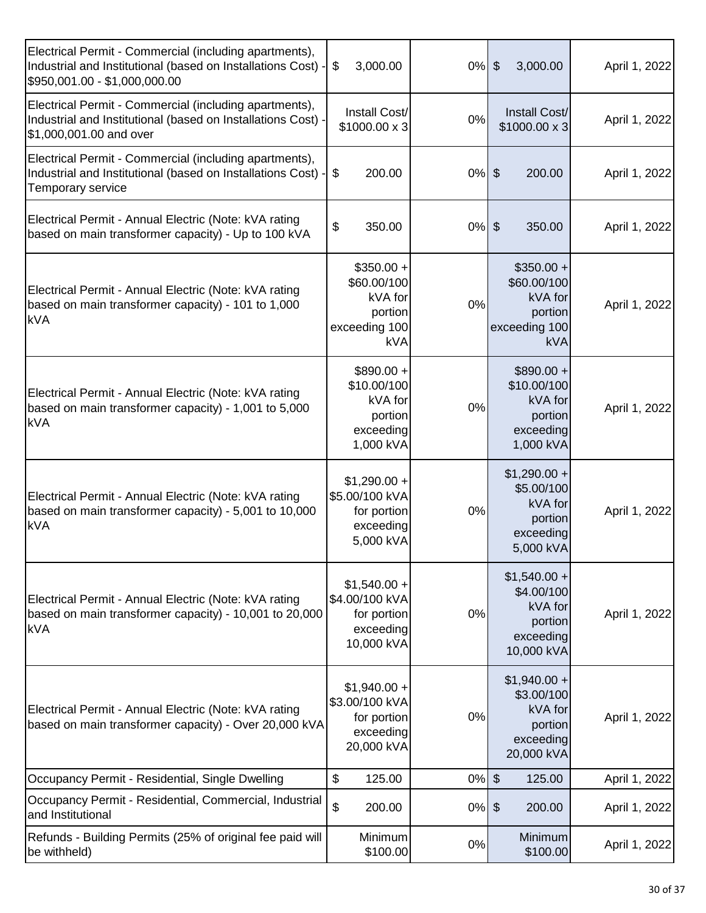| Electrical Permit - Commercial (including apartments),<br>Industrial and Institutional (based on Installations Cost) -<br>\$950,001.00 - \$1,000,000.00 | 3,000.00<br>\$                                                                  | $0%$ \$ | 3,000.00                                                                     | April 1, 2022 |
|---------------------------------------------------------------------------------------------------------------------------------------------------------|---------------------------------------------------------------------------------|---------|------------------------------------------------------------------------------|---------------|
| Electrical Permit - Commercial (including apartments),<br>Industrial and Institutional (based on Installations Cost) -<br>\$1,000,001.00 and over       | Install Cost/<br>\$1000.00 x 3                                                  | 0%      | Install Cost/<br>$$1000.00 \times 3$                                         | April 1, 2022 |
| Electrical Permit - Commercial (including apartments),<br>Industrial and Institutional (based on Installations Cost) -<br>Temporary service             | \$<br>200.00                                                                    | $0%$ \$ | 200.00                                                                       | April 1, 2022 |
| Electrical Permit - Annual Electric (Note: kVA rating<br>based on main transformer capacity) - Up to 100 kVA                                            | \$<br>350.00                                                                    | $0%$ \$ | 350.00                                                                       | April 1, 2022 |
| Electrical Permit - Annual Electric (Note: kVA rating<br>based on main transformer capacity) - 101 to 1,000<br><b>kVA</b>                               | $$350.00 +$<br>\$60.00/100<br>kVA for<br>portion<br>exceeding 100<br><b>kVA</b> | 0%      | $$350.00 +$<br>\$60.00/100<br>kVA for<br>portion<br>exceeding 100<br>kVA     | April 1, 2022 |
| Electrical Permit - Annual Electric (Note: kVA rating<br>based on main transformer capacity) - 1,001 to 5,000<br><b>kVA</b>                             | $$890.00 +$<br>\$10.00/100<br>kVA for<br>portion<br>exceeding<br>1,000 kVA      | 0%      | $$890.00 +$<br>\$10.00/100<br>kVA for<br>portion<br>exceeding<br>1,000 kVA   | April 1, 2022 |
| Electrical Permit - Annual Electric (Note: kVA rating<br>based on main transformer capacity) - 5,001 to 10,000<br><b>kVA</b>                            | $$1,290.00 +$<br>\$5.00/100 kVA<br>for portion<br>exceeding<br>5,000 kVA        | 0%      | $$1,290.00 +$<br>\$5.00/100<br>kVA for<br>portion<br>exceeding<br>5,000 kVA  | April 1, 2022 |
| Electrical Permit - Annual Electric (Note: kVA rating<br>based on main transformer capacity) - 10,001 to 20,000<br><b>kVA</b>                           | $$1,540.00 +$<br>\$4.00/100 kVA<br>for portion<br>exceeding<br>10,000 kVA       | 0%      | $$1,540.00 +$<br>\$4.00/100<br>kVA for<br>portion<br>exceeding<br>10,000 kVA | April 1, 2022 |
| Electrical Permit - Annual Electric (Note: kVA rating<br>based on main transformer capacity) - Over 20,000 kVA                                          | $$1,940.00 +$<br>\$3.00/100 kVA<br>for portion<br>exceeding<br>20,000 kVA       | 0%      | $$1,940.00 +$<br>\$3.00/100<br>kVA for<br>portion<br>exceeding<br>20,000 kVA | April 1, 2022 |
| Occupancy Permit - Residential, Single Dwelling                                                                                                         | \$<br>125.00                                                                    | $0%$ \$ | 125.00                                                                       | April 1, 2022 |
| Occupancy Permit - Residential, Commercial, Industrial<br>and Institutional                                                                             | $\boldsymbol{\mathsf{S}}$<br>200.00                                             | $0\%$   | $\frac{1}{2}$<br>200.00                                                      | April 1, 2022 |
| Refunds - Building Permits (25% of original fee paid will<br>be withheld)                                                                               | Minimum<br>\$100.00                                                             | 0%      | Minimum<br>\$100.00                                                          | April 1, 2022 |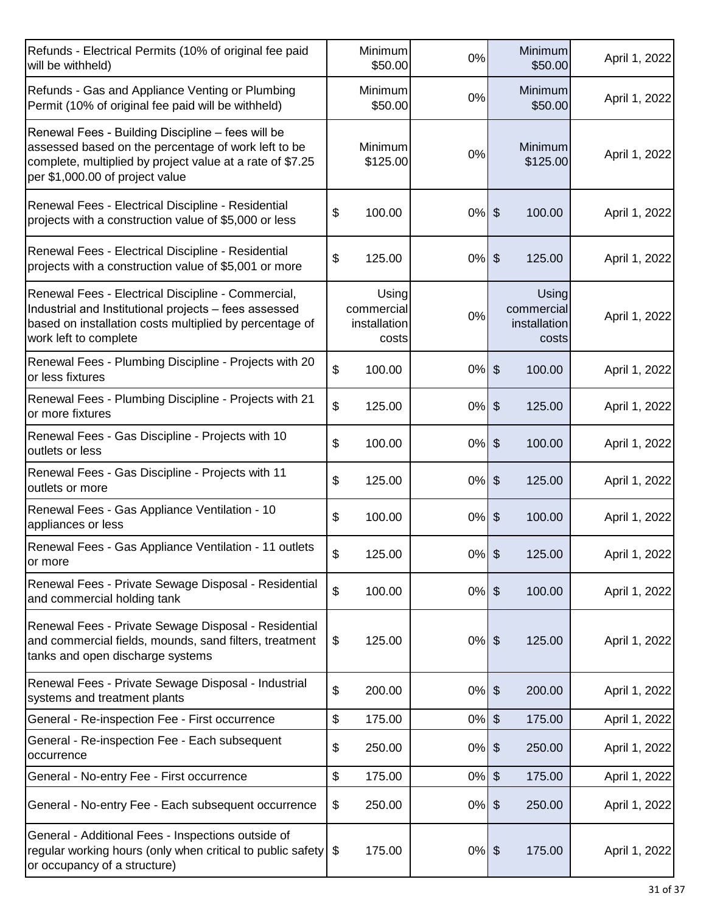| Refunds - Electrical Permits (10% of original fee paid<br>will be withheld)                                                                                                                              | Minimum<br>\$50.00                           | 0%       | Minimum<br>\$50.00                           | April 1, 2022 |
|----------------------------------------------------------------------------------------------------------------------------------------------------------------------------------------------------------|----------------------------------------------|----------|----------------------------------------------|---------------|
| Refunds - Gas and Appliance Venting or Plumbing<br>Permit (10% of original fee paid will be withheld)                                                                                                    | Minimum<br>\$50.00                           | 0%       | Minimum<br>\$50.00                           | April 1, 2022 |
| Renewal Fees - Building Discipline - fees will be<br>assessed based on the percentage of work left to be<br>complete, multiplied by project value at a rate of \$7.25<br>per \$1,000.00 of project value | Minimum<br>\$125.00                          | 0%       | Minimum<br>\$125.00                          | April 1, 2022 |
| Renewal Fees - Electrical Discipline - Residential<br>projects with a construction value of \$5,000 or less                                                                                              | \$<br>100.00                                 | $0%$ \$  | 100.00                                       | April 1, 2022 |
| Renewal Fees - Electrical Discipline - Residential<br>projects with a construction value of \$5,001 or more                                                                                              | \$<br>125.00                                 | $0%$ \$  | 125.00                                       | April 1, 2022 |
| Renewal Fees - Electrical Discipline - Commercial,<br>Industrial and Institutional projects - fees assessed<br>based on installation costs multiplied by percentage of<br>work left to complete          | Using<br>commercial<br>installation<br>costs | 0%       | Using<br>commercial<br>installation<br>costs | April 1, 2022 |
| Renewal Fees - Plumbing Discipline - Projects with 20<br>or less fixtures                                                                                                                                | \$<br>100.00                                 | $0\%$ \$ | 100.00                                       | April 1, 2022 |
| Renewal Fees - Plumbing Discipline - Projects with 21<br>or more fixtures                                                                                                                                | \$<br>125.00                                 | $0%$ \$  | 125.00                                       | April 1, 2022 |
| Renewal Fees - Gas Discipline - Projects with 10<br>outlets or less                                                                                                                                      | \$<br>100.00                                 | 0%       | $\sqrt[6]{\frac{1}{2}}$<br>100.00            | April 1, 2022 |
| Renewal Fees - Gas Discipline - Projects with 11<br>outlets or more                                                                                                                                      | \$<br>125.00                                 | $0%$ \$  | 125.00                                       | April 1, 2022 |
| Renewal Fees - Gas Appliance Ventilation - 10<br>appliances or less                                                                                                                                      | \$<br>100.00                                 | $0\%$    | $\sqrt[6]{\frac{1}{2}}$<br>100.00            | April 1, 2022 |
| Renewal Fees - Gas Appliance Ventilation - 11 outlets<br>or more                                                                                                                                         | \$<br>125.00                                 | $0%$ \$  | 125.00                                       | April 1, 2022 |
| Renewal Fees - Private Sewage Disposal - Residential<br>and commercial holding tank                                                                                                                      | \$<br>100.00                                 | $0%$ \$  | 100.00                                       | April 1, 2022 |
| Renewal Fees - Private Sewage Disposal - Residential<br>and commercial fields, mounds, sand filters, treatment<br>tanks and open discharge systems                                                       | \$<br>125.00                                 | $0%$ \$  | 125.00                                       | April 1, 2022 |
| Renewal Fees - Private Sewage Disposal - Industrial<br>systems and treatment plants                                                                                                                      | \$<br>200.00                                 | $0%$ \$  | 200.00                                       | April 1, 2022 |
| General - Re-inspection Fee - First occurrence                                                                                                                                                           | \$<br>175.00                                 | 0%       | $\boldsymbol{\theta}$<br>175.00              | April 1, 2022 |
| General - Re-inspection Fee - Each subsequent<br>occurrence                                                                                                                                              | \$<br>250.00                                 | 0%       | 250.00<br>$\boldsymbol{\mathsf{S}}$          | April 1, 2022 |
| General - No-entry Fee - First occurrence                                                                                                                                                                | \$<br>175.00                                 | 0%       | $\boldsymbol{\theta}$<br>175.00              | April 1, 2022 |
| General - No-entry Fee - Each subsequent occurrence                                                                                                                                                      | \$<br>250.00                                 | $0\%$ \$ | 250.00                                       | April 1, 2022 |
| General - Additional Fees - Inspections outside of<br>regular working hours (only when critical to public safety)<br>or occupancy of a structure)                                                        | 175.00<br>\$                                 | $0%$ \$  | 175.00                                       | April 1, 2022 |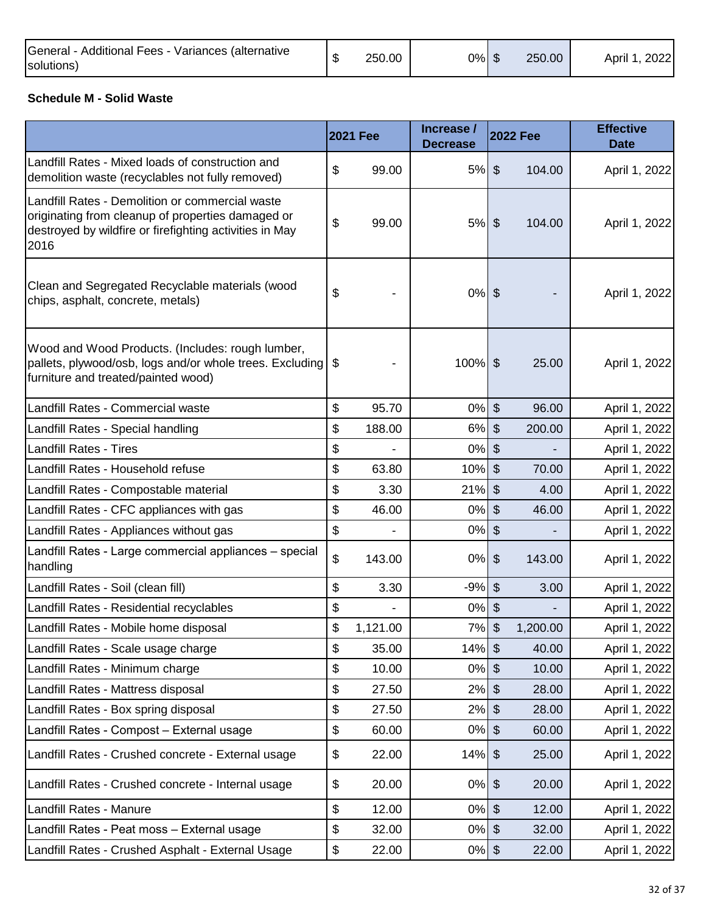| General - Additional Fees - Variances (alternative<br>solutions) |  | 250.00 | $0\%$ | Œ | 250.00 | 2022<br>April |
|------------------------------------------------------------------|--|--------|-------|---|--------|---------------|
|------------------------------------------------------------------|--|--------|-------|---|--------|---------------|

#### **Schedule M - Solid Waste**

|                                                                                                                                                                         | <b>2021 Fee</b> | Increase /<br><b>Decrease</b> |                           | <b>2022 Fee</b> | <b>Effective</b><br><b>Date</b> |
|-------------------------------------------------------------------------------------------------------------------------------------------------------------------------|-----------------|-------------------------------|---------------------------|-----------------|---------------------------------|
| Landfill Rates - Mixed loads of construction and<br>demolition waste (recyclables not fully removed)                                                                    | \$<br>99.00     | $5%$ \$                       |                           | 104.00          | April 1, 2022                   |
| Landfill Rates - Demolition or commercial waste<br>originating from cleanup of properties damaged or<br>destroyed by wildfire or firefighting activities in May<br>2016 | \$<br>99.00     | $5%$ \$                       |                           | 104.00          | April 1, 2022                   |
| Clean and Segregated Recyclable materials (wood<br>chips, asphalt, concrete, metals)                                                                                    | \$              | $0%$ \$                       |                           |                 | April 1, 2022                   |
| Wood and Wood Products. (Includes: rough lumber,<br>pallets, plywood/osb, logs and/or whole trees. Excluding \$<br>furniture and treated/painted wood)                  |                 | 100% \$                       |                           | 25.00           | April 1, 2022                   |
| Landfill Rates - Commercial waste                                                                                                                                       | \$<br>95.70     | $0%$ \$                       |                           | 96.00           | April 1, 2022                   |
| Landfill Rates - Special handling                                                                                                                                       | \$<br>188.00    | 6%                            | $\boldsymbol{\mathsf{S}}$ | 200.00          | April 1, 2022                   |
| <b>Landfill Rates - Tires</b>                                                                                                                                           | \$              | 0%                            | \$                        |                 | April 1, 2022                   |
| Landfill Rates - Household refuse                                                                                                                                       | \$<br>63.80     | 10%                           | $\boldsymbol{\mathsf{S}}$ | 70.00           | April 1, 2022                   |
| Landfill Rates - Compostable material                                                                                                                                   | \$<br>3.30      | 21%                           | \$                        | 4.00            | April 1, 2022                   |
| Landfill Rates - CFC appliances with gas                                                                                                                                | \$<br>46.00     | 0%                            | $\boldsymbol{\mathsf{S}}$ | 46.00           | April 1, 2022                   |
| Landfill Rates - Appliances without gas                                                                                                                                 | \$              | 0%                            | \$                        |                 | April 1, 2022                   |
| Landfill Rates - Large commercial appliances - special<br>handling                                                                                                      | \$<br>143.00    | 0%                            | \$                        | 143.00          | April 1, 2022                   |
| Landfill Rates - Soil (clean fill)                                                                                                                                      | \$<br>3.30      | $-9%$                         | $\frac{1}{2}$             | 3.00            | April 1, 2022                   |
| Landfill Rates - Residential recyclables                                                                                                                                | \$              | 0%                            | \$                        |                 | April 1, 2022                   |
| Landfill Rates - Mobile home disposal                                                                                                                                   | \$<br>1,121.00  | 7%                            | $\frac{1}{2}$             | 1,200.00        | April 1, 2022                   |
| Landfill Rates - Scale usage charge                                                                                                                                     | \$<br>35.00     | 14%                           | $\boldsymbol{\mathsf{S}}$ | 40.00           | April 1, 2022                   |
| Landfill Rates - Minimum charge                                                                                                                                         | \$<br>10.00     | 0%                            | $\frac{1}{2}$             | 10.00           | April 1, 2022                   |
| Landfill Rates - Mattress disposal                                                                                                                                      | \$<br>27.50     | 2%                            | $\frac{1}{2}$             | 28.00           | April 1, 2022                   |
| Landfill Rates - Box spring disposal                                                                                                                                    | \$<br>27.50     | 2%                            | $\boldsymbol{\theta}$     | 28.00           | April 1, 2022                   |
| Landfill Rates - Compost - External usage                                                                                                                               | \$<br>60.00     | 0%                            | \$                        | 60.00           | April 1, 2022                   |
| Landfill Rates - Crushed concrete - External usage                                                                                                                      | \$<br>22.00     | $14\%$ \$                     |                           | 25.00           | April 1, 2022                   |
| Landfill Rates - Crushed concrete - Internal usage                                                                                                                      | \$<br>20.00     | $0%$ \$                       |                           | 20.00           | April 1, 2022                   |
| Landfill Rates - Manure                                                                                                                                                 | \$<br>12.00     | $0%$ \$                       |                           | 12.00           | April 1, 2022                   |
| Landfill Rates - Peat moss - External usage                                                                                                                             | \$<br>32.00     | $0%$ \$                       |                           | 32.00           | April 1, 2022                   |
| Landfill Rates - Crushed Asphalt - External Usage                                                                                                                       | \$<br>22.00     | $0%$ \$                       |                           | 22.00           | April 1, 2022                   |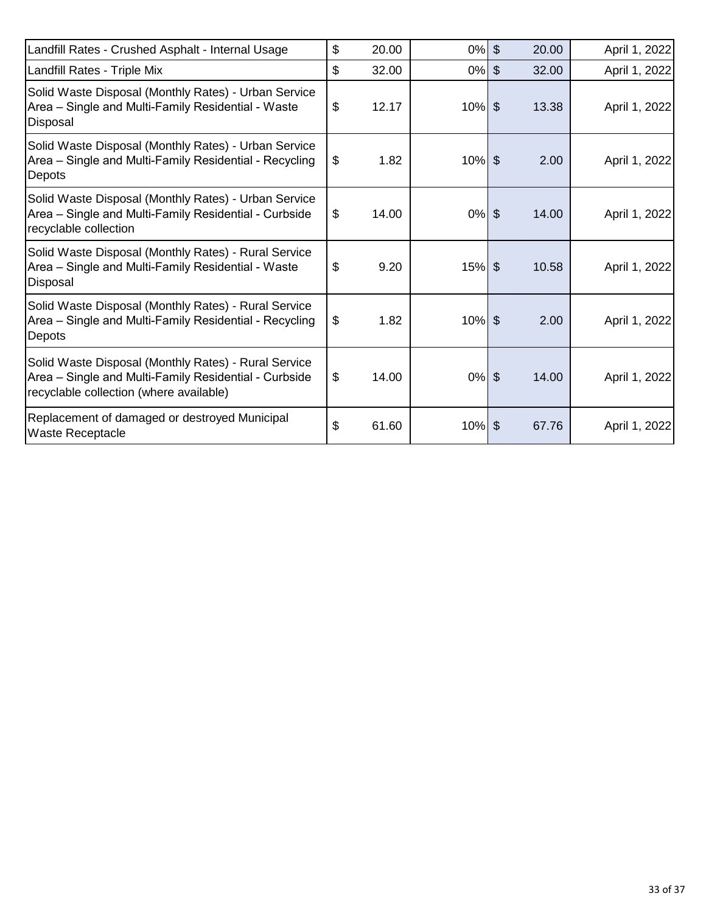| Landfill Rates - Crushed Asphalt - Internal Usage                                                                                                        | \$<br>20.00 | $0%$ \$   | 20.00 | April 1, 2022 |
|----------------------------------------------------------------------------------------------------------------------------------------------------------|-------------|-----------|-------|---------------|
| Landfill Rates - Triple Mix                                                                                                                              | \$<br>32.00 | $0\%$ \$  | 32.00 | April 1, 2022 |
| Solid Waste Disposal (Monthly Rates) - Urban Service<br>Area – Single and Multi-Family Residential - Waste<br>Disposal                                   | \$<br>12.17 | $10%$ \$  | 13.38 | April 1, 2022 |
| Solid Waste Disposal (Monthly Rates) - Urban Service<br>Area – Single and Multi-Family Residential - Recycling<br>Depots                                 | \$<br>1.82  | $10\%$ \$ | 2.00  | April 1, 2022 |
| Solid Waste Disposal (Monthly Rates) - Urban Service<br>Area – Single and Multi-Family Residential - Curbside<br>recyclable collection                   | \$<br>14.00 | $0%$ \$   | 14.00 | April 1, 2022 |
| Solid Waste Disposal (Monthly Rates) - Rural Service<br>Area – Single and Multi-Family Residential - Waste<br>Disposal                                   | \$<br>9.20  | $15\%$ \$ | 10.58 | April 1, 2022 |
| Solid Waste Disposal (Monthly Rates) - Rural Service<br>Area – Single and Multi-Family Residential - Recycling<br>Depots                                 | \$<br>1.82  | $10%$ \$  | 2.00  | April 1, 2022 |
| Solid Waste Disposal (Monthly Rates) - Rural Service<br>Area – Single and Multi-Family Residential - Curbside<br>recyclable collection (where available) | \$<br>14.00 | $0%$ \$   | 14.00 | April 1, 2022 |
| Replacement of damaged or destroyed Municipal<br><b>Waste Receptacle</b>                                                                                 | \$<br>61.60 | $10\%$ \$ | 67.76 | April 1, 2022 |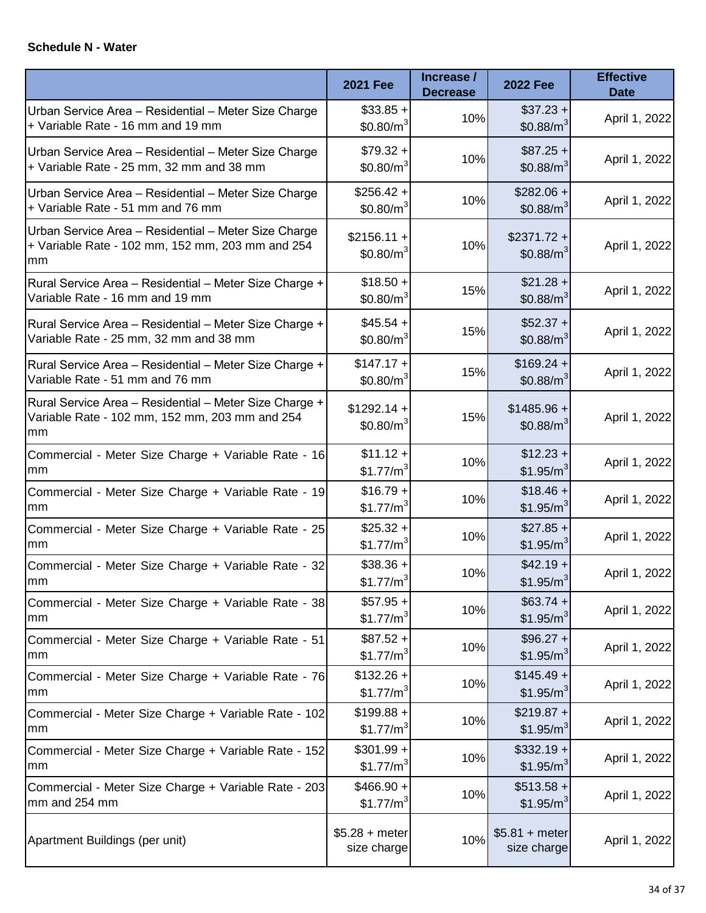#### **Schedule N - Water**

|                                                                                                                | <b>2021 Fee</b>                       | Increase /<br><b>Decrease</b> | <b>2022 Fee</b>                       | <b>Effective</b><br><b>Date</b> |
|----------------------------------------------------------------------------------------------------------------|---------------------------------------|-------------------------------|---------------------------------------|---------------------------------|
| Urban Service Area - Residential - Meter Size Charge<br>+ Variable Rate - 16 mm and 19 mm                      | $$33.85+$<br>\$0.80/m <sup>3</sup>    | 10%                           | $$37.23 +$<br>\$0.88/m <sup>3</sup>   | April 1, 2022                   |
| Urban Service Area - Residential - Meter Size Charge<br>+ Variable Rate - 25 mm, 32 mm and 38 mm               | $$79.32 +$<br>\$0.80/m <sup>3</sup>   | 10%                           | $$87.25 +$<br>\$0.88/m <sup>3</sup>   | April 1, 2022                   |
| Urban Service Area - Residential - Meter Size Charge<br>+ Variable Rate - 51 mm and 76 mm                      | $$256.42 +$<br>$$0.80/m^3$            | 10%                           | $$282.06 +$<br>\$0.88/m <sup>3</sup>  | April 1, 2022                   |
| Urban Service Area - Residential - Meter Size Charge<br>+ Variable Rate - 102 mm, 152 mm, 203 mm and 254<br>mm | $$2156.11 +$<br>\$0.80/m <sup>3</sup> | 10%                           | $$2371.72 +$<br>\$0.88/m <sup>3</sup> | April 1, 2022                   |
| Rural Service Area - Residential - Meter Size Charge +<br>Variable Rate - 16 mm and 19 mm                      | $$18.50 +$<br>$$0.80/m^3$             | 15%                           | $$21.28 +$<br>$$0.88/m^3$             | April 1, 2022                   |
| Rural Service Area - Residential - Meter Size Charge +<br>Variable Rate - 25 mm, 32 mm and 38 mm               | $$45.54 +$<br>$$0.80/m^3$             | 15%                           | $$52.37 +$<br>$$0.88/m^3$             | April 1, 2022                   |
| Rural Service Area - Residential - Meter Size Charge +<br>Variable Rate - 51 mm and 76 mm                      | $$147.17 +$<br>\$0.80/m <sup>3</sup>  | 15%                           | $$169.24 +$<br>\$0.88/m <sup>3</sup>  | April 1, 2022                   |
| Rural Service Area - Residential - Meter Size Charge +<br>Variable Rate - 102 mm, 152 mm, 203 mm and 254<br>mm | $$1292.14 +$<br>\$0.80/m <sup>3</sup> | 15%                           | $$1485.96 +$<br>\$0.88/m <sup>3</sup> | April 1, 2022                   |
| Commercial - Meter Size Charge + Variable Rate - 16<br>mm                                                      | $$11.12 +$<br>\$1.77/m <sup>3</sup>   | 10%                           | $$12.23 +$<br>\$1.95/m <sup>3</sup>   | April 1, 2022                   |
| Commercial - Meter Size Charge + Variable Rate - 19<br>mm                                                      | $$16.79 +$<br>\$1.77/m <sup>3</sup>   | 10%                           | $$18.46 +$<br>\$1.95/m <sup>3</sup>   | April 1, 2022                   |
| Commercial - Meter Size Charge + Variable Rate - 25<br>mm                                                      | $$25.32 +$<br>\$1.77/m <sup>3</sup>   | 10%                           | $$27.85 +$<br>\$1.95/m <sup>3</sup>   | April 1, 2022                   |
| Commercial - Meter Size Charge + Variable Rate - 32<br>mm                                                      | $$38.36 +$<br>\$1.77/ $m^3$           | 10%                           | $$42.19 +$<br>\$1.95/m <sup>3</sup>   | April 1, 2022                   |
| Commercial - Meter Size Charge + Variable Rate - 38<br>mm                                                      | $$57.95 +$<br>\$1.77/m <sup>3</sup>   | 10%                           | $$63.74 +$<br>\$1.95/m <sup>3</sup>   | April 1, 2022                   |
| Commercial - Meter Size Charge + Variable Rate - 51<br>mm                                                      | $$87.52 +$<br>\$1.77/m <sup>3</sup>   | 10%                           | $$96.27 +$<br>\$1.95/m <sup>3</sup>   | April 1, 2022                   |
| Commercial - Meter Size Charge + Variable Rate - 76<br>mm                                                      | $$132.26 +$<br>\$1.77/m <sup>3</sup>  | 10%                           | $$145.49 +$<br>\$1.95/m <sup>3</sup>  | April 1, 2022                   |
| Commercial - Meter Size Charge + Variable Rate - 102<br>mm                                                     | $$199.88 +$<br>\$1.77/m <sup>3</sup>  | 10%                           | $$219.87 +$<br>\$1.95/m <sup>3</sup>  | April 1, 2022                   |
| Commercial - Meter Size Charge + Variable Rate - 152<br>mm                                                     | $$301.99 +$<br>\$1.77/m <sup>3</sup>  | 10%                           | $$332.19 +$<br>\$1.95/m <sup>3</sup>  | April 1, 2022                   |
| Commercial - Meter Size Charge + Variable Rate - 203<br>mm and 254 mm                                          | $$466.90 +$<br>\$1.77/m <sup>3</sup>  | 10%                           | $$513.58 +$<br>\$1.95/m <sup>3</sup>  | April 1, 2022                   |
| Apartment Buildings (per unit)                                                                                 | $$5.28 + meter$<br>size charge        | 10%                           | $$5.81 + meter$<br>size charge        | April 1, 2022                   |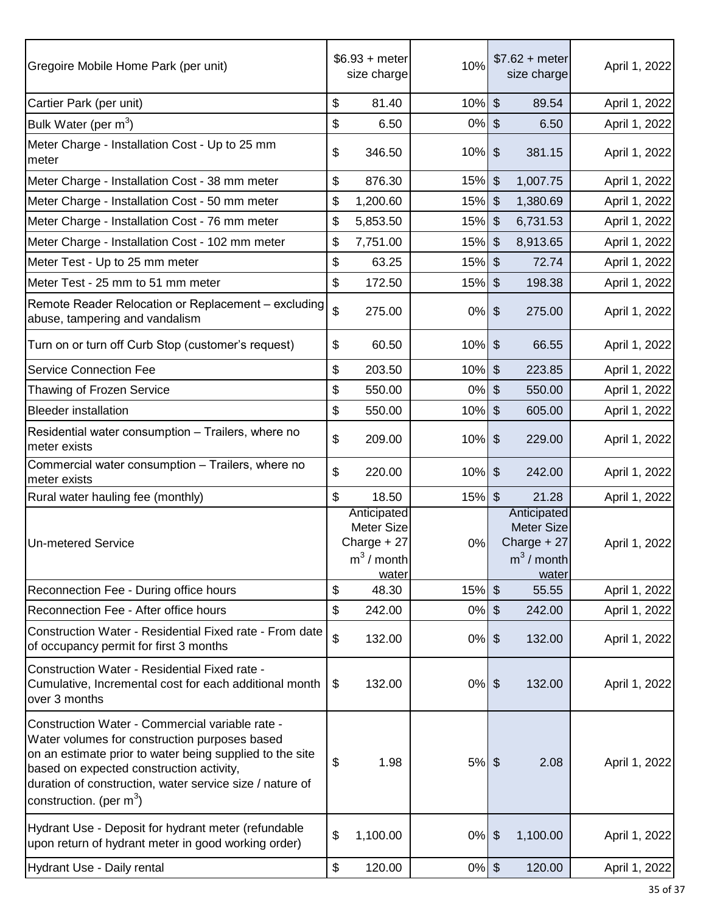| Gregoire Mobile Home Park (per unit)                                                                                                                                                                                                                                                               | $$6.93 + meter$<br>size charge                                     | 10%      | $$7.62 + meter$<br>size charge                                            | April 1, 2022 |
|----------------------------------------------------------------------------------------------------------------------------------------------------------------------------------------------------------------------------------------------------------------------------------------------------|--------------------------------------------------------------------|----------|---------------------------------------------------------------------------|---------------|
| Cartier Park (per unit)                                                                                                                                                                                                                                                                            | \$<br>81.40                                                        | 10%      | $\sqrt[6]{\frac{1}{2}}$<br>89.54                                          | April 1, 2022 |
| Bulk Water (per m <sup>3</sup> )                                                                                                                                                                                                                                                                   | \$<br>6.50                                                         | 0%       | $\sqrt[6]{\frac{1}{2}}$<br>6.50                                           | April 1, 2022 |
| Meter Charge - Installation Cost - Up to 25 mm<br>meter                                                                                                                                                                                                                                            | \$<br>346.50                                                       | $10%$ \$ | 381.15                                                                    | April 1, 2022 |
| Meter Charge - Installation Cost - 38 mm meter                                                                                                                                                                                                                                                     | \$<br>876.30                                                       | 15%      | $\boldsymbol{\mathsf{S}}$<br>1,007.75                                     | April 1, 2022 |
| Meter Charge - Installation Cost - 50 mm meter                                                                                                                                                                                                                                                     | \$<br>1,200.60                                                     | 15%      | $\mathfrak{S}$<br>1,380.69                                                | April 1, 2022 |
| Meter Charge - Installation Cost - 76 mm meter                                                                                                                                                                                                                                                     | \$<br>5,853.50                                                     | 15%      | $\sqrt[6]{\frac{1}{2}}$<br>6,731.53                                       | April 1, 2022 |
| Meter Charge - Installation Cost - 102 mm meter                                                                                                                                                                                                                                                    | \$<br>7,751.00                                                     | 15%      | $\boldsymbol{\mathsf{S}}$<br>8,913.65                                     | April 1, 2022 |
| Meter Test - Up to 25 mm meter                                                                                                                                                                                                                                                                     | \$<br>63.25                                                        | 15%      | $\sqrt[6]{\frac{1}{2}}$<br>72.74                                          | April 1, 2022 |
| Meter Test - 25 mm to 51 mm meter                                                                                                                                                                                                                                                                  | \$<br>172.50                                                       | 15%      | $\sqrt[6]{\frac{1}{2}}$<br>198.38                                         | April 1, 2022 |
| Remote Reader Relocation or Replacement - excluding<br>abuse, tampering and vandalism                                                                                                                                                                                                              | \$<br>275.00                                                       | $0\%$    | $\sqrt[6]{\frac{1}{2}}$<br>275.00                                         | April 1, 2022 |
| Turn on or turn off Curb Stop (customer's request)                                                                                                                                                                                                                                                 | \$<br>60.50                                                        | $10%$ \$ | 66.55                                                                     | April 1, 2022 |
| <b>Service Connection Fee</b>                                                                                                                                                                                                                                                                      | \$<br>203.50                                                       | 10%      | $\boldsymbol{\mathsf{S}}$<br>223.85                                       | April 1, 2022 |
| Thawing of Frozen Service                                                                                                                                                                                                                                                                          | \$<br>550.00                                                       | 0%       | $\boldsymbol{\mathsf{S}}$<br>550.00                                       | April 1, 2022 |
| <b>Bleeder installation</b>                                                                                                                                                                                                                                                                        | \$<br>550.00                                                       | 10%      | $\frac{1}{2}$<br>605.00                                                   | April 1, 2022 |
| Residential water consumption - Trailers, where no<br>meter exists                                                                                                                                                                                                                                 | \$<br>209.00                                                       | 10%      | $\sqrt[6]{\frac{1}{2}}$<br>229.00                                         | April 1, 2022 |
| Commercial water consumption - Trailers, where no<br>meter exists                                                                                                                                                                                                                                  | \$<br>220.00                                                       | 10%      | $\sqrt[6]{\frac{1}{2}}$<br>242.00                                         | April 1, 2022 |
| Rural water hauling fee (monthly)                                                                                                                                                                                                                                                                  | \$<br>18.50                                                        | $15%$ \$ | 21.28                                                                     | April 1, 2022 |
| <b>Un-metered Service</b>                                                                                                                                                                                                                                                                          | Anticipated<br>Meter Size<br>Charge + 27<br>$m^3$ / month<br>water | 0%       | Anticipated<br><b>Meter Size</b><br>Charge + 27<br>$m^3$ / month<br>water | April 1, 2022 |
| Reconnection Fee - During office hours                                                                                                                                                                                                                                                             | \$<br>48.30                                                        | 15%      | $\sqrt[6]{\frac{1}{2}}$<br>55.55                                          | April 1, 2022 |
| Reconnection Fee - After office hours                                                                                                                                                                                                                                                              | \$<br>242.00                                                       | 0%       | $\boldsymbol{\mathsf{S}}$<br>242.00                                       | April 1, 2022 |
| Construction Water - Residential Fixed rate - From date<br>of occupancy permit for first 3 months                                                                                                                                                                                                  | \$<br>132.00                                                       | 0%       | $\boldsymbol{\theta}$<br>132.00                                           | April 1, 2022 |
| Construction Water - Residential Fixed rate -<br>Cumulative, Incremental cost for each additional month<br>over 3 months                                                                                                                                                                           | \$<br>132.00                                                       | $0%$ \$  | 132.00                                                                    | April 1, 2022 |
| Construction Water - Commercial variable rate -<br>Water volumes for construction purposes based<br>on an estimate prior to water being supplied to the site<br>based on expected construction activity,<br>duration of construction, water service size / nature of<br>construction. (per $m^3$ ) | \$<br>1.98                                                         | $5%$ \$  | 2.08                                                                      | April 1, 2022 |
| Hydrant Use - Deposit for hydrant meter (refundable<br>upon return of hydrant meter in good working order)                                                                                                                                                                                         | \$<br>1,100.00                                                     | $0\%$    | $\sqrt[6]{\frac{1}{2}}$<br>1,100.00                                       | April 1, 2022 |
| Hydrant Use - Daily rental                                                                                                                                                                                                                                                                         | \$<br>120.00                                                       | $0%$ \$  | 120.00                                                                    | April 1, 2022 |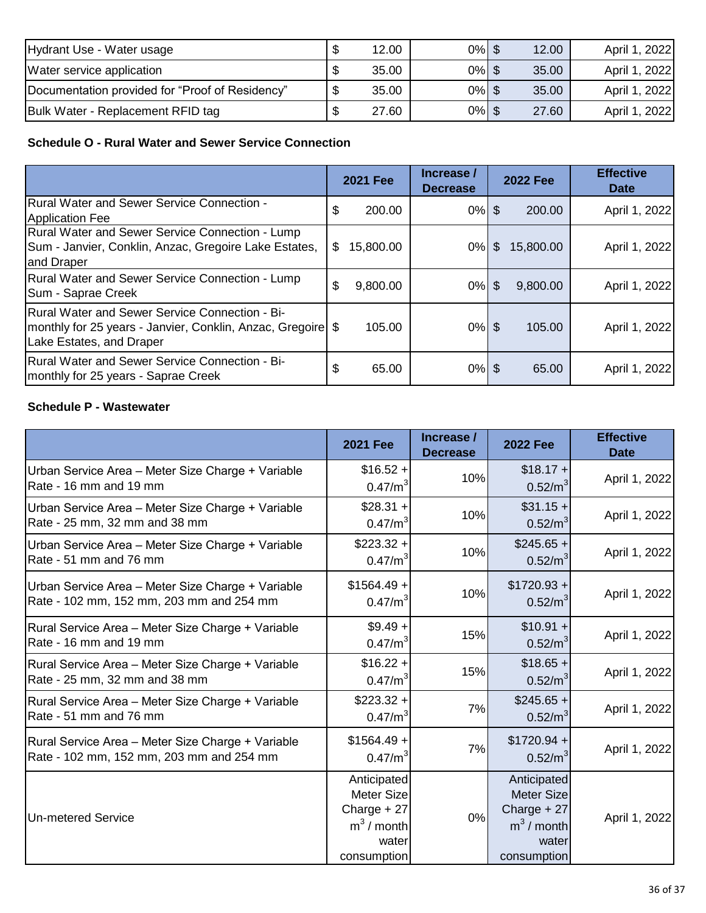| Hydrant Use - Water usage                       | 12.00 | $0%$ \$  | 12.00 | April 1, 2022 |
|-------------------------------------------------|-------|----------|-------|---------------|
| Water service application                       | 35.00 | $0%$ \$  | 35.00 | April 1, 2022 |
| Documentation provided for "Proof of Residency" | 35.00 | $0\%$ \$ | 35.00 | April 1, 2022 |
| Bulk Water - Replacement RFID tag               | 27.60 | $0\%$ \$ | 27.60 | April 1, 2022 |

# **Schedule O - Rural Water and Sewer Service Connection**

|                                                                                                                                           |    | <b>2021 Fee</b> | Increase /<br><b>Decrease</b> |              | <b>2022 Fee</b> | <b>Effective</b><br><b>Date</b> |
|-------------------------------------------------------------------------------------------------------------------------------------------|----|-----------------|-------------------------------|--------------|-----------------|---------------------------------|
| Rural Water and Sewer Service Connection -<br>Application Fee                                                                             | \$ | 200.00          | $0\%$ \$                      |              | 200.00          | April 1, 2022                   |
| Rural Water and Sewer Service Connection - Lump<br>Sum - Janvier, Conklin, Anzac, Gregoire Lake Estates,<br>and Draper                    | S  | 15,800.00       | 0%                            | $\mathbb{S}$ | 15,800.00       | April 1, 2022                   |
| Rural Water and Sewer Service Connection - Lump<br>Sum - Saprae Creek                                                                     | \$ | 9,800.00        | 0%                            | \$           | 9,800.00        | April 1, 2022                   |
| Rural Water and Sewer Service Connection - Bi-<br>monthly for 25 years - Janvier, Conklin, Anzac, Gregoire \$<br>Lake Estates, and Draper |    | 105.00          | $0\%$ \$                      |              | 105.00          | April 1, 2022                   |
| Rural Water and Sewer Service Connection - Bi-<br>monthly for 25 years - Saprae Creek                                                     | \$ | 65.00           | $0\%$ \$                      |              | 65.00           | April 1, 2022                   |

## **Schedule P - Wastewater**

|                                                                                               | <b>2021 Fee</b>                                                                         | Increase /<br><b>Decrease</b> | <b>2022 Fee</b>                                                                         | <b>Effective</b><br><b>Date</b> |
|-----------------------------------------------------------------------------------------------|-----------------------------------------------------------------------------------------|-------------------------------|-----------------------------------------------------------------------------------------|---------------------------------|
| Urban Service Area - Meter Size Charge + Variable<br>Rate - 16 mm and 19 mm                   | $$16.52 +$<br>0.47/m <sup>3</sup>                                                       | 10%                           | $$18.17 +$<br>$0.52/m^3$                                                                | April 1, 2022                   |
| Urban Service Area - Meter Size Charge + Variable<br>Rate - 25 mm, 32 mm and 38 mm            | $$28.31 +$<br>0.47/m <sup>3</sup>                                                       | 10%                           | $$31.15 +$<br>$0.52/m^3$                                                                | April 1, 2022                   |
| Urban Service Area - Meter Size Charge + Variable<br>Rate - 51 mm and 76 mm                   | $$223.32 +$<br>0.47/m <sup>3</sup>                                                      | 10%                           | $$245.65 +$<br>0.52/m <sup>3</sup>                                                      | April 1, 2022                   |
| Urban Service Area - Meter Size Charge + Variable<br>Rate - 102 mm, 152 mm, 203 mm and 254 mm | $$1564.49 +$<br>0.47/m <sup>3</sup>                                                     | 10%                           | $$1720.93 +$<br>0.52/m <sup>3</sup>                                                     | April 1, 2022                   |
| Rural Service Area - Meter Size Charge + Variable<br>Rate - 16 mm and 19 mm                   | $$9.49 +$<br>0.47/m <sup>3</sup>                                                        | 15%                           | $$10.91 +$<br>$0.52/m^3$                                                                | April 1, 2022                   |
| Rural Service Area - Meter Size Charge + Variable<br>Rate - 25 mm, 32 mm and 38 mm            | $$16.22 +$<br>0.47/m <sup>3</sup>                                                       | 15%                           | $$18.65 +$<br>0.52/m <sup>3</sup>                                                       | April 1, 2022                   |
| Rural Service Area - Meter Size Charge + Variable<br>Rate - 51 mm and 76 mm                   | $$223.32 +$<br>0.47/m <sup>3</sup>                                                      | 7%                            | $$245.65 +$<br>0.52/m <sup>3</sup>                                                      | April 1, 2022                   |
| Rural Service Area - Meter Size Charge + Variable<br>Rate - 102 mm, 152 mm, 203 mm and 254 mm | $$1564.49 +$<br>0.47/m <sup>3</sup>                                                     | 7%                            | $$1720.94 +$<br>0.52/m <sup>3</sup>                                                     | April 1, 2022                   |
| <b>Un-metered Service</b>                                                                     | Anticipated<br><b>Meter Size</b><br>Charge + 27<br>$m3$ / month<br>water<br>consumption | 0%                            | Anticipated<br><b>Meter Size</b><br>Charge + 27<br>$m3$ / month<br>water<br>consumption | April 1, 2022                   |